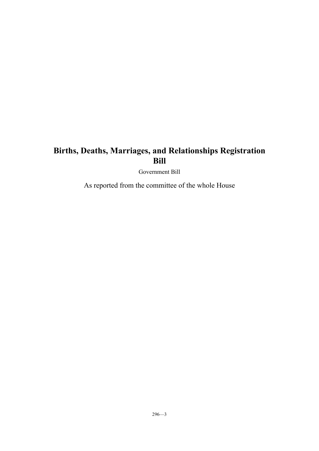Government Bill

As reported from the committee of the whole House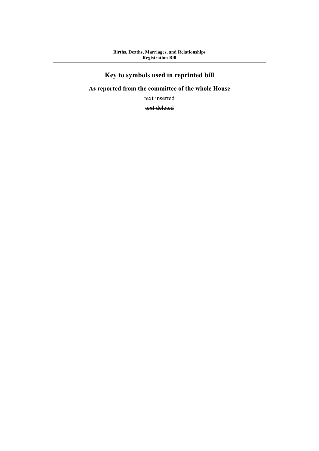# **Key to symbols used in reprinted bill**

## **As reported from the committee of the whole House**

text inserted

text deleted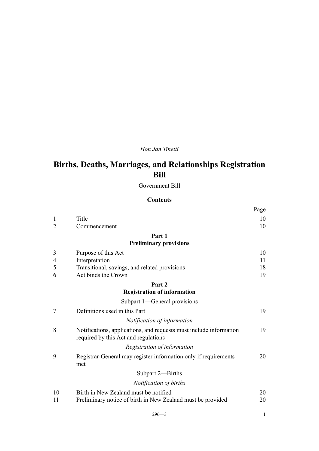### *Hon Jan Tinetti*

# **Births, Deaths, Marriages, and Relationships Registration Bill**

Government Bill

#### **Contents**

|    |                                                                                                            | Page |
|----|------------------------------------------------------------------------------------------------------------|------|
| 1  | Title                                                                                                      | 10   |
| 2  | Commencement                                                                                               | 10   |
|    | Part 1                                                                                                     |      |
|    | <b>Preliminary provisions</b>                                                                              |      |
| 3  | Purpose of this Act                                                                                        | 10   |
| 4  | Interpretation                                                                                             | 11   |
| 5  | Transitional, savings, and related provisions                                                              | 18   |
| 6  | Act binds the Crown                                                                                        | 19   |
|    | Part 2                                                                                                     |      |
|    | <b>Registration of information</b>                                                                         |      |
|    | Subpart 1—General provisions                                                                               |      |
| 7  | Definitions used in this Part                                                                              | 19   |
|    | Notification of information                                                                                |      |
| 8  | Notifications, applications, and requests must include information<br>required by this Act and regulations | 19   |
|    | Registration of information                                                                                |      |
| 9  | Registrar-General may register information only if requirements<br>met                                     | 20   |
|    | Subpart 2-Births                                                                                           |      |
|    | Notification of births                                                                                     |      |
| 10 | Birth in New Zealand must be notified                                                                      | 20   |
| 11 | Preliminary notice of birth in New Zealand must be provided                                                | 20   |

| $296 - 3$ |  |  |  |
|-----------|--|--|--|
|           |  |  |  |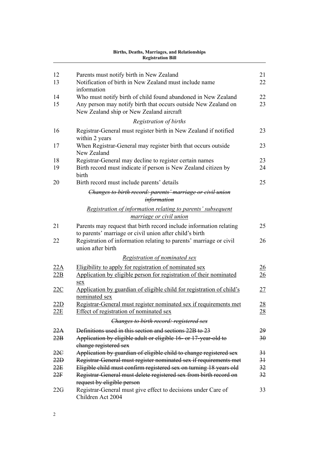| 12                | Parents must notify birth in New Zealand                                                                                                            | 21             |
|-------------------|-----------------------------------------------------------------------------------------------------------------------------------------------------|----------------|
| 13                | Notification of birth in New Zealand must include name<br>information                                                                               | 22             |
| 14                | Who must notify birth of child found abandoned in New Zealand                                                                                       | 22             |
| 15                | Any person may notify birth that occurs outside New Zealand on<br>New Zealand ship or New Zealand aircraft                                          | 23             |
|                   | Registration of births                                                                                                                              |                |
| 16                | Registrar-General must register birth in New Zealand if notified<br>within 2 years                                                                  | 23             |
| 17                | When Registrar-General may register birth that occurs outside<br>New Zealand                                                                        | 23             |
| 18                | Registrar-General may decline to register certain names                                                                                             | 23             |
| 19                | Birth record must indicate if person is New Zealand citizen by<br>birth                                                                             | 24             |
| 20                | Birth record must include parents' details                                                                                                          | 25             |
|                   | Changes to birth record: parents' marriage or civil union<br><i>information</i>                                                                     |                |
|                   | Registration of information relating to parents' subsequent<br><i>marriage or civil union</i>                                                       |                |
| 21                | Parents may request that birth record include information relating<br>to parents' marriage or civil union after child's birth                       | 25             |
| 22                | Registration of information relating to parents' marriage or civil<br>union after birth                                                             | 26             |
|                   | Registration of nominated sex                                                                                                                       |                |
| 22A               | Eligibility to apply for registration of nominated sex                                                                                              | 26             |
| 22B               | Application by eligible person for registration of their nominated<br>sex                                                                           | 26             |
| 22C               | Application by guardian of eligible child for registration of child's<br>nominated sex                                                              | 27             |
| 22D<br><u>22E</u> | Registrar-General must register nominated sex if requirements met<br>Effect of registration of nominated sex                                        | 28<br>28       |
|                   | Changes to birth record: registered sex                                                                                                             |                |
|                   |                                                                                                                                                     |                |
| 22A<br>22B        | Definitions used in this section and sections 22B to 23<br>Application by eligible adult or eligible 16- or 17-year-old to<br>change registered sex | 29<br>30       |
| 22C               | Application by guardian of eligible child to change registered sex                                                                                  | 3 <sup>1</sup> |
| 22D               | Registrar-General must register nominated sex if requirements met                                                                                   | 3 <sup>1</sup> |
| 22E               | Eligible child must confirm registered sex on turning 18 years old                                                                                  | 32             |
| 22F               | Registrar-General must delete registered sex from birth record on                                                                                   | 32             |
|                   | request by eligible person                                                                                                                          |                |
| 22G               | Registrar-General must give effect to decisions under Care of<br>Children Act 2004                                                                  | 33             |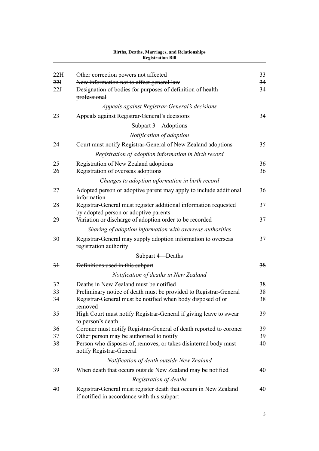|                 | лгинэ, в сайнэ, глан надсэ, ана талайонэшрэ<br><b>Registration Bill</b>                                         |    |
|-----------------|-----------------------------------------------------------------------------------------------------------------|----|
| 22H             | Other correction powers not affected                                                                            | 33 |
| 22 <sub>1</sub> | New information not to affect general law                                                                       | 34 |
| 22J             | Designation of bodies for purposes of definition of health<br>professional                                      | 34 |
|                 | Appeals against Registrar-General's decisions                                                                   |    |
| 23              | Appeals against Registrar-General's decisions                                                                   | 34 |
|                 | Subpart 3-Adoptions                                                                                             |    |
|                 | Notification of adoption                                                                                        |    |
| 24              | Court must notify Registrar-General of New Zealand adoptions                                                    | 35 |
|                 | Registration of adoption information in birth record                                                            |    |
| 25              | Registration of New Zealand adoptions                                                                           | 36 |
| 26              | Registration of overseas adoptions                                                                              | 36 |
|                 | Changes to adoption information in birth record                                                                 |    |
| 27              | Adopted person or adoptive parent may apply to include additional<br>information                                | 36 |
| 28              | Registrar-General must register additional information requested<br>by adopted person or adoptive parents       | 37 |
| 29              | Variation or discharge of adoption order to be recorded                                                         | 37 |
|                 | Sharing of adoption information with overseas authorities                                                       |    |
| 30              | Registrar-General may supply adoption information to overseas<br>registration authority                         | 37 |
|                 | Subpart 4-Deaths                                                                                                |    |
| 3 <sup>1</sup>  | Definitions used in this subpart                                                                                | 38 |
|                 | Notification of deaths in New Zealand                                                                           |    |
| 32              | Deaths in New Zealand must be notified                                                                          | 38 |
| 33              | Preliminary notice of death must be provided to Registrar-General                                               | 38 |
| 34              | Registrar-General must be notified when body disposed of or<br>removed                                          | 38 |
| 35              | High Court must notify Registrar-General if giving leave to swear<br>to person's death                          | 39 |
| 36              | Coroner must notify Registrar-General of death reported to coroner                                              | 39 |
| 37              | Other person may be authorised to notify                                                                        | 39 |
| 38              | Person who disposes of, removes, or takes disinterred body must<br>notify Registrar-General                     | 40 |
|                 | Notification of death outside New Zealand                                                                       |    |
| 39              | When death that occurs outside New Zealand may be notified                                                      | 40 |
|                 | Registration of deaths                                                                                          |    |
| 40              | Registrar-General must register death that occurs in New Zealand<br>if notified in accordance with this subpart | 40 |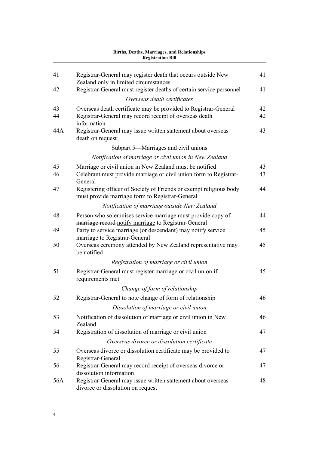| 41  | Registrar-General may register death that occurs outside New<br>Zealand only in limited circumstances                 | 41 |
|-----|-----------------------------------------------------------------------------------------------------------------------|----|
| 42  | Registrar-General must register deaths of certain service personnel                                                   | 41 |
|     | Overseas death certificates                                                                                           |    |
| 43  | Overseas death certificate may be provided to Registrar-General                                                       | 42 |
| 44  | Registrar-General may record receipt of overseas death<br>information                                                 | 42 |
| 44A | Registrar-General may issue written statement about overseas<br>death on request                                      | 43 |
|     | Subpart 5—Marriages and civil unions                                                                                  |    |
|     | Notification of marriage or civil union in New Zealand                                                                |    |
| 45  | Marriage or civil union in New Zealand must be notified                                                               | 43 |
| 46  | Celebrant must provide marriage or civil union form to Registrar-<br>General                                          | 43 |
| 47  | Registering officer of Society of Friends or exempt religious body<br>must provide marriage form to Registrar-General | 44 |
|     | Notification of marriage outside New Zealand                                                                          |    |
| 48  | Person who solemnises service marriage must provide copy of<br>marriage record notify marriage to Registrar-General   | 44 |
| 49  | Party to service marriage (or descendant) may notify service<br>marriage to Registrar-General                         | 45 |
| 50  | Overseas ceremony attended by New Zealand representative may<br>be notified                                           | 45 |
|     | Registration of marriage or civil union                                                                               |    |
| 51  | Registrar-General must register marriage or civil union if<br>requirements met                                        | 45 |
|     | Change of form of relationship                                                                                        |    |
| 52  | Registrar-General to note change of form of relationship                                                              | 46 |
|     | Dissolution of marriage or civil union                                                                                |    |
| 53  | Notification of dissolution of marriage or civil union in New<br>Zealand                                              | 46 |
| 54  | Registration of dissolution of marriage or civil union                                                                | 47 |
|     | Overseas divorce or dissolution certificate                                                                           |    |
| 55  | Overseas divorce or dissolution certificate may be provided to<br>Registrar-General                                   | 47 |
| 56  | Registrar-General may record receipt of overseas divorce or<br>dissolution information                                | 47 |
| 56A | Registrar-General may issue written statement about overseas<br>divorce or dissolution on request                     | 48 |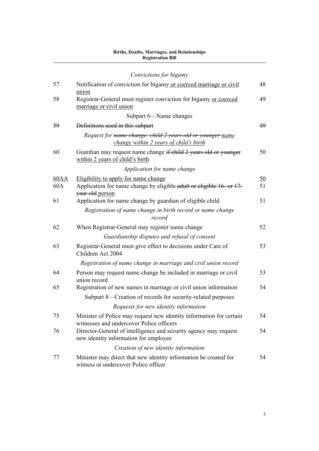|             | Convictions for bigamy                                                                                                          |                 |
|-------------|---------------------------------------------------------------------------------------------------------------------------------|-----------------|
| 57          | Notification of conviction for bigamy or coerced marriage or civil<br>union                                                     | 48              |
| 58          | Registrar-General must register conviction for bigamy or coerced<br>marriage or civil union                                     | 49              |
|             | Subpart 6-Name changes                                                                                                          |                 |
| 59          | Definitions used in this subpart                                                                                                | 49              |
|             | Request for name change: child 2 years old or younger name<br>change within 2 years of child's birth                            |                 |
| 60          | Guardian may request name change if child 2 years old or younger<br>within 2 years of child's birth                             | 50              |
|             | Application for name change                                                                                                     |                 |
| 60AA<br>60A | Eligibility to apply for name change<br>Application for name change by eligible-adult or eligible 16- or 17-<br>year-old person | <u>50</u><br>51 |
| 61          | Application for name change by guardian of eligible child                                                                       | 51              |
|             | Registration of name change in birth record or name change<br>record                                                            |                 |
| 62          | When Registrar-General may register name change                                                                                 | 52              |
|             | Guardianship disputes and refusal of consent                                                                                    |                 |
| 63          | Registrar-General must give effect to decisions under Care of<br>Children Act 2004                                              | 53              |
|             | Registration of name change in marriage and civil union record                                                                  |                 |
| 64          | Person may request name change be included in marriage or civil<br>union record                                                 | 53              |
| 65          | Registration of new names in marriage or civil union information                                                                | 54              |
|             | Subpart 8—Creation of records for security-related purposes                                                                     |                 |
|             | Requests for new identity information                                                                                           |                 |
| 75          | Minister of Police may request new identity information for certain<br>witnesses and undercover Police officers                 | 54              |
| 76          | Director-General of intelligence and security agency may request<br>new identity information for employee                       | 54              |
|             | Creation of new identity information                                                                                            |                 |
| 77          | Minister may direct that new identity information be created for<br>witness or undercover Police officer                        | 54              |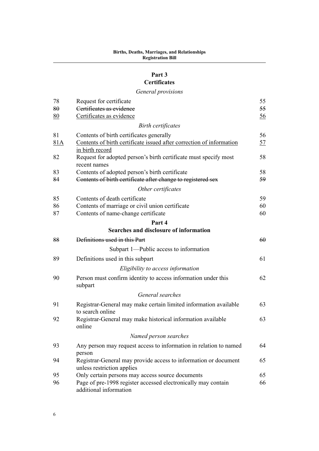### **[Part 3](#page-58-0) [Certificates](#page-58-0)**

### *[General provisions](#page-58-0)*

| 78  | Request for certificate                                                                       | 55        |
|-----|-----------------------------------------------------------------------------------------------|-----------|
| 80  | Certificates as evidence                                                                      | 55        |
| 80  | Certificates as evidence                                                                      | <u>56</u> |
|     | <b>Birth certificates</b>                                                                     |           |
| 81  | Contents of birth certificates generally                                                      | 56        |
| 81A | Contents of birth certificate issued after correction of information<br>in birth record       | 57        |
| 82  | Request for adopted person's birth certificate must specify most<br>recent names              | 58        |
| 83  | Contents of adopted person's birth certificate                                                | 58        |
| 84  | Contents of birth certificate after change to registered sex                                  | 59        |
|     | Other certificates                                                                            |           |
| 85  | Contents of death certificate                                                                 | 59        |
| 86  | Contents of marriage or civil union certificate                                               | 60        |
| 87  | Contents of name-change certificate                                                           | 60        |
|     | Part 4                                                                                        |           |
|     | Searches and disclosure of information                                                        |           |
| 88  | Definitions used in this Part                                                                 | 60        |
|     | Subpart 1—Public access to information                                                        |           |
| 89  | Definitions used in this subpart                                                              | 61        |
|     | Eligibility to access information                                                             |           |
| 90  | Person must confirm identity to access information under this<br>subpart                      | 62        |
|     | General searches                                                                              |           |
| 91  | Registrar-General may make certain limited information available<br>to search online          | 63        |
| 92  | Registrar-General may make historical information available<br>online                         | 63        |
|     | Named person searches                                                                         |           |
| 93  | Any person may request access to information in relation to named<br>person                   | 64        |
| 94  | Registrar-General may provide access to information or document<br>unless restriction applies | 65        |
| 95  | Only certain persons may access source documents                                              | 65        |
| 96  | Page of pre-1998 register accessed electronically may contain<br>additional information       | 66        |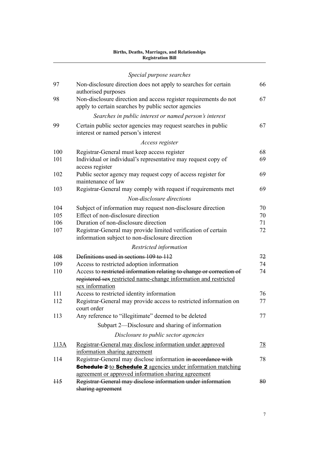|                | Special purpose searches                                                                                                                                    |           |
|----------------|-------------------------------------------------------------------------------------------------------------------------------------------------------------|-----------|
| 97             | Non-disclosure direction does not apply to searches for certain<br>authorised purposes                                                                      | 66        |
| 98             | Non-disclosure direction and access register requirements do not<br>apply to certain searches by public sector agencies                                     | 67        |
|                | Searches in public interest or named person's interest                                                                                                      |           |
| 99             | Certain public sector agencies may request searches in public<br>interest or named person's interest                                                        | 67        |
|                | Access register                                                                                                                                             |           |
| 100            | Registrar-General must keep access register                                                                                                                 | 68        |
| 101            | Individual or individual's representative may request copy of<br>access register                                                                            | 69        |
| 102            | Public sector agency may request copy of access register for<br>maintenance of law                                                                          | 69        |
| 103            | Registrar-General may comply with request if requirements met                                                                                               | 69        |
|                | Non-disclosure directions                                                                                                                                   |           |
| 104            | Subject of information may request non-disclosure direction                                                                                                 | 70        |
| 105            | Effect of non-disclosure direction                                                                                                                          | 70        |
| 106            | Duration of non-disclosure direction                                                                                                                        | 71        |
| 107            | Registrar-General may provide limited verification of certain<br>information subject to non-disclosure direction                                            | 72        |
|                | Restricted information                                                                                                                                      |           |
| 108            | Definitions used in sections 109 to 112                                                                                                                     | 72        |
| 109            | Access to restricted adoption information                                                                                                                   | 74        |
| 110            | Access to restricted information relating to change or correction of<br>registered sex restricted name-change information and restricted<br>sex information | 74        |
| 111            | Access to restricted identity information                                                                                                                   | 76        |
| 112            | Registrar-General may provide access to restricted information on<br>court order                                                                            | 77        |
| 113            | Any reference to "illegitimate" deemed to be deleted                                                                                                        | 77        |
|                | Subpart 2—Disclosure and sharing of information                                                                                                             |           |
|                | Disclosure to public sector agencies                                                                                                                        |           |
| 113A           | Registrar-General may disclose information under approved                                                                                                   | <u>78</u> |
|                | information sharing agreement                                                                                                                               |           |
| 114            | Registrar-General may disclose information in accordance with<br><b>Schedule 2-</b> to <b>Schedule 2</b> agencies under information matching                | 78        |
|                | agreement or approved information sharing agreement                                                                                                         |           |
| H <sub>5</sub> | Registrar-General may disclose information under information<br>sharing agreement                                                                           | 80        |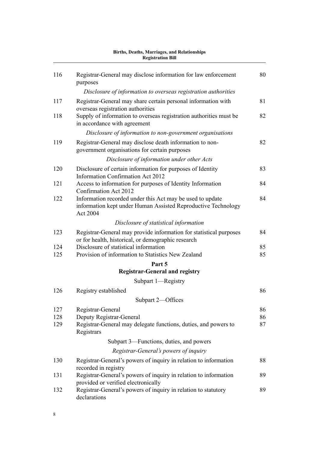|     | <b>Registration Bill</b>                                                                                                               |    |
|-----|----------------------------------------------------------------------------------------------------------------------------------------|----|
| 116 | Registrar-General may disclose information for law enforcement<br>purposes                                                             | 80 |
|     | Disclosure of information to overseas registration authorities                                                                         |    |
| 117 | Registrar-General may share certain personal information with<br>overseas registration authorities                                     | 81 |
| 118 | Supply of information to overseas registration authorities must be<br>in accordance with agreement                                     | 82 |
|     | Disclosure of information to non-government organisations                                                                              |    |
| 119 | Registrar-General may disclose death information to non-<br>government organisations for certain purposes                              | 82 |
|     | Disclosure of information under other Acts                                                                                             |    |
| 120 | Disclosure of certain information for purposes of Identity<br><b>Information Confirmation Act 2012</b>                                 | 83 |
| 121 | Access to information for purposes of Identity Information<br>Confirmation Act 2012                                                    | 84 |
| 122 | Information recorded under this Act may be used to update<br>information kept under Human Assisted Reproductive Technology<br>Act 2004 | 84 |
|     | Disclosure of statistical information                                                                                                  |    |
| 123 | Registrar-General may provide information for statistical purposes<br>or for health, historical, or demographic research               | 84 |
| 124 | Disclosure of statistical information                                                                                                  | 85 |
| 125 | Provision of information to Statistics New Zealand                                                                                     | 85 |
|     | Part 5                                                                                                                                 |    |
|     | <b>Registrar-General and registry</b>                                                                                                  |    |
|     | Subpart 1—Registry                                                                                                                     |    |
| 126 | Registry established                                                                                                                   | 86 |
|     | Subpart 2-Offices                                                                                                                      |    |
| 127 | Registrar-General                                                                                                                      | 86 |
| 128 | Deputy Registrar-General                                                                                                               | 86 |
| 129 | Registrar-General may delegate functions, duties, and powers to<br>Registrars                                                          | 87 |
|     | Subpart 3—Functions, duties, and powers                                                                                                |    |
|     | Registrar-General's powers of inquiry                                                                                                  |    |
| 130 | Registrar-General's powers of inquiry in relation to information<br>recorded in registry                                               | 88 |
| 131 | Registrar-General's powers of inquiry in relation to information<br>provided or verified electronically                                | 89 |
| 132 | Registrar-General's powers of inquiry in relation to statutory<br>declarations                                                         | 89 |

# **Births, Deaths, Marriages, and Relationships**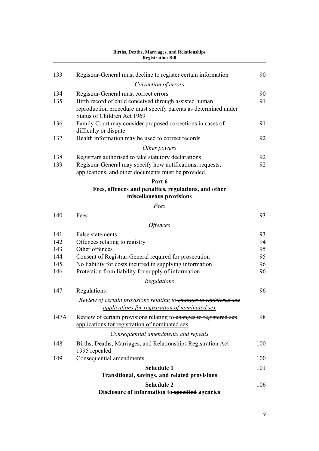| 133  | Registrar-General must decline to register certain information<br>Correction of errors | 90  |
|------|----------------------------------------------------------------------------------------|-----|
| 134  | Registrar-General must correct errors                                                  | 90  |
| 135  | Birth record of child conceived through assisted human                                 | 91  |
|      | reproduction procedure must specify parents as determined under                        |     |
|      | Status of Children Act 1969                                                            |     |
| 136  | Family Court may consider proposed corrections in cases of                             | 91  |
|      | difficulty or dispute                                                                  |     |
| 137  | Health information may be used to correct records                                      | 92  |
|      | Other powers                                                                           |     |
| 138  | Registrars authorised to take statutory declarations                                   | 92  |
| 139  | Registrar-General may specify how notifications, requests,                             | 92  |
|      | applications, and other documents must be provided                                     |     |
|      | Part 6                                                                                 |     |
|      | Fees, offences and penalties, regulations, and other<br>miscellaneous provisions       |     |
|      | Fees                                                                                   |     |
| 140  | Fees                                                                                   | 93  |
|      | <i><b>Offences</b></i>                                                                 |     |
| 141  | False statements                                                                       | 93  |
| 142  | Offences relating to registry                                                          | 94  |
| 143  | Other offences                                                                         | 95  |
| 144  | Consent of Registrar-General required for prosecution                                  | 95  |
| 145  | No liability for costs incurred in supplying information                               | 96  |
| 146  | Protection from liability for supply of information                                    | 96  |
|      | Regulations                                                                            |     |
| 147  | Regulations                                                                            | 96  |
|      | Review of certain provisions relating to-changes to registered sex                     |     |
|      | applications for registration of nominated sex                                         |     |
| 147A | Review of certain provisions relating to changes to registered sex                     | 98  |
|      | applications for registration of nominated sex                                         |     |
|      | Consequential amendments and repeals                                                   |     |
| 148  | Births, Deaths, Marriages, and Relationships Registration Act                          | 100 |
|      | 1995 repealed                                                                          |     |
| 149  | Consequential amendments                                                               | 100 |
|      | <b>Schedule 1</b>                                                                      | 101 |
|      | <b>Transitional, savings, and related provisions</b>                                   |     |
|      | <b>Schedule 2</b>                                                                      | 106 |
|      | Disclosure of information to-specified agencies                                        |     |
|      |                                                                                        |     |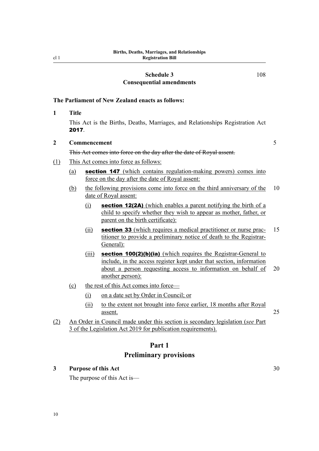#### **[Schedule 3](#page-111-0) [Consequential amendments](#page-111-0)**

[108](#page-111-0)

#### <span id="page-13-0"></span>**The Parliament of New Zealand enacts as follows:**

**1 Title**

This Act is the Births, Deaths, Marriages, and Relationships Registration Act 2017.

#### **2 Commencement** 5

#### This Act comes into force on the day after the date of Royal assent.

- (1) This Act comes into force as follows:
	- (a) section 147 (which contains regulation-making powers) comes into force on the day after the date of Royal assent:
	- (b) the following provisions come into force on the third anniversary of the 10 date of Royal assent:
		- $(i)$  section 12(2A) (which enables a parent notifying the birth of a child to specify whether they wish to appear as mother, father, or parent on the birth certificate):
		- $(i)$  section 33 (which requires a medical practitioner or nurse prac- 15 titioner to provide a preliminary notice of death to the Registrar-General):
		- (iii) **section 100(2)(b)(ia)** (which requires the Registrar-General to include, in the access register kept under that section, information about a person requesting access to information on behalf of 20 another person):
	- (c) the rest of this Act comes into force—
		- (i) on a date set by Order in Council; or
		- (ii) to the extent not brought into force earlier, 18 months after Royal assent. 25
- (2) An Order in Council made under this section is secondary legislation (*see* Part 3 of the Legislation Act 2019 for publication requirements).

### **Part 1 Preliminary provisions**

#### **3 Purpose of this Act** 30

The purpose of this Act is—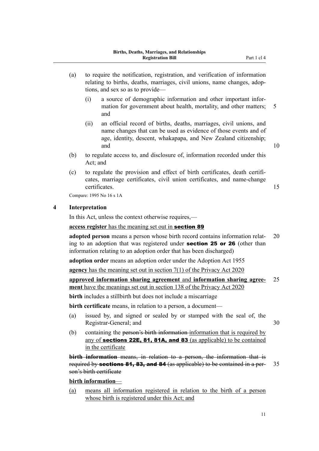- <span id="page-14-0"></span>(a) to require the notification, registration, and verification of information relating to births, deaths, marriages, civil unions, name changes, adoptions, and sex so as to provide—
	- (i) a source of demographic information and other important infor‐ mation for government about health, mortality, and other matters; 5 and
	- (ii) an official record of births, deaths, marriages, civil unions, and name changes that can be used as evidence of those events and of age, identity, descent, whakapapa, and New Zealand citizenship; and 10
- (b) to regulate access to, and disclosure of, information recorded under this Act; and
- (c) to regulate the provision and effect of birth certificates, death certifi‐ cates, marriage certificates, civil union certificates, and name-change certificates. 15

Compare: 1995 No 16 s 1A

#### **4 Interpretation**

In this Act, unless the context otherwise requires,—

**access register** has the meaning set out in section 89

**adopted person** means a person whose birth record contains information relating to an adoption that was registered under **section 25 or 26** (other than information relating to an adoption order that has been discharged)

**adoption order** means an adoption order under the Adoption Act 1955

**agency** has the meaning set out in section 7(1) of the Privacy Act 2020

#### **approved information sharing agreement** and **information sharing agree‐** 25 **ment** have the meanings set out in section 138 of the Privacy Act 2020

**birth** includes a stillbirth but does not include a miscarriage

**birth certificate** means, in relation to a person, a document—

- (a) issued by, and signed or sealed by or stamped with the seal of, the Registrar-General; and 30
- (b) containing the person's birth information information that is required by any of sections 22E, 81, 81A, and 83 (as applicable) to be contained in the certificate

**birth information** means, in relation to a person, the information that is required by **sections 81, 83, and 84** (as applicable) to be contained in a per- 35 son's birth certificate

#### **birth information**—

(a) means all information registered in relation to the birth of a person whose birth is registered under this Act; and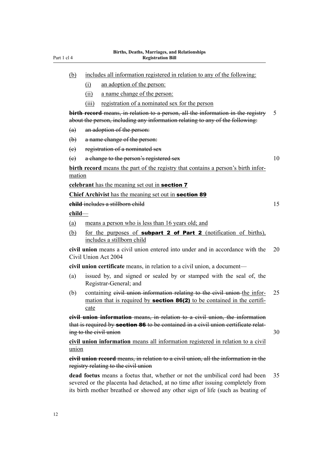| (b)                                                                                                                                                                                                       |       | includes all information registered in relation to any of the following:                                                                                          |    |  |  |  |  |
|-----------------------------------------------------------------------------------------------------------------------------------------------------------------------------------------------------------|-------|-------------------------------------------------------------------------------------------------------------------------------------------------------------------|----|--|--|--|--|
|                                                                                                                                                                                                           | (i)   | an adoption of the person:                                                                                                                                        |    |  |  |  |  |
|                                                                                                                                                                                                           | (ii)  | a name change of the person:                                                                                                                                      |    |  |  |  |  |
|                                                                                                                                                                                                           | (iii) | registration of a nominated sex for the person                                                                                                                    |    |  |  |  |  |
|                                                                                                                                                                                                           |       | birth record means, in relation to a person, all the information in the registry<br>about the person, including any information relating to any of the following: | 5  |  |  |  |  |
| (a)                                                                                                                                                                                                       |       | an adoption of the person:                                                                                                                                        |    |  |  |  |  |
| $\biguplus$                                                                                                                                                                                               |       | a name change of the person:                                                                                                                                      |    |  |  |  |  |
| (e)                                                                                                                                                                                                       |       | registration of a nominated sex                                                                                                                                   |    |  |  |  |  |
| $\left(\mathrm{e}\right)$                                                                                                                                                                                 |       | a change to the person's registered sex                                                                                                                           | 10 |  |  |  |  |
| mation                                                                                                                                                                                                    |       | <b>birth record</b> means the part of the registry that contains a person's birth infor-                                                                          |    |  |  |  |  |
|                                                                                                                                                                                                           |       | celebrant has the meaning set out in <b>section 7</b>                                                                                                             |    |  |  |  |  |
|                                                                                                                                                                                                           |       | <b>Chief Archivist</b> has the meaning set out in <b>section 89</b>                                                                                               |    |  |  |  |  |
|                                                                                                                                                                                                           |       | child includes a stillborn child                                                                                                                                  | 15 |  |  |  |  |
| child                                                                                                                                                                                                     |       |                                                                                                                                                                   |    |  |  |  |  |
| (a)                                                                                                                                                                                                       |       | means a person who is less than 16 years old; and                                                                                                                 |    |  |  |  |  |
| (b)                                                                                                                                                                                                       |       | for the purposes of <b>subpart 2 of Part 2</b> (notification of births),<br>includes a stillborn child                                                            |    |  |  |  |  |
|                                                                                                                                                                                                           |       | civil union means a civil union entered into under and in accordance with the<br>Civil Union Act 2004                                                             | 20 |  |  |  |  |
|                                                                                                                                                                                                           |       | civil union certificate means, in relation to a civil union, a document—                                                                                          |    |  |  |  |  |
| (a)                                                                                                                                                                                                       |       | issued by, and signed or sealed by or stamped with the seal of, the<br>Registrar-General; and                                                                     |    |  |  |  |  |
| (b)                                                                                                                                                                                                       | cate  | containing eivil union information relating to the civil union the infor-<br>mation that is required by <b>section 86(2)</b> to be contained in the certifi-      | 25 |  |  |  |  |
| <b>eivil union information</b> means, in relation to a civil union, the information<br>that is required by section 86 to be contained in a civil union certificate relat-<br>ing to the civil union<br>30 |       |                                                                                                                                                                   |    |  |  |  |  |
| union                                                                                                                                                                                                     |       | civil union information means all information registered in relation to a civil                                                                                   |    |  |  |  |  |
|                                                                                                                                                                                                           |       | <b>civil union record</b> means, in relation to a civil union, all the information in the<br>registry relating to the civil union                                 |    |  |  |  |  |
|                                                                                                                                                                                                           |       | dead foetus means a foetus that, whether or not the umbilical cord had been<br>severed or the placenta had detached, at no time after issuing completely from     | 35 |  |  |  |  |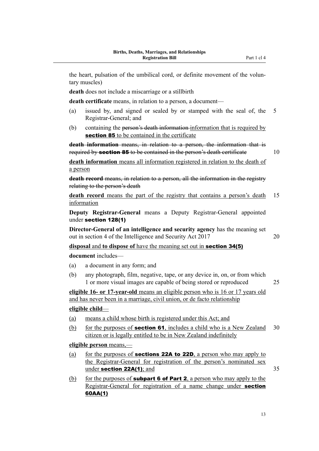the heart, pulsation of the umbilical cord, or definite movement of the voluntary muscles)

**death** does not include a miscarriage or a stillbirth

**death certificate** means, in relation to a person, a document—

- (a) issued by, and signed or sealed by or stamped with the seal of, the 5 Registrar-General; and
- (b) containing the person's death information information that is required by section 85 to be contained in the certificate

**death information** means, in relation to a person, the information that is required by **section 85** to be contained in the person's death certificate 10

**death information** means all information registered in relation to the death of a person

**death record** means, in relation to a person, all the information in the registry relating to the person's death

**death record** means the part of the registry that contains a person's death 15 information

**Deputy Registrar-General** means a Deputy Registrar-General appointed under section 128(1)

**Director-General of an intelligence and security agency** has the meaning set out in section 4 of the Intelligence and Security Act 2017 20

**disposal** and **to dispose of** have the meaning set out in section 34(5)

**document** includes—

- (a) a document in any form; and
- (b) any photograph, film, negative, tape, or any device in, on, or from which 1 or more visual images are capable of being stored or reproduced 25

**eligible 16- or 17-year-old** means an eligible person who is 16 or 17 years old and has never been in a marriage, civil union, or de facto relationship

#### **eligible child**—

- (a) means a child whose birth is registered under this Act; and
- (b) for the purposes of **section 61**, includes a child who is a New Zealand  $30$ citizen or is legally entitled to be in New Zealand indefinitely

**eligible person** means,—

- (a) for the purposes of **sections 22A to 22D**, a person who may apply to the Registrar-General for registration of the person's nominated sex under section  $22A(1)$ ; and  $35$
- (b) for the purposes of **subpart 6 of Part 2**, a person who may apply to the Registrar-General for registration of a name change under **section** 60AA(1)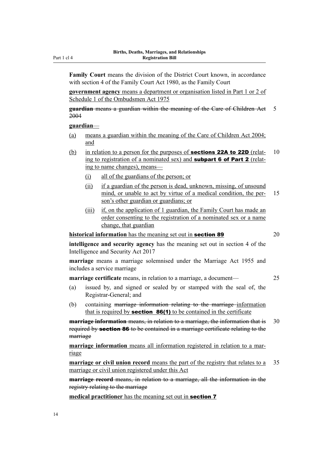**Family Court** means the division of the District Court known, in accordance with section 4 of the Family Court Act 1980, as the Family Court

**government agency** means a department or organisation listed in Part 1 or 2 of Schedule 1 of the Ombudsmen Act 1975

**guardian** means a guardian within the meaning of the Care of Children Act 5 2004

#### **guardian**—

- (a) means a guardian within the meaning of the Care of Children Act 2004; and
- (b) in relation to a person for the purposes of **sections 22A to 22D** (relat- 10) ing to registration of a nominated sex) and **subpart 6 of Part 2** (relating to name changes), means—
	- (i) all of the guardians of the person; or
	- (ii) if a guardian of the person is dead, unknown, missing, of unsound mind, or unable to act by virtue of a medical condition, the per-<br>15 son's other guardian or guardians; or
	- (iii) if, on the application of 1 guardian, the Family Court has made an order consenting to the registration of a nominated sex or a name change, that guardian

**historical information** has the meaning set out in **section 89** 20

**intelligence and security agency** has the meaning set out in section 4 of the Intelligence and Security Act 2017

**marriage** means a marriage solemnised under the Marriage Act 1955 and includes a service marriage

**marriage certificate** means, in relation to a marriage, a document— 25

- (a) issued by, and signed or sealed by or stamped with the seal of, the Registrar-General; and
- (b) containing marriage information relating to the marriage information that is required by **section 86(1)** to be contained in the certificate

**marriage information** means, in relation to a marriage, the information that is 30 required by section 86 to be contained in a marriage certificate relating to the marriage

**marriage information** means all information registered in relation to a marriage

**marriage or civil union record** means the part of the registry that relates to a 35 marriage or civil union registered under this Act

**marriage record** means, in relation to a marriage, all the information in the registry relating to the marriage

**medical practitioner** has the meaning set out in section 7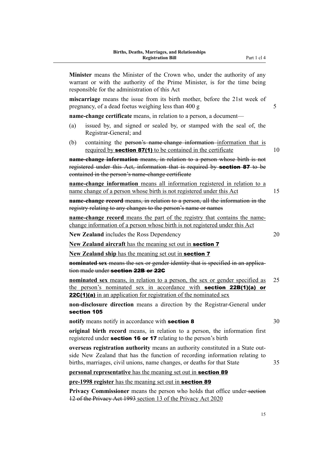**Minister** means the Minister of the Crown who, under the authority of any warrant or with the authority of the Prime Minister, is for the time being responsible for the administration of this Act **miscarriage** means the issue from its birth mother, before the 21st week of pregnancy, of a dead foetus weighing less than  $400 \text{ g}$  5 **name-change certificate** means, in relation to a person, a document— (a) issued by, and signed or sealed by, or stamped with the seal of, the Registrar-General; and (b) containing the person's name-change information information that is required by **section 87(1)** to be contained in the certificate  $10$ **name-change information** means, in relation to a person whose birth is not registered under this Act, information that is required by **section 87** to be contained in the person's name-change certificate **name-change information** means all information registered in relation to a name change of a person whose birth is not registered under this Act 15 **name-change record** means, in relation to a person, all the information in the registry relating to any changes to the person's name or names **name-change record** means the part of the registry that contains the namechange information of a person whose birth is not registered under this Act **New Zealand** includes the Ross Dependency 20 **New Zealand aircraft** has the meaning set out in section 7 New **Zealand ship** has the meaning set out in **section 7 nominated sex** means the sex or gender identity that is specified in an application made under section 22B or 22G **nominated sex** means, in relation to a person, the sex or gender specified as 25 the person's nominated sex in accordance with **section 22B(1)(a) or 22C(1)(a)** in an application for registration of the nominated sex **non-disclosure direction** means a direction by the Registrar-General under section 105 **notify** means notify in accordance with **section 8** 30 **original birth record** means, in relation to a person, the information first registered under **section 16 or 17** relating to the person's birth **overseas registration authority** means an authority constituted in a State out‐ side New Zealand that has the function of recording information relating to births, marriages, civil unions, name changes, or deaths for that State 35 **personal representative** has the meaning set out in **section 89 pre-1998 register** has the meaning set out in section 89

**Privacy Commissioner** means the person who holds that office under-section 12 of the Privacy Act 1993 section 13 of the Privacy Act 2020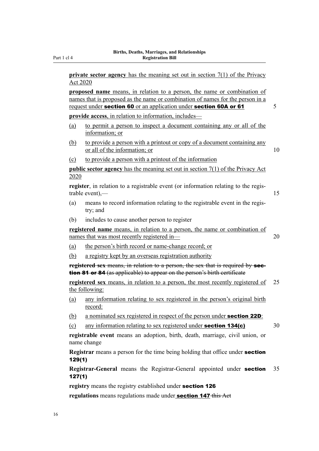**private sector agency** has the meaning set out in section 7(1) of the Privacy Act 2020

**proposed name** means, in relation to a person, the name or combination of names that is proposed as the name or combination of names for the person in a request under **section 60** or an application under **section 60A or 61** 5

**provide access**, in relation to information, includes—

- (a) to permit a person to inspect a document containing any or all of the information; or
- (b) to provide a person with a printout or copy of a document containing any or all of the information; or 10
- (c) to provide a person with a printout of the information

**public sector agency** has the meaning set out in section 7(1) of the Privacy Act 2020

**register**, in relation to a registrable event (or information relating to the regis‐ trable event),— 15

- (a) means to record information relating to the registrable event in the regis‐ try; and
- (b) includes to cause another person to register

**registered name** means, in relation to a person, the name or combination of names that was most recently registered in— 20

- (a) the person's birth record or name-change record; or
- (b) a registry kept by an overseas registration authority

**registered sex** means, in relation to a person, the sex that is required by section 81 or 84 (as applicable) to appear on the person's birth certificate

**registered sex** means, in relation to a person, the most recently registered of 25 the following:

- (a) any information relating to sex registered in the person's original birth record:
- (b) a nominated sex registered in respect of the person under **section 22D**:
- (c) any information relating to sex registered under **section 134(c)**  $30$

**registrable event** means an adoption, birth, death, marriage, civil union, or name change

**Registrar** means a person for the time being holding that office under section 129(1)

**Registrar-General** means the Registrar-General appointed under section 35 127(1)

**registry** means the registry established under section 126

**regulations** means regulations made under section 147 this Act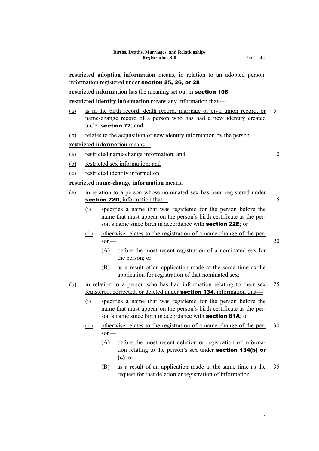**restricted adoption information** means, in relation to an adopted person, information registered under section 25, 26, or 28 **restricted information** has the meaning set out in **section 108 restricted identity information** means any information that— (a) is in the birth record, death record, marriage or civil union record, or 5 name-change record of a person who has had a new identity created under section 77; and (b) relates to the acquisition of new identity information by the person **restricted information** means— (a) restricted name-change information; and 10 (b) restricted sex information; and (c) restricted identity information **restricted name-change information** means,— (a) in relation to a person whose nominated sex has been registered under section 22D, information that— 15 (i) specifies a name that was registered for the person before the name that must appear on the person's birth certificate as the per‐ son's name since birth in accordance with **section 22E**; or (ii) otherwise relates to the registration of a name change of the per‐  $\frac{\text{son}}{\text{20}}$ (A) before the most recent registration of a nominated sex for the person; or (B) as a result of an application made at the same time as the application for registration of that nominated sex: (b) in relation to a person who has had information relating to their sex 25 registered, corrected, or deleted under **section 134**, information that-(i) specifies a name that was registered for the person before the name that must appear on the person's birth certificate as the per‐ son's name since birth in accordance with **section 81A**; or (ii) otherwise relates to the registration of a name change of the per-  $30$ son— (A) before the most recent deletion or registration of information relating to the person's sex under section 134(b) or (c); or (B) as a result of an application made at the same time as the 35 request for that deletion or registration of information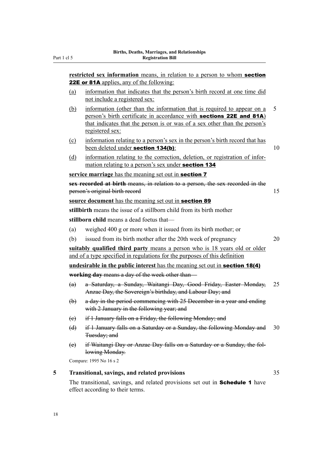<span id="page-21-0"></span>**restricted sex information** means, in relation to a person to whom **section** 22E or 81A applies, any of the following: (a) information that indicates that the person's birth record at one time did not include a registered sex: (b) information (other than the information that is required to appear on a 5 person's birth certificate in accordance with sections 22E and 81A) that indicates that the person is or was of a sex other than the person's registered sex: (c) information relating to a person's sex in the person's birth record that has been deleted under **section 134(b)**: 10 (d) information relating to the correction, deletion, or registration of information relating to a person's sex under section 134 **service marriage** has the meaning set out in section 7 **sex recorded at birth** means, in relation to a person, the sex recorded in the person's original birth record 15 **source document** has the meaning set out in section 89 **stillbirth** means the issue of a stillborn child from its birth mother **stillborn child** means a dead foetus that— (a) weighed 400 g or more when it issued from its birth mother; or (b) issued from its birth mother after the 20th week of pregnancy 20 **suitably qualified third party** means a person who is 18 years old or older and of a type specified in regulations for the purposes of this definition **undesirable in the public interest** has the meaning set out in section 18(4) **working day** means a day of the week other than— (a) a Saturday, a Sunday, Waitangi Day, Good Friday, Easter Monday, 25 Anzac Day, the Sovereign's birthday, and Labour Day; and (b) a day in the period commencing with 25 December in a year and ending with 2 January in the following year; and (c) if 1 January falls on a Friday, the following Monday; and (d) if 1 January falls on a Saturday or a Sunday, the following Monday and 30 Tuesday; and (e) if Waitangi Day or Anzac Day falls on a Saturday or a Sunday, the fol‐ lowing Monday. Compare: 1995 No 16 s 2 **5 Transitional, savings, and related provisions** 35 The transitional, savings, and related provisions set out in **Schedule 1** have

effect according to their terms.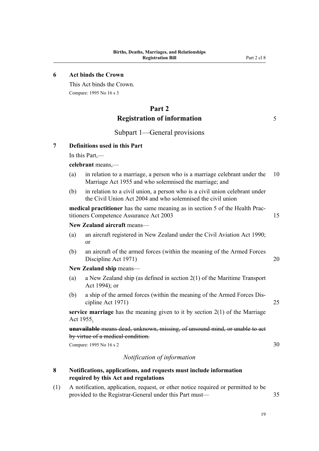#### <span id="page-22-0"></span>**6 Act binds the Crown**

This Act binds the Crown. Compare: 1995 No 16 s 3

### **Part 2 Registration of information** 5

#### Subpart 1—General provisions

#### **7 Definitions used in this Part**

In this Part,—

#### **celebrant** means,—

- (a) in relation to a marriage, a person who is a marriage celebrant under the 10 Marriage Act 1955 and who solemnised the marriage; and
- (b) in relation to a civil union, a person who is a civil union celebrant under the Civil Union Act 2004 and who solemnised the civil union

**medical practitioner** has the same meaning as in section 5 of the Health Prac‐ titioners Competence Assurance Act 2003 15

#### **New Zealand aircraft** means—

- (a) an aircraft registered in New Zealand under the Civil Aviation Act 1990; or
- (b) an aircraft of the armed forces (within the meaning of the Armed Forces Discipline Act 1971) 20

**New Zealand ship** means—

- (a) a New Zealand ship (as defined in section 2(1) of the Maritime Transport Act 1994); or
- (b) a ship of the armed forces (within the meaning of the Armed Forces Dis‐ cipline Act 1971) 25

**service marriage** has the meaning given to it by section 2(1) of the Marriage Act 1955.

**unavailable** means dead, unknown, missing, of unsound mind, or unable to act by virtue of a medical condition.

Compare: 1995 No  $16 s 2$  30

#### *Notification of information*

- **8 Notifications, applications, and requests must include information required by this Act and regulations**
- (1) A notification, application, request, or other notice required or permitted to be provided to the Registrar-General under this Part must— 35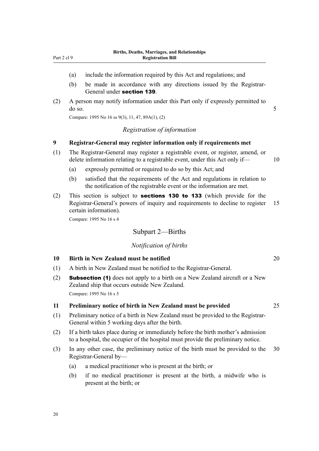- <span id="page-23-0"></span>(a) include the information required by this Act and regulations; and
- (b) be made in accordance with any directions issued by the Registrar-General under section 139.
- (2) A person may notify information under this Part only if expressly permitted to  $\frac{1}{5}$  do so. 5

Compare: 1995 No 16 ss 9(3), 11, 47, 89A(1), (2)

#### *Registration of information*

#### **9 Registrar-General may register information only if requirements met**

- (1) The Registrar-General may register a registrable event, or register, amend, or delete information relating to a registrable event, under this Act only if— 10
	- (a) expressly permitted or required to do so by this Act; and
	- (b) satisfied that the requirements of the Act and regulations in relation to the notification of the registrable event or the information are met.
- (2) This section is subject to sections 130 to 133 (which provide for the Registrar-General's powers of inquiry and requirements to decline to register 15 certain information).

Compare: 1995 No 16 s 4

#### Subpart 2—Births

#### *Notification of births*

#### **10 Birth in New Zealand must be notified** 20

- (1) A birth in New Zealand must be notified to the Registrar-General.
- (2) Subsection (1) does not apply to a birth on a New Zealand aircraft or a New Zealand ship that occurs outside New Zealand. Compare: 1995 No 16 s 5

#### **11 Preliminary notice of birth in New Zealand must be provided** 25

- (1) Preliminary notice of a birth in New Zealand must be provided to the Registrar-General within 5 working days after the birth.
- (2) If a birth takes place during or immediately before the birth mother's admission to a hospital, the occupier of the hospital must provide the preliminary notice.
- (3) In any other case, the preliminary notice of the birth must be provided to the 30 Registrar-General by—
	- (a) a medical practitioner who is present at the birth; or
	- (b) if no medical practitioner is present at the birth, a midwife who is present at the birth; or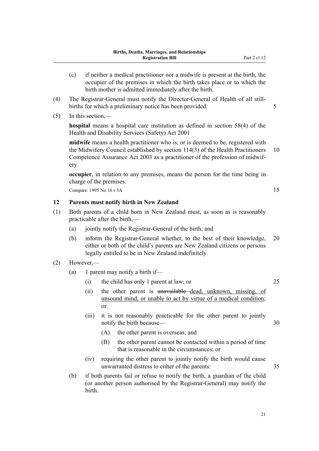- <span id="page-24-0"></span>(c) if neither a medical practitioner nor a midwife is present at the birth, the occupier of the premises in which the birth takes place or to which the birth mother is admitted immediately after the birth.
- (4) The Registrar-General must notify the Director-General of Health of all still‐ births for which a preliminary notice has been provided.  $\frac{5}{5}$
- (5) In this section,—

**hospital** means a hospital care institution as defined in section 58(4) of the Health and Disability Services (Safety) Act 2001

**midwife** means a health practitioner who is, or is deemed to be, registered with the Midwifery Council established by section 114(3) of the Health Practitioners 10 Competence Assurance Act 2003 as a practitioner of the profession of midwif‐ ery

**occupier**, in relation to any premises, means the person for the time being in charge of the premises.

Compare: 1995 No 16 s 5A 15

#### **12 Parents must notify birth in New Zealand**

- (1) Both parents of a child born in New Zealand must, as soon as is reasonably practicable after the birth,—
	- (a) jointly notify the Registrar-General of the birth; and
	- (b) inform the Registrar-General whether, to the best of their knowledge, 20 either or both of the child's parents are New Zealand citizens or persons legally entitled to be in New Zealand indefinitely.
- (2) However,—
	- (a) 1 parent may notify a birth if—
		- (i) the child has only 1 parent at law; or 25
		- (ii) the other parent is unavailable dead, unknown, missing, of unsound mind, or unable to act by virtue of a medical condition; or
		- (iii) it is not reasonably practicable for the other parent to jointly notify the birth because— 30
			- (A) the other parent is overseas; and
			- (B) the other parent cannot be contacted within a period of time that is reasonable in the circumstances; or
		- (iv) requiring the other parent to jointly notify the birth would cause unwarranted distress to either of the parents: 35
	- (b) if both parents fail or refuse to notify the birth, a guardian of the child (or another person authorised by the Registrar-General) may notify the birth.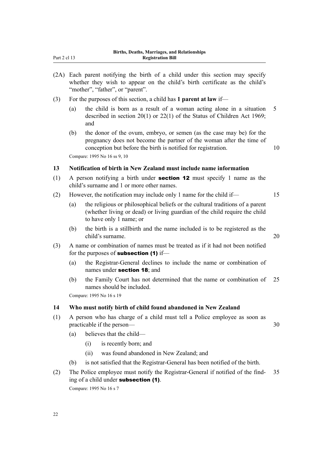| (2A) Each parent notifying the birth of a child under this section may specify |  |  |  |  |  |  |  |
|--------------------------------------------------------------------------------|--|--|--|--|--|--|--|
| whether they wish to appear on the child's birth certificate as the child's    |  |  |  |  |  |  |  |
| "mother", "father", or "parent".                                               |  |  |  |  |  |  |  |

- (3) For the purposes of this section, a child has **1 parent at law** if—
	- (a) the child is born as a result of a woman acting alone in a situation 5 described in section 20(1) or 22(1) of the Status of Children Act 1969; and
	- (b) the donor of the ovum, embryo, or semen (as the case may be) for the pregnancy does not become the partner of the woman after the time of conception but before the birth is notified for registration. 10 Compare: 1995 No 16 ss 9, 10

**13 Notification of birth in New Zealand must include name information**

- (1) A person notifying a birth under **section 12** must specify 1 name as the child's surname and 1 or more other names.
- (2) However, the notification may include only 1 name for the child if— 15
	- (a) the religious or philosophical beliefs or the cultural traditions of a parent (whether living or dead) or living guardian of the child require the child to have only 1 name; or
	- (b) the birth is a stillbirth and the name included is to be registered as the child's surname. 20
- (3) A name or combination of names must be treated as if it had not been notified for the purposes of **subsection (1)** if-
	- (a) the Registrar-General declines to include the name or combination of names under section 18; and
	- (b) the Family Court has not determined that the name or combination of 25 names should be included.

Compare: 1995 No 16 s 19

#### **14 Who must notify birth of child found abandoned in New Zealand**

- (1) A person who has charge of a child must tell a Police employee as soon as practicable if the person— 30
	- (a) believes that the child—
		- (i) is recently born; and
		- (ii) was found abandoned in New Zealand; and
	- (b) is not satisfied that the Registrar-General has been notified of the birth.
- (2) The Police employee must notify the Registrar-General if notified of the find‐ 35 ing of a child under subsection (1).

Compare: 1995 No 16 s 7

<span id="page-25-0"></span>Part 2 cl 13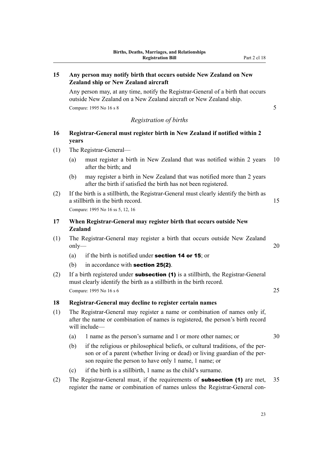#### <span id="page-26-0"></span>**15 Any person may notify birth that occurs outside New Zealand on New Zealand ship or New Zealand aircraft**

Any person may, at any time, notify the Registrar-General of a birth that occurs outside New Zealand on a New Zealand aircraft or New Zealand ship. Compare: 1995 No 16 s 8 5

#### *Registration of births*

### **16 Registrar-General must register birth in New Zealand if notified within 2 years**

- (1) The Registrar-General—
	- (a) must register a birth in New Zealand that was notified within 2 years 10 after the birth; and
	- (b) may register a birth in New Zealand that was notified more than 2 years after the birth if satisfied the birth has not been registered.
- (2) If the birth is a stillbirth, the Registrar-General must clearly identify the birth as a stillbirth in the birth record. 15 Compare: 1995 No 16 ss 5, 12, 16

#### **17 When Registrar-General may register birth that occurs outside New Zealand**

- (1) The Registrar-General may register a birth that occurs outside New Zealand only— 20
	- (a) if the birth is notified under **section 14 or 15**; or
	- (b) in accordance with **section 25(2)**.
- (2) If a birth registered under **subsection (1)** is a stillbirth, the Registrar-General must clearly identify the birth as a stillbirth in the birth record. Compare: 1995 No 16 s 6 25

#### **18 Registrar-General may decline to register certain names**

- (1) The Registrar-General may register a name or combination of names only if, after the name or combination of names is registered, the person's birth record will include—
	- (a) 1 name as the person's surname and 1 or more other names; or 30
	- (b) if the religious or philosophical beliefs, or cultural traditions, of the per‐ son or of a parent (whether living or dead) or living guardian of the per‐ son require the person to have only 1 name, 1 name; or
	- (c) if the birth is a stillbirth, 1 name as the child's surname.
- (2) The Registrar-General must, if the requirements of **subsection (1)** are met,  $35$ register the name or combination of names unless the Registrar-General con-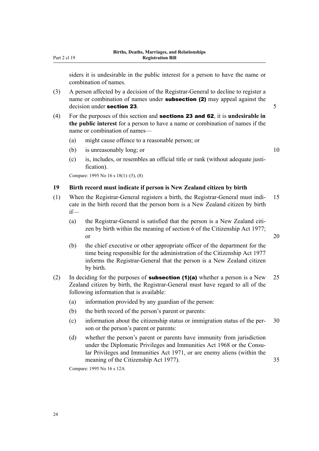<span id="page-27-0"></span>siders it is undesirable in the public interest for a person to have the name or combination of names.

- (3) A person affected by a decision of the Registrar-General to decline to register a name or combination of names under **subsection (2)** may appeal against the  $\alpha$  decision under **section 23**.  $\alpha$  5
- (4) For the purposes of this section and sections 23 and 62, it is **undesirable in the public interest** for a person to have a name or combination of names if the name or combination of names—
	- (a) might cause offence to a reasonable person; or
	- (b) is unreasonably long; or  $10$
	- (c) is, includes, or resembles an official title or rank (without adequate justi‐ fication).

Compare: 1995 No 16 s 18(1)–(5), (8)

#### **19 Birth record must indicate if person is New Zealand citizen by birth**

- (1) When the Registrar-General registers a birth, the Registrar-General must indi‐ 15 cate in the birth record that the person born is a New Zealand citizen by birth if—
	- (a) the Registrar-General is satisfied that the person is a New Zealand citizen by birth within the meaning of section 6 of the Citizenship Act 1977; or 20
	- (b) the chief executive or other appropriate officer of the department for the time being responsible for the administration of the Citizenship Act 1977 informs the Registrar-General that the person is a New Zealand citizen by birth.
- (2) In deciding for the purposes of **subsection (1)(a)** whether a person is a New 25 Zealand citizen by birth, the Registrar-General must have regard to all of the following information that is available:
	- (a) information provided by any guardian of the person:
	- (b) the birth record of the person's parent or parents:
	- (c) information about the citizenship status or immigration status of the per‐ 30 son or the person's parent or parents:
	- (d) whether the person's parent or parents have immunity from jurisdiction under the Diplomatic Privileges and Immunities Act 1968 or the Consular Privileges and Immunities Act 1971, or are enemy aliens (within the meaning of the Citizenship Act 1977). 35

Compare: 1995 No 16 s 12A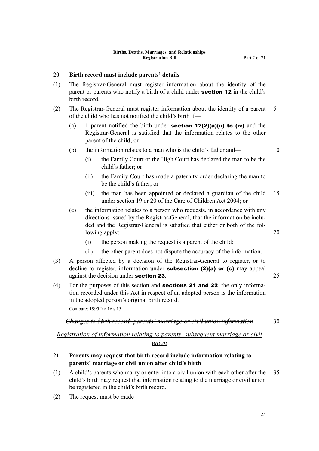#### <span id="page-28-0"></span>**20 Birth record must include parents' details**

- (1) The Registrar-General must register information about the identity of the parent or parents who notify a birth of a child under **section 12** in the child's birth record.
- (2) The Registrar-General must register information about the identity of a parent 5 of the child who has not notified the child's birth if—
	- (a) 1 parent notified the birth under **section 12(2)(a)(ii) to (iv)** and the Registrar-General is satisfied that the information relates to the other parent of the child; or
	- (b) the information relates to a man who is the child's father and— 10
		- (i) the Family Court or the High Court has declared the man to be the child's father; or
		- (ii) the Family Court has made a paternity order declaring the man to be the child's father; or
		- (iii) the man has been appointed or declared a guardian of the child 15 under section 19 or 20 of the Care of Children Act 2004; or
	- (c) the information relates to a person who requests, in accordance with any directions issued by the Registrar-General, that the information be included and the Registrar-General is satisfied that either or both of the fol‐ lowing apply: 20
		- (i) the person making the request is a parent of the child:
		- (ii) the other parent does not dispute the accuracy of the information.
- (3) A person affected by a decision of the Registrar-General to register, or to decline to register, information under **subsection (2)(a) or (c)** may appeal against the decision under **section 23**. 25
- (4) For the purposes of this section and **sections 21 and 22**, the only information recorded under this Act in respect of an adopted person is the information in the adopted person's original birth record. Compare: 1995 No 16 s 15

#### *Changes to birth record: parents' marriage or civil union information* 30

# *Registration of information relating to parents' subsequent marriage or civil*

#### *union*

#### **21 Parents may request that birth record include information relating to parents' marriage or civil union after child's birth**

- (1) A child's parents who marry or enter into a civil union with each other after the 35 child's birth may request that information relating to the marriage or civil union be registered in the child's birth record.
- (2) The request must be made—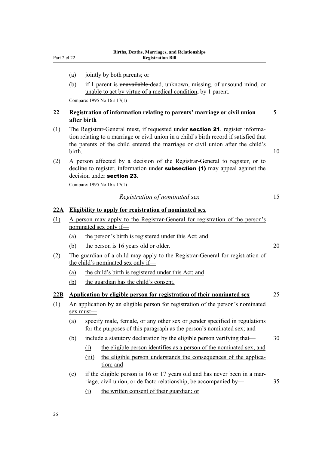- <span id="page-29-0"></span>(a) jointly by both parents; or
- (b) if 1 parent is unavailable dead, unknown, missing, of unsound mind, or unable to act by virtue of a medical condition, by 1 parent.

Compare: 1995 No 16 s 17(1)

#### **22 Registration of information relating to parents' marriage or civil union** 5 **after birth**

- (1) The Registrar-General must, if requested under **section 21**, register information relating to a marriage or civil union in a child's birth record if satisfied that the parents of the child entered the marriage or civil union after the child's birth. 10
- (2) A person affected by a decision of the Registrar-General to register, or to decline to register, information under **subsection (1)** may appeal against the decision under section 23.

Compare: 1995 No 16 s 17(1)

#### *Registration of nominated sex* 15

#### **22A Eligibility to apply for registration of nominated sex**

- (1) A person may apply to the Registrar-General for registration of the person's nominated sex only if—
	- (a) the person's birth is registered under this Act; and
	- (b) the person is 16 years old or older. 20
- (2) The guardian of a child may apply to the Registrar-General for registration of the child's nominated sex only if—
	- (a) the child's birth is registered under this Act; and
	- (b) the guardian has the child's consent.

#### **22B Application by eligible person for registration of their nominated sex** 25

- (1) An application by an eligible person for registration of the person's nominated sex must—
	- (a) specify male, female, or any other sex or gender specified in regulations for the purposes of this paragraph as the person's nominated sex; and
	- (b) include a statutory declaration by the eligible person verifying that  $\sim$  30
		- (i) the eligible person identifies as a person of the nominated sex; and
		- (iii) the eligible person understands the consequences of the application; and
	- (c) if the eligible person is 16 or 17 years old and has never been in a marriage, civil union, or de facto relationship, be accompanied by— 35
		- (i) the written consent of their guardian; or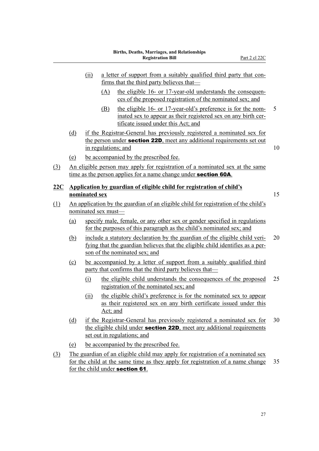- <span id="page-30-0"></span>(ii) a letter of support from a suitably qualified third party that con‐ firms that the third party believes that— (A) the eligible 16- or 17-year-old understands the consequences of the proposed registration of the nominated sex; and (B) the eligible 16- or 17-year-old's preference is for the nom
	- inated sex to appear as their registered sex on any birth certificate issued under this Act; and
- (d) if the Registrar-General has previously registered a nominated sex for the person under **section 22D**, meet any additional requirements set out in regulations; and 10

- (e) be accompanied by the prescribed fee.
- (3) An eligible person may apply for registration of a nominated sex at the same time as the person applies for a name change under **section 60A**.
- **22C Application by guardian of eligible child for registration of child's nominated sex** 15

- (1) An application by the guardian of an eligible child for registration of the child's nominated sex must—
	- (a) specify male, female, or any other sex or gender specified in regulations for the purposes of this paragraph as the child's nominated sex; and
	- (b) include a statutory declaration by the guardian of the eligible child veri‐ 20 fying that the guardian believes that the eligible child identifies as a per‐ son of the nominated sex; and
	- (c) be accompanied by a letter of support from a suitably qualified third party that confirms that the third party believes that—
		- (i) the eligible child understands the consequences of the proposed 25 registration of the nominated sex; and
		- (ii) the eligible child's preference is for the nominated sex to appear as their registered sex on any birth certificate issued under this Act; and
	- (d) if the Registrar-General has previously registered a nominated sex for 30 the eligible child under **section 22D**, meet any additional requirements set out in regulations; and
	- (e) be accompanied by the prescribed fee.
- (3) The guardian of an eligible child may apply for registration of a nominated sex for the child at the same time as they apply for registration of a name change 35 for the child under section 61.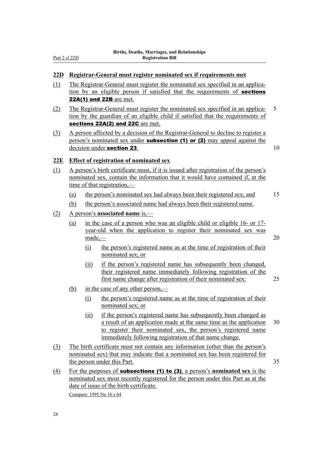#### <span id="page-31-0"></span>**22D Registrar-General must register nominated sex if requirements met**

- (1) The Registrar-General must register the nominated sex specified in an applica‐ tion by an eligible person if satisfied that the requirements of sections 22A(1) and 22B are met.
- (2) The Registrar-General must register the nominated sex specified in an applica‐ 5 tion by the guardian of an eligible child if satisfied that the requirements of sections 22A(2) and 22C are met.
- (3) A person affected by a decision of the Registrar-General to decline to register a person's nominated sex under **subsection (1) or (2)** may appeal against the decision under section 23. 10

#### **22E Effect of registration of nominated sex**

- (1) A person's birth certificate must, if it is issued after registration of the person's nominated sex, contain the information that it would have contained if, at the time of that registration,—
	- (a) the person's nominated sex had always been their registered sex; and 15
	- (b) the person's associated name had always been their registered name.

#### (2) A person's **associated name** is,—

- (a) in the case of a person who was an eligible child or eligible 16- or 17 year-old when the application to register their nominated sex was  $\frac{\text{made}}{\text{mode}}$  20
	- (i) the person's registered name as at the time of registration of their nominated sex; or
	- (ii) if the person's registered name has subsequently been changed, their registered name immediately following registration of the first name change after registration of their nominated sex: 25
- (b) in the case of any other person,—
	- (i) the person's registered name as at the time of registration of their nominated sex; or
	- (ii) if the person's registered name has subsequently been changed as a result of an application made at the same time as the application 30 to register their nominated sex, the person's registered name immediately following registration of that name change.
- (3) The birth certificate must not contain any information (other than the person's nominated sex) that may indicate that a nominated sex has been registered for the person under this Part. 35
- (4) For the purposes of subsections (1) to (3), a person's **nominated sex** is the nominated sex most recently registered for the person under this Part as at the date of issue of the birth certificate. Compare: 1995 No 16 s 64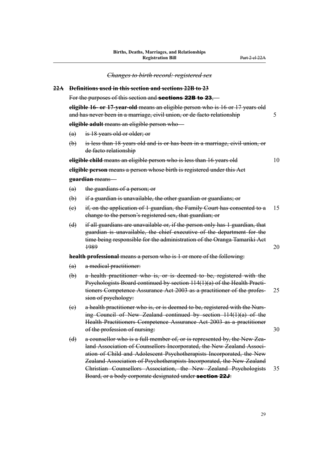<span id="page-32-0"></span>*Changes to birth record: registered sex* **22A Definitions used in this section and sections 22B to 23** For the purposes of this section and **sections 22B to 23. eligible 16- or 17-year-old** means an eligible person who is 16 or 17 years old and has never been in a marriage, civil union, or de facto relationship 5 **eligible adult** means an eligible person who— (a) is 18 years old or older; or (b) is less than 18 years old and is or has been in a marriage, civil union, or de facto relationship **eligible child** means an eligible person who is less than 16 years old 10 **eligible person** means a person whose birth is registered under this Act **guardian** means— (a) the guardians of a person; or (b) if a guardian is unavailable, the other guardian or guardians; or (c) if, on the application of 1 guardian, the Family Court has consented to a 15 change to the person's registered sex, that guardian; or (d) if all guardians are unavailable or, if the person only has 1 guardian, that guardian is unavailable, the chief executive of the department for the time being responsible for the administration of the Oranga Tamariki Act 1989 20 **health professional** means a person who is 1 or more of the following: (a) a medical practitioner: (b) a health practitioner who is, or is deemed to be, registered with the Psychologists Board continued by section 114(1)(a) of the Health Practi‐ tioners Competence Assurance Act 2003 as a practitioner of the profes- 25 sion of psychology: (c) a health practitioner who is, or is deemed to be, registered with the Nurs‐ ing Council of New Zealand continued by section 114(1)(a) of the Health Practitioners Competence Assurance Act 2003 as a practitioner of the profession of nursing: 30 (d) a counsellor who is a full member of, or is represented by, the New Zealand Association of Counsellors Incorporated, the New Zealand Association of Child and Adolescent Psychotherapists Incorporated, the New Zealand Association of Psychotherapists Incorporated, the New Zealand Christian Counsellors Association, the New Zealand Psychologists 35 Board, or a body corporate designated under section 22J: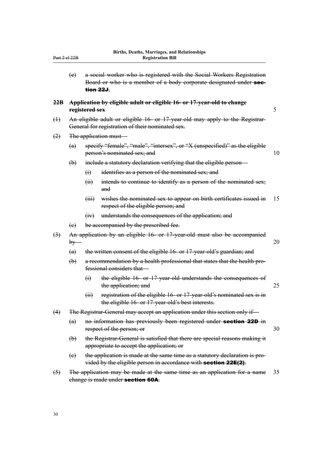<span id="page-33-0"></span>

| Part 2 el 22B    |                                                                                                                  |                                                                                                                                                | DITUIS, Deaths, Mai Hages, and Kelauonships<br><b>Registration Bill</b>                                                                                   |    |  |
|------------------|------------------------------------------------------------------------------------------------------------------|------------------------------------------------------------------------------------------------------------------------------------------------|-----------------------------------------------------------------------------------------------------------------------------------------------------------|----|--|
|                  | (e)                                                                                                              |                                                                                                                                                | a social worker who is registered with the Social Workers Registration<br>Board or who is a member of a body corporate designated under sec-<br>tion 22J. |    |  |
| 22B              |                                                                                                                  | Application by cligible adult or cligible 16- or 17-year-old to change<br>registered sex                                                       |                                                                                                                                                           |    |  |
| $\bigoplus$      |                                                                                                                  | An eligible adult or eligible 16- or 17-year-old may apply to the Registrar-<br>General for registration of their nominated sex.               |                                                                                                                                                           |    |  |
| (2)              | The application must-                                                                                            |                                                                                                                                                |                                                                                                                                                           |    |  |
|                  | specify "female", "male", "intersex", or "X (unspecified)" as the eligible<br>(a)<br>person's nominated sex; and |                                                                                                                                                |                                                                                                                                                           | 10 |  |
|                  | $\bigoplus$                                                                                                      | include a statutory declaration verifying that the eligible person—                                                                            |                                                                                                                                                           |    |  |
|                  |                                                                                                                  | $\Theta$                                                                                                                                       | identifies as a person of the nominated sex; and                                                                                                          |    |  |
|                  |                                                                                                                  | (ii)                                                                                                                                           | intends to continue to identify as a person of the nominated sex;<br>and                                                                                  |    |  |
|                  |                                                                                                                  | (iii)                                                                                                                                          | wishes the nominated sex to appear on birth certificates issued in<br>respect of the eligible person; and                                                 | 15 |  |
|                  |                                                                                                                  | (y)                                                                                                                                            | understands the consequences of the application; and                                                                                                      |    |  |
|                  | $\left(\mathrm{e}\right)$                                                                                        |                                                                                                                                                | be accompanied by the prescribed fee.                                                                                                                     |    |  |
| $\left(3\right)$ | An application by an eligible 16- or 17-year-old must also be accompanied<br>$by-$                               |                                                                                                                                                | 20                                                                                                                                                        |    |  |
|                  | (a)                                                                                                              | the written consent of the eligible 16- or 17-year-old's guardian; and                                                                         |                                                                                                                                                           |    |  |
|                  | $\biguplus$                                                                                                      |                                                                                                                                                | a recommendation by a health professional that states that the health pro-<br>fessional considers that-                                                   |    |  |
|                  |                                                                                                                  | $\Theta$                                                                                                                                       | the eligible 16- or 17-year-old understands the consequences of<br>the application; and                                                                   | 25 |  |
|                  |                                                                                                                  | (H)                                                                                                                                            | registration of the eligible 16- or 17-year-old's nominated sex is in<br>the eligible 16- or 17-year-old's best interests.                                |    |  |
| (4)              | The Registrar-General may accept an application under this section only if-                                      |                                                                                                                                                |                                                                                                                                                           |    |  |
|                  | (a)                                                                                                              | no information has previously been registered under section 22D in<br>respect of the person; or                                                |                                                                                                                                                           | 30 |  |
|                  | $\biguplus$                                                                                                      | the Registrar-General is satisfied that there are special reasons making it<br>appropriate to accept the application; or                       |                                                                                                                                                           |    |  |
|                  | $\left(e\right)$                                                                                                 | the application is made at the same time as a statutory declaration is pro-<br>vided by the eligible person in accordance with section 22E(2). |                                                                                                                                                           |    |  |
| $\left(5\right)$ | The application may be made at the same time as an application for a name<br>change is made under section 60A.   |                                                                                                                                                |                                                                                                                                                           | 35 |  |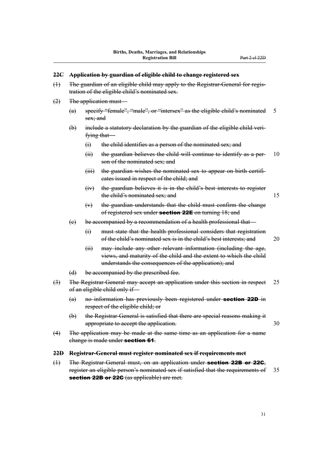#### <span id="page-34-0"></span>**22C Application by guardian of eligible child to change registered sex**

- (1) The guardian of an eligible child may apply to the Registrar-General for regis‐ tration of the eligible child's nominated sex.
- $(2)$  The application must
	- (a) specify "female", "male", or "intersex" as the eligible child's nominated 5 sex; and
	- (b) include a statutory declaration by the guardian of the eligible child veri‐ fying that—
		- (i) the child identifies as a person of the nominated sex; and
		- $(i)$  the guardian believes the child will continue to identify as a per- 10 son of the nominated sex; and
		- (iii) the guardian wishes the nominated sex to appear on birth certificates issued in respect of the child; and
		- (iv) the guardian believes it is in the child's best interests to register the child's nominated sex; and 15
		- (v) the guardian understands that the child must confirm the change of registered sex under **section 22E** on turning 18; and
	- (c) be accompanied by a recommendation of a health professional that—
		- (i) must state that the health professional considers that registration of the child's nominated sex is in the child's best interests; and 20
		- (ii) may include any other relevant information (including the age, views, and maturity of the child and the extent to which the child understands the consequences of the application); and
	- (d) be accompanied by the prescribed fee.
- (3) The Registrar-General may accept an application under this section in respect 25 of an eligible child only if—
	- (a) no information has previously been registered under section 22D in respect of the eligible child; or
	- (b) the Registrar-General is satisfied that there are special reasons making it appropriate to accept the application.  $30$
- (4) The application may be made at the same time as an application for a name change is made under section 61.

#### **22D Registrar-General must register nominated sex if requirements met**

(1) The Registrar-General must, on an application under **section 22B or 22G**, register an eligible person's nominated sex if satisfied that the requirements of 35 section 22B or 22C (as applicable) are met.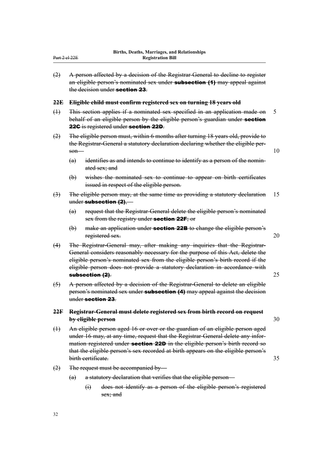<span id="page-35-0"></span>(2) A person affected by a decision of the Registrar-General to decline to register an eligible person's nominated sex under **subsection (1)** may appeal against the decision under section 23.

#### **22E Eligible child must confirm registered sex on turning 18 years old**

- (1) This section applies if a nominated sex specified in an application made on 5 behalf of an eligible person by the eligible person's guardian under **section** 22G is registered under section 22D.
- (2) The eligible person must, within 6 months after turning 18 years old, provide to the Registrar-General a statutory declaration declaring whether the eligible per- $\mathsf{son}$  10
	- $(a)$  identifies as and intends to continue to identify as a person of the nominated sex; and
	- (b) wishes the nominated sex to continue to appear on birth certificates issued in respect of the eligible person.
- (3) The eligible person may, at the same time as providing a statutory declaration 15 under subsection (2),—
	- (a) request that the Registrar-General delete the eligible person's nominated sex from the registry under **section 22F**; or
	- $(b)$  make an application under **section 22B** to change the eligible person's registered sex. 20
- (4) The Registrar-General may, after making any inquiries that the Registrar-General considers reasonably necessary for the purpose of this Act, delete the eligible person's nominated sex from the eligible person's birth record if the eligible person does not provide a statutory declaration in accordance with subsection (2). 25
- (5) A person affected by a decision of the Registrar-General to delete an eligible person's nominated sex under **subsection (4)** may appeal against the decision under section 23.

#### **22F Registrar-General must delete registered sex from birth record on request by eligible person** 30

- (1) An eligible person aged 16 or over or the guardian of an eligible person aged under 16 may, at any time, request that the Registrar-General delete any infor‐ mation registered under **section 22D** in the eligible person's birth record so that the eligible person's sex recorded at birth appears on the eligible person's birth certificate. 35
- (2) The request must be accompanied by—
	- (a) a statutory declaration that verifies that the eligible person—
		- (i) does not identify as a person of the eligible person's registered sex; and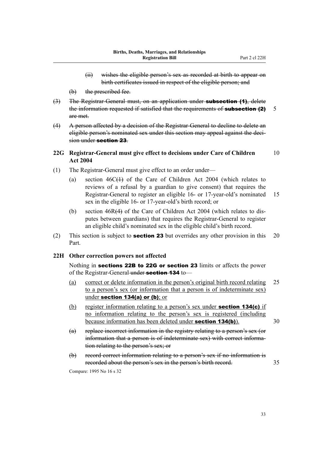- (ii) wishes the eligible person's sex as recorded at birth to appear on birth certificates issued in respect of the eligible person; and
- (b) the prescribed fee.
- (3) The Registrar-General must, on an application under **subsection (1)**, delete the information requested if satisfied that the requirements of **subsection (2)**  $\overline{\phantom{a}}$ are met.
- (4) A person affected by a decision of the Registrar-General to decline to delete an eligible person's nominated sex under this section may appeal against the deci‐ sion under section 23.

# **22G Registrar-General must give effect to decisions under Care of Children** 10 **Act 2004**

- (1) The Registrar-General must give effect to an order under—
	- (a) section 46C(1) of the Care of Children Act 2004 (which relates to reviews of a refusal by a guardian to give consent) that requires the Registrar-General to register an eligible 16- or 17-year-old's nominated 15 sex in the eligible 16- or 17-year-old's birth record; or
	- (b) section 46R(4) of the Care of Children Act 2004 (which relates to dis‐ putes between guardians) that requires the Registrar-General to register an eligible child's nominated sex in the eligible child's birth record.
- (2) This section is subject to **section 23** but overrides any other provision in this 20 Part.

## **22H Other correction powers not affected**

Nothing in sections 22B to 22G or section 23 limits or affects the power of the Registrar-General under **section 134** to-

- (a) correct or delete information in the person's original birth record relating 25 to a person's sex (or information that a person is of indeterminate sex) under section 134(a) or (b); or
- (b) register information relating to a person's sex under **section 134(c)** if no information relating to the person's sex is registered (including because information has been deleted under **section 134(b)**). 30
- (a) replace incorrect information in the registry relating to a person's sex (or information that a person is of indeterminate sex) with correct information relating to the person's sex; or
- (b) record correct information relating to a person's sex if no information is recorded about the person's sex in the person's birth record. 35

Compare: 1995 No 16 s 32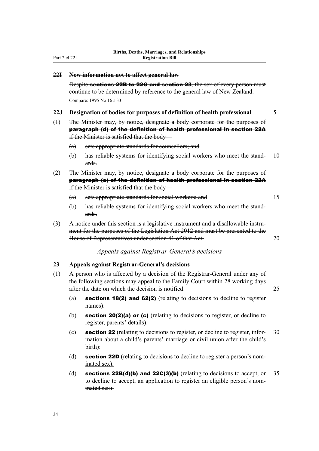#### **22I New information not to affect general law**

Despite sections 22B to 22G and section 23, the sex of every person must continue to be determined by reference to the general law of New Zealand. Compare: 1995 No 16 s 33

#### **22J Designation of bodies for purposes of definition of health professional** 5

- (1) The Minister may, by notice, designate a body corporate for the purposes of paragraph (d) of the definition of health professional in section 22A if the Minister is satisfied that the body—
	- (a) sets appropriate standards for counsellors; and
	- (b) has reliable systems for identifying social workers who meet the stand- 10 ards.
- (2) The Minister may, by notice, designate a body corporate for the purposes of paragraph (e) of the definition of health professional in section 22A if the Minister is satisfied that the body—
	- (a) sets appropriate standards for social workers; and 15
	- (b) has reliable systems for identifying social workers who meet the stand‐ ards.
- $(3)$  A notice under this section is a legislative instrument and a disallowable instrument for the purposes of the Legislation Act 2012 and must be presented to the House of Representatives under section 41 of that Act. 20

# *Appeals against Registrar-General's decisions*

#### **23 Appeals against Registrar-General's decisions**

- (1) A person who is affected by a decision of the Registrar-General under any of the following sections may appeal to the Family Court within 28 working days after the date on which the decision is notified: 25
	- (a) sections 18(2) and 62(2) (relating to decisions to decline to register names):
	- (b) section 20(2)(a) or (c) (relating to decisions to register, or decline to register, parents' details):
	- (c) section 22 (relating to decisions to register, or decline to register, infor‐ 30 mation about a child's parents' marriage or civil union after the child's birth):
	- (d) **section 22D** (relating to decisions to decline to register a person's nominated sex).
	- (d) sections 22B(4)(b) and 22C(3)(b) (relating to decisions to accept, or  $35$ to decline to accept, an application to register an eligible person's nominated sex):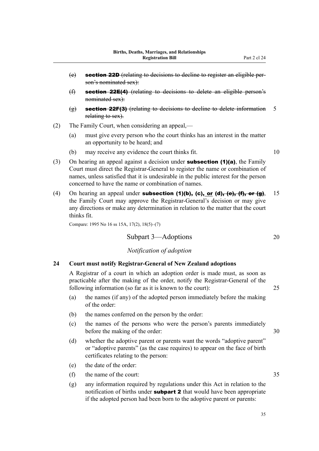- (e) section 22D (relating to decisions to decline to register an eligible per‐ son's nominated sex):
- (f) section 22E(4) (relating to decisions to delete an eligible person's nominated sex):
- $\left(\frac{\alpha}{2}\right)$  section 22F(3) (relating to decisions to decline to delete information 5 relating to sex).
- (2) The Family Court, when considering an appeal,—
	- (a) must give every person who the court thinks has an interest in the matter an opportunity to be heard; and
	- (b) may receive any evidence the court thinks fit. 10
- (3) On hearing an appeal against a decision under **subsection (1)(a)**, the Family Court must direct the Registrar-General to register the name or combination of names, unless satisfied that it is undesirable in the public interest for the person concerned to have the name or combination of names.
- (4) On hearing an appeal under **subsection (1)(b), (c), or (d)**, (e), (f), or (g), 15 the Family Court may approve the Registrar-General's decision or may give any directions or make any determination in relation to the matter that the court thinks fit.

Compare: 1995 No 16 ss 15A, 17(2), 18(5)–(7)

# Subpart 3—Adoptions 20

# *Notification of adoption*

## **24 Court must notify Registrar-General of New Zealand adoptions**

A Registrar of a court in which an adoption order is made must, as soon as practicable after the making of the order, notify the Registrar-General of the following information (so far as it is known to the court): 25

- (a) the names (if any) of the adopted person immediately before the making of the order:
- (b) the names conferred on the person by the order:
- (c) the names of the persons who were the person's parents immediately before the making of the order: 30
- (d) whether the adoptive parent or parents want the words "adoptive parent" or "adoptive parents" (as the case requires) to appear on the face of birth certificates relating to the person:
- (e) the date of the order:
- (f) the name of the court: 35
- (g) any information required by regulations under this Act in relation to the notification of births under **subpart 2** that would have been appropriate if the adopted person had been born to the adoptive parent or parents: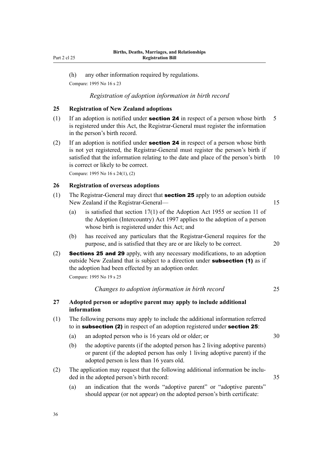(h) any other information required by regulations.

Compare: 1995 No 16 s 23

#### *Registration of adoption information in birth record*

# **25 Registration of New Zealand adoptions**

- (1) If an adoption is notified under **section 24** in respect of a person whose birth  $\overline{5}$ is registered under this Act, the Registrar-General must register the information in the person's birth record.
- (2) If an adoption is notified under **section 24** in respect of a person whose birth is not yet registered, the Registrar-General must register the person's birth if satisfied that the information relating to the date and place of the person's birth 10 is correct or likely to be correct.

Compare: 1995 No 16 s 24(1), (2)

## **26 Registration of overseas adoptions**

- (1) The Registrar-General may direct that **section 25** apply to an adoption outside New Zealand if the Registrar-General— 15
	- (a) is satisfied that section 17(1) of the Adoption Act 1955 or section 11 of the Adoption (Intercountry) Act 1997 applies to the adoption of a person whose birth is registered under this Act; and
	- (b) has received any particulars that the Registrar-General requires for the purpose, and is satisfied that they are or are likely to be correct. 20
- (2) Sections 25 and 29 apply, with any necessary modifications, to an adoption outside New Zealand that is subject to a direction under **subsection (1)** as if the adoption had been effected by an adoption order. Compare: 1995 No 19 s 25

*Changes to adoption information in birth record* 25

# **27 Adopted person or adoptive parent may apply to include additional information**

- (1) The following persons may apply to include the additional information referred to in **subsection (2)** in respect of an adoption registered under **section 25**:
	- (a) an adopted person who is 16 years old or older; or 30
	- (b) the adoptive parents (if the adopted person has 2 living adoptive parents) or parent (if the adopted person has only 1 living adoptive parent) if the adopted person is less than 16 years old.
- (2) The application may request that the following additional information be included in the adopted person's birth record: 35
	- (a) an indication that the words "adoptive parent" or "adoptive parents" should appear (or not appear) on the adopted person's birth certificate: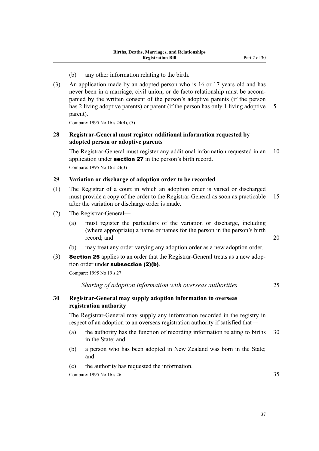- (b) any other information relating to the birth.
- (3) An application made by an adopted person who is 16 or 17 years old and has never been in a marriage, civil union, or de facto relationship must be accom‐ panied by the written consent of the person's adoptive parents (if the person has 2 living adoptive parents) or parent (if the person has only 1 living adoptive 5 parent).

Compare: 1995 No 16 s 24(4), (5)

# **28 Registrar-General must register additional information requested by adopted person or adoptive parents**

The Registrar-General must register any additional information requested in an 10 application under **section 27** in the person's birth record. Compare: 1995 No 16 s 24(3)

## **29 Variation or discharge of adoption order to be recorded**

- (1) The Registrar of a court in which an adoption order is varied or discharged must provide a copy of the order to the Registrar-General as soon as practicable 15 after the variation or discharge order is made.
- (2) The Registrar-General—
	- (a) must register the particulars of the variation or discharge, including (where appropriate) a name or names for the person in the person's birth record; and 20
	- (b) may treat any order varying any adoption order as a new adoption order.
- (3) **Section 25** applies to an order that the Registrar-General treats as a new adoption order under **subsection** (2)(b).

Compare: 1995 No 19 s 27

*Sharing of adoption information with overseas authorities* 25

# **30 Registrar-General may supply adoption information to overseas registration authority**

The Registrar-General may supply any information recorded in the registry in respect of an adoption to an overseas registration authority if satisfied that—

- (a) the authority has the function of recording information relating to births 30 in the State; and
- (b) a person who has been adopted in New Zealand was born in the State; and
- (c) the authority has requested the information.

Compare: 1995 No 16 s 26  $35$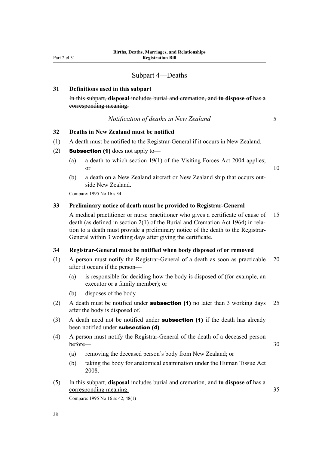# Subpart 4—Deaths

#### **31 Definitions used in this subpart**

In this subpart, **disposal** includes burial and cremation, and **to dispose of** has a corresponding meaning.

## *Notification of deaths in New Zealand* 5

# **32 Deaths in New Zealand must be notified**

- (1) A death must be notified to the Registrar-General if it occurs in New Zealand.
- (2) **Subsection (1)** does not apply to-
	- (a) a death to which section 19(1) of the Visiting Forces Act 2004 applies; or 10
	- (b) a death on a New Zealand aircraft or New Zealand ship that occurs out‐ side New Zealand.

Compare: 1995 No 16 s 34

#### **33 Preliminary notice of death must be provided to Registrar-General**

A medical practitioner or nurse practitioner who gives a certificate of cause of 15 death (as defined in section 2(1) of the Burial and Cremation Act 1964) in rela‐ tion to a death must provide a preliminary notice of the death to the Registrar-General within 3 working days after giving the certificate.

## **34 Registrar-General must be notified when body disposed of or removed**

- (1) A person must notify the Registrar-General of a death as soon as practicable 20 after it occurs if the person—
	- (a) is responsible for deciding how the body is disposed of (for example, an executor or a family member); or
	- (b) disposes of the body.
- (2) A death must be notified under **subsection (1)** no later than 3 working days 25 after the body is disposed of.
- (3) A death need not be notified under **subsection (1)** if the death has already been notified under subsection (4).
- (4) A person must notify the Registrar-General of the death of a deceased person before — 30

- (a) removing the deceased person's body from New Zealand; or
- (b) taking the body for anatomical examination under the Human Tissue Act 2008.
- (5) In this subpart, **disposal** includes burial and cremation, and **to dispose of** has a corresponding meaning. 35

Compare: 1995 No 16 ss 42, 48(1)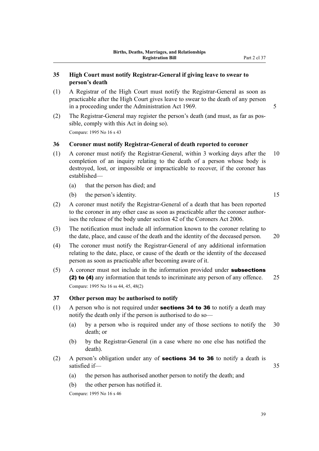# **35 High Court must notify Registrar-General if giving leave to swear to person's death**

- (1) A Registrar of the High Court must notify the Registrar-General as soon as practicable after the High Court gives leave to swear to the death of any person in a proceeding under the Administration Act 1969.
- (2) The Registrar-General may register the person's death (and must, as far as pos‐ sible, comply with this Act in doing so). Compare: 1995 No 16 s 43

## **36 Coroner must notify Registrar-General of death reported to coroner**

- (1) A coroner must notify the Registrar-General, within 3 working days after the 10 completion of an inquiry relating to the death of a person whose body is destroyed, lost, or impossible or impracticable to recover, if the coroner has established—
	- (a) that the person has died; and
	- (b) the person's identity. 15

(2) A coroner must notify the Registrar-General of a death that has been reported to the coroner in any other case as soon as practicable after the coroner authorises the release of the body under section 42 of the Coroners Act 2006.

- (3) The notification must include all information known to the coroner relating to the date, place, and cause of the death and the identity of the deceased person. 20
- (4) The coroner must notify the Registrar-General of any additional information relating to the date, place, or cause of the death or the identity of the deceased person as soon as practicable after becoming aware of it.
- (5) A coroner must not include in the information provided under subsections (2) to (4) any information that tends to incriminate any person of any offence. 25 Compare: 1995 No 16 ss 44, 45, 48(2)

## **37 Other person may be authorised to notify**

- (1) A person who is not required under **sections 34 to 36** to notify a death may notify the death only if the person is authorised to do so—
	- (a) by a person who is required under any of those sections to notify the 30 death; or
	- (b) by the Registrar-General (in a case where no one else has notified the death).
- (2) A person's obligation under any of **sections 34 to 36** to notify a death is satisfied if— 35
	- (a) the person has authorised another person to notify the death; and
	- (b) the other person has notified it.

Compare: 1995 No 16 s 46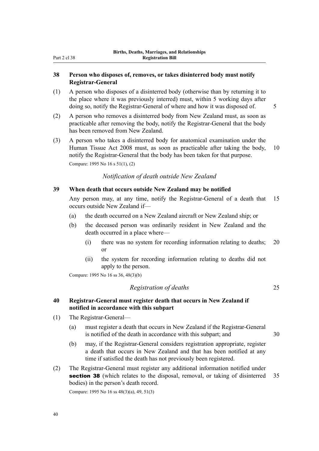# **38 Person who disposes of, removes, or takes disinterred body must notify Registrar-General**

- (1) A person who disposes of a disinterred body (otherwise than by returning it to the place where it was previously interred) must, within 5 working days after doing so, notify the Registrar-General of where and how it was disposed of.  $\frac{5}{5}$
- (2) A person who removes a disinterred body from New Zealand must, as soon as practicable after removing the body, notify the Registrar-General that the body has been removed from New Zealand.
- (3) A person who takes a disinterred body for anatomical examination under the Human Tissue Act 2008 must, as soon as practicable after taking the body, 10 notify the Registrar-General that the body has been taken for that purpose.

Compare: 1995 No 16 s 51(1), (2)

## *Notification of death outside New Zealand*

## **39 When death that occurs outside New Zealand may be notified**

Any person may, at any time, notify the Registrar-General of a death that 15 occurs outside New Zealand if—

- (a) the death occurred on a New Zealand aircraft or New Zealand ship; or
- (b) the deceased person was ordinarily resident in New Zealand and the death occurred in a place where—
	- (i) there was no system for recording information relating to deaths; 20 or
	- (ii) the system for recording information relating to deaths did not apply to the person.

Compare: 1995 No 16 ss 36, 48(3)(b)

*Registration of deaths* 25

## **40 Registrar-General must register death that occurs in New Zealand if notified in accordance with this subpart**

- (1) The Registrar-General—
	- (a) must register a death that occurs in New Zealand if the Registrar-General is notified of the death in accordance with this subpart; and 30
	- (b) may, if the Registrar-General considers registration appropriate, register a death that occurs in New Zealand and that has been notified at any time if satisfied the death has not previously been registered.
- (2) The Registrar-General must register any additional information notified under section 38 (which relates to the disposal, removal, or taking of disinterred 35 bodies) in the person's death record.

Compare: 1995 No 16 ss 48(3)(a), 49, 51(3)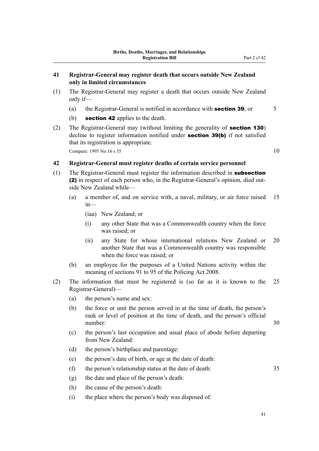- (1) The Registrar-General may register a death that occurs outside New Zealand only if—
	- (a) the Registrar-General is notified in accordance with **section 39**; or  $\overline{5}$
	- (b) **section 42** applies to the death.
- (2) The Registrar-General may (without limiting the generality of section 130) decline to register information notified under **section 39(b)** if not satisfied that its registration is appropriate.

Compare: 1995 No 16 s 35 10

## **42 Registrar-General must register deaths of certain service personnel**

- (1) The Registrar-General must register the information described in subsection (2) in respect of each person who, in the Registrar-General's opinion, died out‐ side New Zealand while—
	- (a) a member of, and on service with, a naval, military, or air force raised 15 in—

(iaa) New Zealand; or

- (i) any other State that was a Commonwealth country when the force was raised; or
- (ii) any State for whose international relations New Zealand or 20 another State that was a Commonwealth country was responsible when the force was raised; or
- (b) an employee for the purposes of a United Nations activity within the meaning of sections 91 to 95 of the Policing Act 2008.
- (2) The information that must be registered is (so far as it is known to the 25 Registrar-General)—
	- (a) the person's name and sex:
	- (b) the force or unit the person served in at the time of death, the person's rank or level of position at the time of death, and the person's official number: 30
	- (c) the person's last occupation and usual place of abode before departing from New Zealand:
	- (d) the person's birthplace and parentage:
	- (e) the person's date of birth, or age at the date of death:
	- (f) the person's relationship status at the date of death: 35
	- (g) the date and place of the person's death:
	- (h) the cause of the person's death:
	- (i) the place where the person's body was disposed of:

41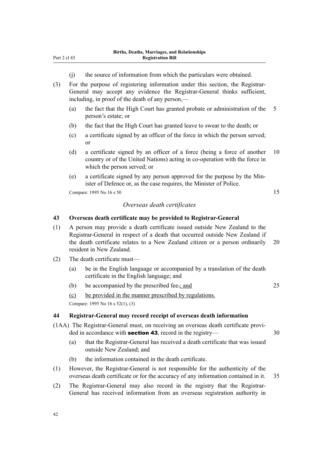- (j) the source of information from which the particulars were obtained.
- (3) For the purpose of registering information under this section, the Registrar-General may accept any evidence the Registrar-General thinks sufficient, including, in proof of the death of any person,—
	- (a) the fact that the High Court has granted probate or administration of the 5 person's estate; or
	- (b) the fact that the High Court has granted leave to swear to the death; or
	- (c) a certificate signed by an officer of the force in which the person served; or
	- (d) a certificate signed by an officer of a force (being a force of another 10 country or of the United Nations) acting in co-operation with the force in which the person served; or
	- (e) a certificate signed by any person approved for the purpose by the Min‐ ister of Defence or, as the case requires, the Minister of Police.

Compare:  $1995$  No  $16 \text{ s } 50$  15

## *Overseas death certificates*

## **43 Overseas death certificate may be provided to Registrar-General**

- (1) A person may provide a death certificate issued outside New Zealand to the Registrar-General in respect of a death that occurred outside New Zealand if the death certificate relates to a New Zealand citizen or a person ordinarily 20 resident in New Zealand.
- (2) The death certificate must—
	- (a) be in the English language or accompanied by a translation of the death certificate in the English language; and
	- (b) be accompanied by the prescribed fee.; and 25

(c) be provided in the manner prescribed by regulations.

Compare: 1995 No 16 s 52(1), (3)

## **44 Registrar-General may record receipt of overseas death information**

- (1AA) The Registrar-General must, on receiving an overseas death certificate provi‐ ded in accordance with **section 43**, record in the registry— 30
	- (a) that the Registrar-General has received a death certificate that was issued outside New Zealand; and
	- (b) the information contained in the death certificate.
- (1) However, the Registrar-General is not responsible for the authenticity of the overseas death certificate or for the accuracy of any information contained in it. 35
- (2) The Registrar-General may also record in the registry that the Registrar-General has received information from an overseas registration authority in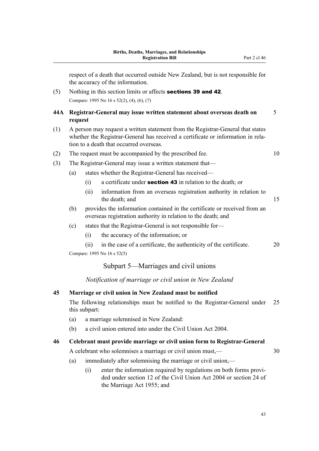respect of a death that occurred outside New Zealand, but is not responsible for the accuracy of the information.

(5) Nothing in this section limits or affects sections 39 and 42. Compare: 1995 No 16 s 52(2), (4), (6), (7)

# **44A Registrar-General may issue written statement about overseas death on** 5 **request**

- (1) A person may request a written statement from the Registrar-General that states whether the Registrar-General has received a certificate or information in relation to a death that occurred overseas.
- (2) The request must be accompanied by the prescribed fee. 10
- (3) The Registrar-General may issue a written statement that—
	- (a) states whether the Registrar-General has received—
		- (i) a certificate under **section 43** in relation to the death; or
		- (ii) information from an overseas registration authority in relation to the death; and 15
	- (b) provides the information contained in the certificate or received from an overseas registration authority in relation to the death; and
	- (c) states that the Registrar-General is not responsible for—
		- (i) the accuracy of the information; or
	- (ii) in the case of a certificate, the authenticity of the certificate. 20 Compare: 1995 No 16 s 52(5)

## Subpart 5—Marriages and civil unions

## *Notification of marriage or civil union in New Zealand*

## **45 Marriage or civil union in New Zealand must be notified**

The following relationships must be notified to the Registrar-General under 25 this subpart:

- (a) a marriage solemnised in New Zealand:
- (b) a civil union entered into under the Civil Union Act 2004.

#### **46 Celebrant must provide marriage or civil union form to Registrar-General**

A celebrant who solemnises a marriage or civil union must,—

- (a) immediately after solemnising the marriage or civil union,—
	- (i) enter the information required by regulations on both forms provi‐ ded under section 12 of the Civil Union Act 2004 or section 24 of the Marriage Act 1955; and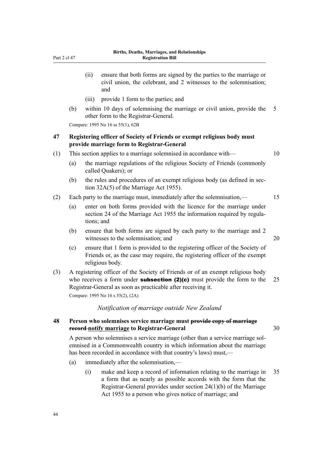- (ii) ensure that both forms are signed by the parties to the marriage or civil union, the celebrant, and 2 witnesses to the solemnisation; and
- (iii) provide 1 form to the parties; and
- (b) within 10 days of solemnising the marriage or civil union, provide the 5 other form to the Registrar-General.

Compare: 1995 No 16 ss 55(1), 62B

# **47 Registering officer of Society of Friends or exempt religious body must provide marriage form to Registrar-General**

- (1) This section applies to a marriage solemnised in accordance with— 10
	- (a) the marriage regulations of the religious Society of Friends (commonly called Quakers); or
	- (b) the rules and procedures of an exempt religious body (as defined in section 32A(5) of the Marriage Act 1955).
- (2) Each party to the marriage must, immediately after the solemnisation,— 15
	- (a) enter on both forms provided with the licence for the marriage under section 24 of the Marriage Act 1955 the information required by regulations; and
	- (b) ensure that both forms are signed by each party to the marriage and 2 witnesses to the solemnisation; and 20
	- (c) ensure that 1 form is provided to the registering officer of the Society of Friends or, as the case may require, the registering officer of the exempt religious body.
- (3) A registering officer of the Society of Friends or of an exempt religious body who receives a form under **subsection (2)(c)** must provide the form to the 25 Registrar-General as soon as practicable after receiving it.

Compare: 1995 No 16 s 55(2), (2A)

## *Notification of marriage outside New Zealand*

# **48 Person who solemnises service marriage must provide copy of marriage record notify marriage to Registrar-General** 30

A person who solemnises a service marriage (other than a service marriage sol‐ emnised in a Commonwealth country in which information about the marriage has been recorded in accordance with that country's laws) must,—

- (a) immediately after the solemnisation,—
	- (i) make and keep a record of information relating to the marriage in 35 a form that as nearly as possible accords with the form that the Registrar-General provides under section 24(1)(b) of the Marriage Act 1955 to a person who gives notice of marriage; and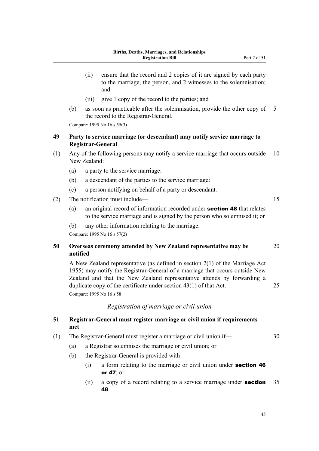- (ii) ensure that the record and 2 copies of it are signed by each party to the marriage, the person, and 2 witnesses to the solemnisation; and
- (iii) give 1 copy of the record to the parties; and
- (b) as soon as practicable after the solemnisation, provide the other copy of 5 the record to the Registrar-General.

Compare: 1995 No 16 s 55(3)

# **49 Party to service marriage (or descendant) may notify service marriage to Registrar-General**

- (1) Any of the following persons may notify a service marriage that occurs outside 10 New Zealand:
	- (a) a party to the service marriage:
	- (b) a descendant of the parties to the service marriage:
	- (c) a person notifying on behalf of a party or descendant.

## (2) The notification must include—

- (a) an original record of information recorded under section 48 that relates to the service marriage and is signed by the person who solemnised it; or
- (b) any other information relating to the marriage.

Compare: 1995 No 16 s 57(2)

# **50 Overseas ceremony attended by New Zealand representative may be** 20 **notified**

A New Zealand representative (as defined in section 2(1) of the Marriage Act 1955) may notify the Registrar-General of a marriage that occurs outside New Zealand and that the New Zealand representative attends by forwarding a duplicate copy of the certificate under section 43(1) of that Act. 25 Compare: 1995 No 16 s 58

## *Registration of marriage or civil union*

# **51 Registrar-General must register marriage or civil union if requirements met**

- (1) The Registrar-General must register a marriage or civil union if— 30
	- (a) a Registrar solemnises the marriage or civil union; or
	- (b) the Registrar-General is provided with—
		- $(i)$  a form relating to the marriage or civil union under **section 46** or 47; or
		- (ii) a copy of a record relating to a service marriage under **section**  $35$ 48.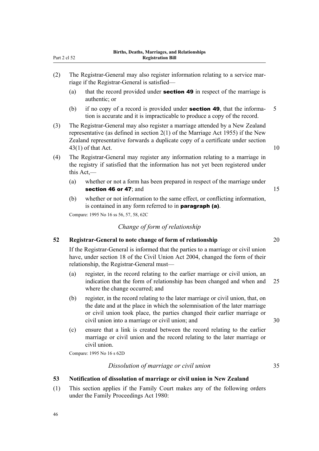- riage if the Registrar-General is satisfied—
	- (a) that the record provided under **section 49** in respect of the marriage is authentic; or
	- (b) if no copy of a record is provided under **section 49**, that the informa-  $5$ tion is accurate and it is impracticable to produce a copy of the record.
- (3) The Registrar-General may also register a marriage attended by a New Zealand representative (as defined in section 2(1) of the Marriage Act 1955) if the New Zealand representative forwards a duplicate copy of a certificate under section  $43(1)$  of that Act. 10
- (4) The Registrar-General may register any information relating to a marriage in the registry if satisfied that the information has not yet been registered under this Act,—
	- (a) whether or not a form has been prepared in respect of the marriage under section 46 or 47; and 15
	- (b) whether or not information to the same effect, or conflicting information, is contained in any form referred to in **paragraph (a)**.

Compare: 1995 No 16 ss 56, 57, 58, 62C

# *Change of form of relationship*

# **52 Registrar-General to note change of form of relationship** 20

If the Registrar-General is informed that the parties to a marriage or civil union have, under section 18 of the Civil Union Act 2004, changed the form of their relationship, the Registrar-General must—

- (a) register, in the record relating to the earlier marriage or civil union, an indication that the form of relationship has been changed and when and 25 where the change occurred; and
- (b) register, in the record relating to the later marriage or civil union, that, on the date and at the place in which the solemnisation of the later marriage or civil union took place, the parties changed their earlier marriage or civil union into a marriage or civil union; and 30
- (c) ensure that a link is created between the record relating to the earlier marriage or civil union and the record relating to the later marriage or civil union.

Compare: 1995 No 16 s 62D

46

*Dissolution of marriage or civil union* 35

# **53 Notification of dissolution of marriage or civil union in New Zealand**

(1) This section applies if the Family Court makes any of the following orders under the Family Proceedings Act 1980: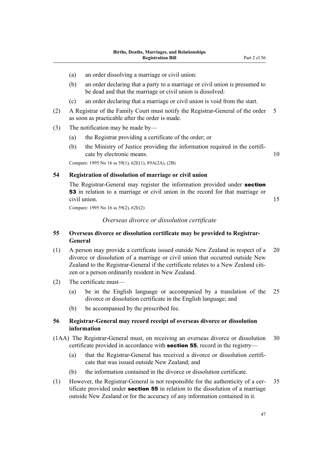- (a) an order dissolving a marriage or civil union:
- (b) an order declaring that a party to a marriage or civil union is presumed to be dead and that the marriage or civil union is dissolved:
- (c) an order declaring that a marriage or civil union is void from the start.
- (2) A Registrar of the Family Court must notify the Registrar-General of the order 5 as soon as practicable after the order is made.
- (3) The notification may be made by—
	- (a) the Registrar providing a certificate of the order; or
	- (b) the Ministry of Justice providing the information required in the certificate by electronic means. 10

Compare: 1995 No 16 ss 59(1), 62E(1), 89A(2A), (2B)

# **54 Registration of dissolution of marriage or civil union**

The Registrar-General may register the information provided under **section** 53 in relation to a marriage or civil union in the record for that marriage or civil union. 15

Compare: 1995 No 16 ss 59(2), 62E(2)

# *Overseas divorce or dissolution certificate*

# **55 Overseas divorce or dissolution certificate may be provided to Registrar-General**

- (1) A person may provide a certificate issued outside New Zealand in respect of a 20 divorce or dissolution of a marriage or civil union that occurred outside New Zealand to the Registrar-General if the certificate relates to a New Zealand citizen or a person ordinarily resident in New Zealand.
- (2) The certificate must—
	- (a) be in the English language or accompanied by a translation of the 25 divorce or dissolution certificate in the English language; and
	- (b) be accompanied by the prescribed fee.

## **56 Registrar-General may record receipt of overseas divorce or dissolution information**

- (1AA) The Registrar-General must, on receiving an overseas divorce or dissolution 30 certificate provided in accordance with section 55, record in the registry—
	- (a) that the Registrar-General has received a divorce or dissolution certifi‐ cate that was issued outside New Zealand; and
	- (b) the information contained in the divorce or dissolution certificate.
- (1) However, the Registrar-General is not responsible for the authenticity of a cer- 35 tificate provided under **section 55** in relation to the dissolution of a marriage outside New Zealand or for the accuracy of any information contained in it.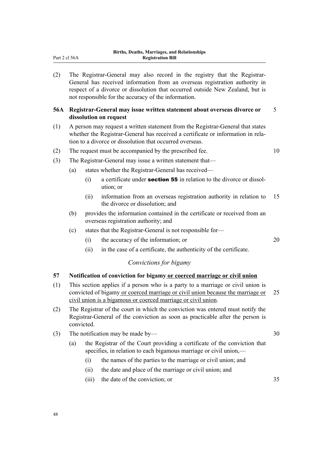(2) The Registrar-General may also record in the registry that the Registrar-General has received information from an overseas registration authority in respect of a divorce or dissolution that occurred outside New Zealand, but is not responsible for the accuracy of the information.

# **56A Registrar-General may issue written statement about overseas divorce or** 5 **dissolution on request**

- (1) A person may request a written statement from the Registrar-General that states whether the Registrar-General has received a certificate or information in relation to a divorce or dissolution that occurred overseas.
- (2) The request must be accompanied by the prescribed fee.  $10$
- (3) The Registrar-General may issue a written statement that—
	- (a) states whether the Registrar-General has received—
		- (i) a certificate under **section 55** in relation to the divorce or dissolution; or
		- (ii) information from an overseas registration authority in relation to 15 the divorce or dissolution; and
	- (b) provides the information contained in the certificate or received from an overseas registration authority; and
	- (c) states that the Registrar-General is not responsible for—
		- (i) the accuracy of the information; or 20
		- (ii) in the case of a certificate, the authenticity of the certificate.

# *Convictions for bigamy*

# **57 Notification of conviction for bigamy or coerced marriage or civil union**

- (1) This section applies if a person who is a party to a marriage or civil union is convicted of bigamy or coerced marriage or civil union because the marriage or 25 civil union is a bigamous or coerced marriage or civil union.
- (2) The Registrar of the court in which the conviction was entered must notify the Registrar-General of the conviction as soon as practicable after the person is convicted.
- (3) The notification may be made by— $30$ 
	- (a) the Registrar of the Court providing a certificate of the conviction that specifies, in relation to each bigamous marriage or civil union,—
		- (i) the names of the parties to the marriage or civil union; and
		- (ii) the date and place of the marriage or civil union; and
		- (iii) the date of the conviction; or 35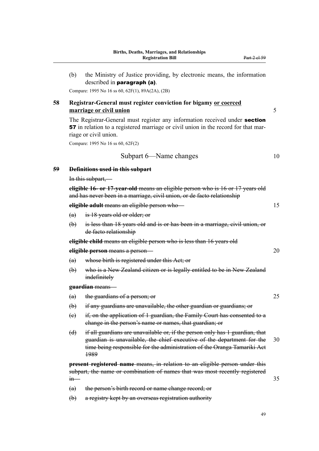(b) the Ministry of Justice providing, by electronic means, the information described in paragraph (a).

Compare: 1995 No 16 ss 60, 62F(1), 89A(2A), (2B)

# **58 Registrar-General must register conviction for bigamy or coerced marriage or civil union** 5

The Registrar-General must register any information received under **section** 57 in relation to a registered marriage or civil union in the record for that mar‐ riage or civil union.

Compare: 1995 No 16 ss 60, 62F(2)

Subpart 6—Name changes 10

#### **59 Definitions used in this subpart**

In this subpart,—

**eligible 16- or 17-year-old** means an eligible person who is 16 or 17 years old and has never been in a marriage, civil union, or de facto relationship

## **eligible adult** means an eligible person who— 15

(a) is 18 years old or older; or

(b) is less than 18 years old and is or has been in a marriage, civil union, or de facto relationship

**eligible child** means an eligible person who is less than 16 years old

**eligible person** means a person—

- (a) whose birth is registered under this Act; or
- (b) who is a New Zealand citizen or is legally entitled to be in New Zealand indefinitely

#### **guardian** means—

- (a) the guardians of a person; or 25
- (b) if any guardians are unavailable, the other guardian or guardians; or
- (c) if, on the application of 1 guardian, the Family Court has consented to a change in the person's name or names, that guardian; or
- (d) if all guardians are unavailable or, if the person only has 1 guardian, that guardian is unavailable, the chief executive of the department for the 30 time being responsible for the administration of the Oranga Tamariki Act 1989

**present registered name** means, in relation to an eligible person under this subpart, the name or combination of names that was most recently registered  $\lim$  35

- (a) the person's birth record or name change record; or
- (b) a registry kept by an overseas registration authority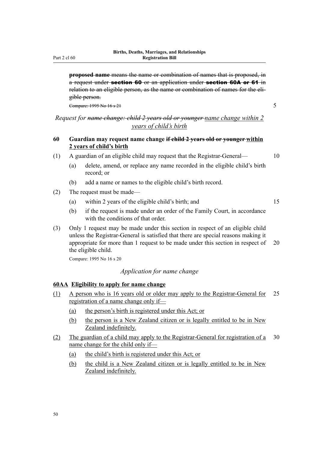Part 2 cl 60

**proposed name** means the name or combination of names that is proposed, in a request under **section 60** or an application under **section 60A or 61** in relation to an eligible person, as the name or combination of names for the eligible person.

Compare: 1995 No 16 s 21 5

# *Request for name change: child 2 years old or younger name change within 2 years of child's birth*

# **60 Guardian may request name change if child 2 years old or younger within 2 years of child's birth**

- (1) A guardian of an eligible child may request that the Registrar-General— 10
	- (a) delete, amend, or replace any name recorded in the eligible child's birth record; or
	- (b) add a name or names to the eligible child's birth record.
- (2) The request must be made—
	- (a) within 2 years of the eligible child's birth; and 15
	- (b) if the request is made under an order of the Family Court, in accordance with the conditions of that order.
- (3) Only 1 request may be made under this section in respect of an eligible child unless the Registrar-General is satisfied that there are special reasons making it appropriate for more than 1 request to be made under this section in respect of 20 the eligible child.

Compare: 1995 No 16 s 20

# *Application for name change*

# **60AA Eligibility to apply for name change**

- (1) A person who is 16 years old or older may apply to the Registrar-General for 25 registration of a name change only if—
	- (a) the person's birth is registered under this Act; or
	- (b) the person is a New Zealand citizen or is legally entitled to be in New Zealand indefinitely.
- (2) The guardian of a child may apply to the Registrar-General for registration of a 30 name change for the child only if—
	- (a) the child's birth is registered under this Act; or
	- (b) the child is a New Zealand citizen or is legally entitled to be in New Zealand indefinitely.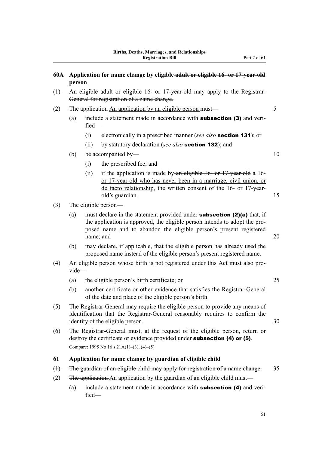- (1) An eligible adult or eligible 16- or 17-year-old may apply to the Registrar-General for registration of a name change.
- (2) The application An application by an eligible person must—
	- (a) include a statement made in accordance with **subsection (3)** and verified—
		- (i) electronically in a prescribed manner (*see also* section 131); or
		- (ii) by statutory declaration (*see also* section 132); and
	- (b) be accompanied by— $10$ 
		- (i) the prescribed fee; and
		- (ii) if the application is made by an eligible 16- or 17-year-old a 16 or 17-year-old who has never been in a marriage, civil union, or de facto relationship, the written consent of the 16- or 17-yearold's guardian. 15
- (3) The eligible person—
	- (a) must declare in the statement provided under **subsection (2)(a)** that, if the application is approved, the eligible person intends to adopt the pro‐ posed name and to abandon the eligible person's-present registered name; and 20
	- (b) may declare, if applicable, that the eligible person has already used the proposed name instead of the eligible person's present registered name.
- (4) An eligible person whose birth is not registered under this Act must also pro‐ vide—
	- (a) the eligible person's birth certificate; or 25
	- (b) another certificate or other evidence that satisfies the Registrar-General of the date and place of the eligible person's birth.
- (5) The Registrar-General may require the eligible person to provide any means of identification that the Registrar-General reasonably requires to confirm the identity of the eligible person. 30
- (6) The Registrar-General must, at the request of the eligible person, return or destroy the certificate or evidence provided under **subsection** (4) or (5). Compare: 1995 No 16 s 21A(1)–(3), (4)–(5)

### **61 Application for name change by guardian of eligible child**

- (1) The guardian of an eligible child may apply for registration of a name change. 35
- (2) The application An application by the guardian of an eligible child must—
	- (a) include a statement made in accordance with **subsection (4)** and verified—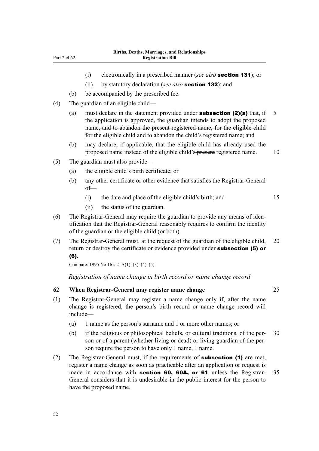- (i) electronically in a prescribed manner (*see also* section 131); or
- (ii) by statutory declaration (*see also* section 132); and
- (b) be accompanied by the prescribed fee.
- (4) The guardian of an eligible child—
	- (a) must declare in the statement provided under **subsection (2)(a)** that, if  $\overline{5}$ the application is approved, the guardian intends to adopt the proposed name, and to abandon the present registered name, for the eligible child for the eligible child and to abandon the child's registered name; and
	- (b) may declare, if applicable, that the eligible child has already used the proposed name instead of the eligible child's-present registered name. 10
- (5) The guardian must also provide—
	- (a) the eligible child's birth certificate; or
	- (b) any other certificate or other evidence that satisfies the Registrar-General of—
		- (i) the date and place of the eligible child's birth; and 15
		- (ii) the status of the guardian.
- (6) The Registrar-General may require the guardian to provide any means of iden‐ tification that the Registrar-General reasonably requires to confirm the identity of the guardian or the eligible child (or both).
- (7) The Registrar-General must, at the request of the guardian of the eligible child, 20 return or destroy the certificate or evidence provided under **subsection (5) or** (6).

Compare: 1995 No 16 s 21A(1)–(3), (4)–(5)

#### *Registration of name change in birth record or name change record*

## **62 When Registrar-General may register name change** 25

- (1) The Registrar-General may register a name change only if, after the name change is registered, the person's birth record or name change record will include—
	- (a) 1 name as the person's surname and 1 or more other names; or
	- (b) if the religious or philosophical beliefs, or cultural traditions, of the per‐ 30 son or of a parent (whether living or dead) or living guardian of the person require the person to have only 1 name, 1 name.
- (2) The Registrar-General must, if the requirements of **subsection (1)** are met, register a name change as soon as practicable after an application or request is made in accordance with **section 60, 60A, or 61** unless the Registrar- 35 General considers that it is undesirable in the public interest for the person to have the proposed name.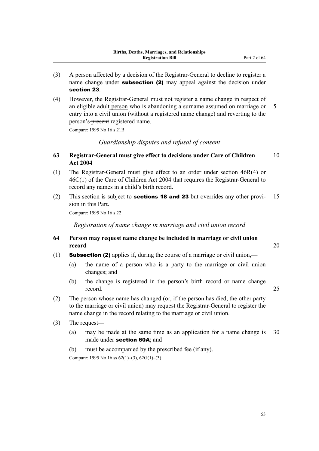- (3) A person affected by a decision of the Registrar-General to decline to register a name change under **subsection (2)** may appeal against the decision under section 23.
- (4) However, the Registrar-General must not register a name change in respect of an eligible adult person who is abandoning a surname assumed on marriage or 5 entry into a civil union (without a registered name change) and reverting to the person's-present registered name.

Compare: 1995 No 16 s 21B

*Guardianship disputes and refusal of consent*

- **63 Registrar-General must give effect to decisions under Care of Children** 10 **Act 2004**
- (1) The Registrar-General must give effect to an order under section 46R(4) or 46C(1) of the Care of Children Act 2004 that requires the Registrar-General to record any names in a child's birth record.
- (2) This section is subject to **sections 18 and 23** but overrides any other provi- 15 sion in this Part.

Compare: 1995 No 16 s 22

*Registration of name change in marriage and civil union record*

# **64 Person may request name change be included in marriage or civil union record** 20

(1) **Subsection (2)** applies if, during the course of a marriage or civil union,—

- (a) the name of a person who is a party to the marriage or civil union changes; and
- (b) the change is registered in the person's birth record or name change record. 25

- (2) The person whose name has changed (or, if the person has died, the other party to the marriage or civil union) may request the Registrar-General to register the name change in the record relating to the marriage or civil union.
- (3) The request—
	- (a) may be made at the same time as an application for a name change is 30 made under section 60A; and
	- (b) must be accompanied by the prescribed fee (if any).

Compare: 1995 No 16 ss 62(1)–(3), 62G(1)–(3)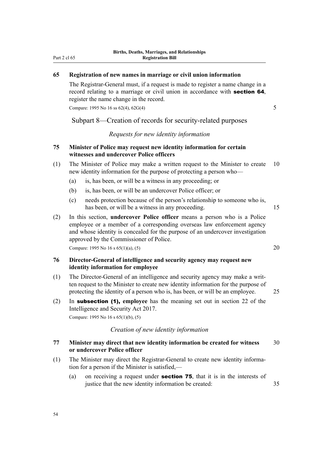# **65 Registration of new names in marriage or civil union information**

The Registrar-General must, if a request is made to register a name change in a record relating to a marriage or civil union in accordance with **section 64**. register the name change in the record.

Compare: 1995 No 16 ss 62(4), 62G(4) 5

Subpart 8—Creation of records for security-related purposes

## *Requests for new identity information*

# **75 Minister of Police may request new identity information for certain witnesses and undercover Police officers**

- (1) The Minister of Police may make a written request to the Minister to create 10 new identity information for the purpose of protecting a person who—
	- (a) is, has been, or will be a witness in any proceeding; or
	- (b) is, has been, or will be an undercover Police officer; or
	- (c) needs protection because of the person's relationship to someone who is, has been, or will be a witness in any proceeding. 15
- (2) In this section, **undercover Police officer** means a person who is a Police employee or a member of a corresponding overseas law enforcement agency and whose identity is concealed for the purpose of an undercover investigation approved by the Commissioner of Police.

Compare: 1995 No 16 s  $65(1)(a)$ ,  $(5)$  20

# **76 Director-General of intelligence and security agency may request new identity information for employee**

- (1) The Director-General of an intelligence and security agency may make a writ‐ ten request to the Minister to create new identity information for the purpose of protecting the identity of a person who is, has been, or will be an employee. 25
- (2) In subsection (1), **employee** has the meaning set out in section 22 of the Intelligence and Security Act 2017. Compare: 1995 No 16 s 65(1)(b), (5)

*Creation of new identity information*

# **77 Minister may direct that new identity information be created for witness** 30 **or undercover Police officer**

- (1) The Minister may direct the Registrar-General to create new identity informa‐ tion for a person if the Minister is satisfied,—
	- (a) on receiving a request under **section 75**, that it is in the interests of justice that the new identity information be created: 35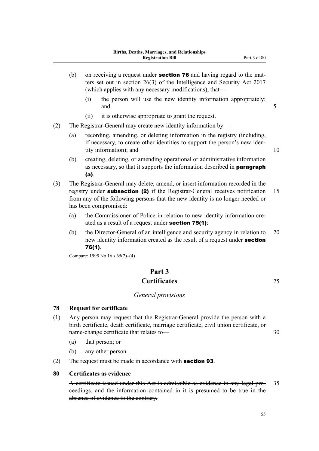- (b) on receiving a request under **section 76** and having regard to the matters set out in section 26(3) of the Intelligence and Security Act 2017 (which applies with any necessary modifications), that—
	- (i) the person will use the new identity information appropriately; and 5
	- (ii) it is otherwise appropriate to grant the request.
- (2) The Registrar-General may create new identity information by—
	- (a) recording, amending, or deleting information in the registry (including, if necessary, to create other identities to support the person's new iden‐ tity information); and 10
	- (b) creating, deleting, or amending operational or administrative information as necessary, so that it supports the information described in paragraph (a).
- (3) The Registrar-General may delete, amend, or insert information recorded in the registry under **subsection (2)** if the Registrar-General receives notification 15 from any of the following persons that the new identity is no longer needed or has been compromised:
	- (a) the Commissioner of Police in relation to new identity information created as a result of a request under section 75(1):
	- (b) the Director-General of an intelligence and security agency in relation to 20 new identity information created as the result of a request under section 76(1).

Compare: 1995 No 16 s 65(2)–(4)

# **Part 3 Certificates** 25

## *General provisions*

## **78 Request for certificate**

- (1) Any person may request that the Registrar-General provide the person with a birth certificate, death certificate, marriage certificate, civil union certificate, or name-change certificate that relates to — 30
	- (a) that person; or
	- (b) any other person.
- (2) The request must be made in accordance with section 93.

# **80 Certificates as evidence**

A certificate issued under this Act is admissible as evidence in any legal pro- 35 ceedings, and the information contained in it is presumed to be true in the absence of evidence to the contrary.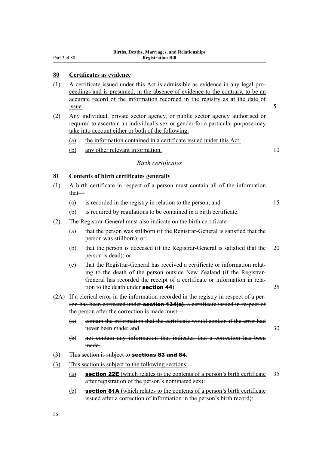Part 3 cl 80

# **80 Certificates as evidence**

- (1) A certificate issued under this Act is admissible as evidence in any legal pro‐ ceedings and is presumed, in the absence of evidence to the contrary, to be an accurate record of the information recorded in the registry as at the date of <u>issue.</u> 5
- (2) Any individual, private sector agency, or public sector agency authorised or required to ascertain an individual's sex or gender for a particular purpose may take into account either or both of the following:
	- (a) the information contained in a certificate issued under this Act:
	- (b) any other relevant information. 10

# *Birth certificates*

## **81 Contents of birth certificates generally**

- (1) A birth certificate in respect of a person must contain all of the information that—
	- (a) is recorded in the registry in relation to the person; and 15
	- (b) is required by regulations to be contained in a birth certificate.
- (2) The Registrar-General must also indicate on the birth certificate—
	- (a) that the person was stillborn (if the Registrar-General is satisfied that the person was stillborn); or
	- (b) that the person is deceased (if the Registrar-General is satisfied that the 20 person is dead); or
	- (c) that the Registrar-General has received a certificate or information relat‐ ing to the death of the person outside New Zealand (if the Registrar-General has recorded the receipt of a certificate or information in rela‐ tion to the death under **section 44**). 25
- (2A) If a clerical error in the information recorded in the registry in respect of a per‐ son has been corrected under **section 134(a)**, a certificate issued in respect of the person after the correction is made must—
	- (a) contain the information that the certificate would contain if the error had never been made; and 30
	- (b) not contain any information that indicates that a correction has been made.
- $(3)$  This section is subject to **sections 83 and 84**.
- (3) This section is subject to the following sections:
	- (a) **section 22E** (which relates to the contents of a person's birth certificate  $35$ after registration of the person's nominated sex):
	- (b) section 81A (which relates to the contents of a person's birth certificate issued after a correction of information in the person's birth record):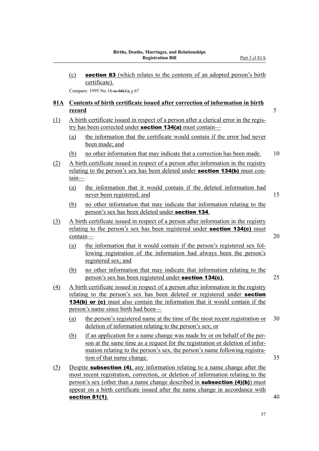(c) section 83 (which relates to the contents of an adopted person's birth certificate).

Compare: 1995 No 16-ss 66(1), s 67

# **81A Contents of birth certificate issued after correction of information in birth record** 5

- (1) A birth certificate issued in respect of a person after a clerical error in the regis‐ try has been corrected under **section 134(a)** must contain—
	- (a) the information that the certificate would contain if the error had never been made; and
	- (b) no other information that may indicate that a correction has been made. 10
- (2) A birth certificate issued in respect of a person after information in the registry relating to the person's sex has been deleted under **section 134(b)** must contain—
	- (a) the information that it would contain if the deleted information had never been registered; and 15
	- (b) no other information that may indicate that information relating to the person's sex has been deleted under section 134.
- (3) A birth certificate issued in respect of a person after information in the registry relating to the person's sex has been registered under **section 134(c)** must contain— 20
	- (a) the information that it would contain if the person's registered sex fol‐ lowing registration of the information had always been the person's registered sex; and
	- (b) no other information that may indicate that information relating to the person's sex has been registered under **section 134(c)**. 25
- (4) A birth certificate issued in respect of a person after information in the registry relating to the person's sex has been deleted or registered under **section** 134(b) or (c) must also contain the information that it would contain if the person's name since birth had been—
	- (a) the person's registered name at the time of the most recent registration or 30 deletion of information relating to the person's sex; or
	- (b) if an application for a name change was made by or on behalf of the per‐ son at the same time as a request for the registration or deletion of information relating to the person's sex, the person's name following registration of that name change. 35
- (5) Despite subsection (4), any information relating to a name change after the most recent registration, correction, or deletion of information relating to the person's sex (other than a name change described in **subsection (4)(b)**) must appear on a birth certificate issued after the name change in accordance with section 81(1).  $40$

57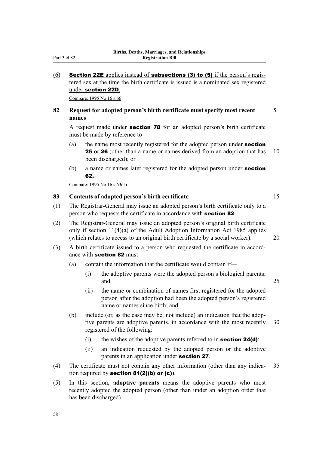## Part 3 cl 82

# (6) Section 22E applies instead of subsections (3) to (5) if the person's registered sex at the time the birth certificate is issued is a nominated sex registered under section 22D.

Compare: 1995 No 16 s 66

# **82 Request for adopted person's birth certificate must specify most recent** 5 **names**

A request made under section 78 for an adopted person's birth certificate must be made by reference to—

- (a) the name most recently registered for the adopted person under **section 25** or **26** (other than a name or names derived from an adoption that has 10 been discharged); or
- (b) a name or names later registered for the adopted person under **section** 62.

Compare: 1995 No 16 s 63(1)

# **83 Contents of adopted person's birth certificate** 15

- (1) The Registrar-General may issue an adopted person's birth certificate only to a person who requests the certificate in accordance with section 82.
- (2) The Registrar-General may issue an adopted person's original birth certificate only if section 11(4)(a) of the Adult Adoption Information Act 1985 applies (which relates to access to an original birth certificate by a social worker). 20
- (3) A birth certificate issued to a person who requested the certificate in accord‐ ance with section 82 must—
	- (a) contain the information that the certificate would contain if—
		- (i) the adoptive parents were the adopted person's biological parents; and 25
		- (ii) the name or combination of names first registered for the adopted person after the adoption had been the adopted person's registered name or names since birth; and
	- (b) include (or, as the case may be, not include) an indication that the adoptive parents are adoptive parents, in accordance with the most recently 30 registered of the following:
		- (i) the wishes of the adoptive parents referred to in **section 24(d)**:
		- (ii) an indication requested by the adopted person or the adoptive parents in an application under section 27.
- (4) The certificate must not contain any other information (other than any indica‐ 35 tion required by section 81(2)(b) or (c)).
- (5) In this section, **adoptive parents** means the adoptive parents who most recently adopted the adopted person (other than under an adoption order that has been discharged).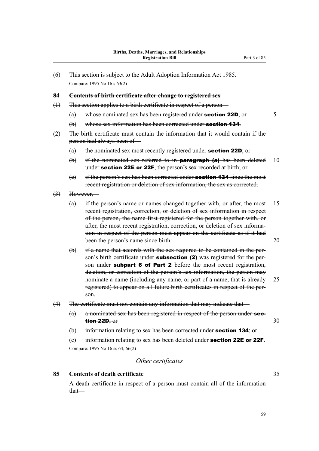(6) This section is subject to the Adult Adoption Information Act 1985. Compare: 1995 No 16 s 63(2)

#### **84 Contents of birth certificate after change to registered sex**

- (1) This section applies to a birth certificate in respect of a person—
	- (a) whose nominated sex has been registered under **section 22D**; or  $\overline{5}$
	- (b) whose sex information has been corrected under **section 134**.
- (2) The birth certificate must contain the information that it would contain if the person had always been of—
	- $(a)$  the nominated sex most recently registered under **section 22D**; or
	- (b) if the nominated sex referred to in **paragraph (a)** has been deleted  $10$ under section 22E or 22F, the person's sex recorded at birth; or
	- $(e)$  if the person's sex has been corrected under **section 134** since the most recent registration or deletion of sex information, the sex as corrected.
- $(3)$  However,-
	- (a) if the person's name or names changed together with, or after, the most 15 recent registration, correction, or deletion of sex information in respect of the person, the name first registered for the person together with, or after, the most recent registration, correction, or deletion of sex information in respect of the person must appear on the certificate as if it had been the person's name since birth: 20
	- (b) if a name that accords with the sex required to be contained in the per‐ son's birth certificate under **subsection (2)** was registered for the person under subpart 6 of Part 2 before the most recent registration, deletion, or correction of the person's sex information, the person may nominate a name (including any name, or part of a name, that is already 25 registered) to appear on all future birth certificates in respect of the per‐ son.
- (4) The certificate must not contain any information that may indicate that—
	- $(a)$  a nominated sex has been registered in respect of the person under **sec**tion 22D; or  $30$
	- (b) information relating to sex has been corrected under **section 134**; or

(e) information relating to sex has been deleted under **section 22E or 22F**. Compare: 1995 No 16 ss 64, 66(2)

# *Other certificates*

## **85 Contents of death certificate** 35

A death certificate in respect of a person must contain all of the information that—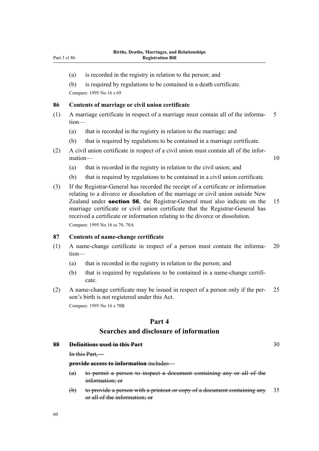- (a) is recorded in the registry in relation to the person; and
- (b) is required by regulations to be contained in a death certificate.

Compare: 1995 No 16 s 69

#### **86 Contents of marriage or civil union certificate**

- $(1)$  A marriage certificate in respect of a marriage must contain all of the informa- 5 tion—
	- (a) that is recorded in the registry in relation to the marriage; and
	- (b) that is required by regulations to be contained in a marriage certificate.
- (2) A civil union certificate in respect of a civil union must contain all of the infor‐ mation— 10

- (a) that is recorded in the registry in relation to the civil union; and
- (b) that is required by regulations to be contained in a civil union certificate.
- (3) If the Registrar-General has recorded the receipt of a certificate or information relating to a divorce or dissolution of the marriage or civil union outside New Zealand under **section 56**, the Registrar-General must also indicate on the 15 marriage certificate or civil union certificate that the Registrar-General has received a certificate or information relating to the divorce or dissolution. Compare: 1995 No 16 ss 70, 70A

## **87 Contents of name-change certificate**

- (1) A name-change certificate in respect of a person must contain the informa‐ 20 tion—
	- (a) that is recorded in the registry in relation to the person; and
	- (b) that is required by regulations to be contained in a name-change certificate.
- (2) A name-change certificate may be issued in respect of a person only if the per‐ 25 son's birth is not registered under this Act. Compare: 1995 No 16 s 70B

# **Part 4**

# **Searches and disclosure of information**

#### **88 Definitions used in this Part** 30

In this Part,—

**provide access to information** includes—

- (a) to permit a person to inspect a document containing any or all of the information; or
- (b) to provide a person with a printout or copy of a document containing any 35 or all of the information; or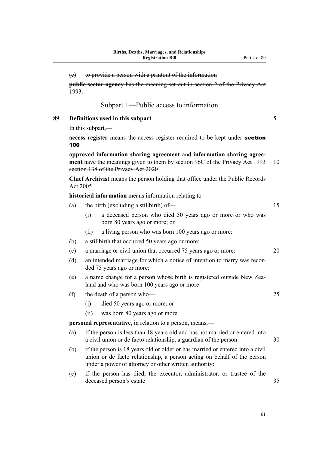|    | (e)                                                                                          |                                                                                                                                                                                             | to provide a person with a printout of the information                                                                                                                                                            |    |  |  |  |
|----|----------------------------------------------------------------------------------------------|---------------------------------------------------------------------------------------------------------------------------------------------------------------------------------------------|-------------------------------------------------------------------------------------------------------------------------------------------------------------------------------------------------------------------|----|--|--|--|
|    | <b>public sector agency</b> has the meaning set out in section 2 of the Privacy Act<br>1993. |                                                                                                                                                                                             |                                                                                                                                                                                                                   |    |  |  |  |
|    |                                                                                              |                                                                                                                                                                                             | Subpart 1—Public access to information                                                                                                                                                                            |    |  |  |  |
| 89 | Definitions used in this subpart                                                             |                                                                                                                                                                                             |                                                                                                                                                                                                                   |    |  |  |  |
|    | In this subpart,—                                                                            |                                                                                                                                                                                             |                                                                                                                                                                                                                   |    |  |  |  |
|    | 100                                                                                          | access register means the access register required to be kept under section                                                                                                                 |                                                                                                                                                                                                                   |    |  |  |  |
|    |                                                                                              | approved information sharing agreement and information sharing agree-<br>ment have the meanings given to them by section 96C of the Privacy Act 1993<br>section 138 of the Privacy Act 2020 |                                                                                                                                                                                                                   |    |  |  |  |
|    |                                                                                              | <b>Chief Archivist</b> means the person holding that office under the Public Records<br>Act 2005                                                                                            |                                                                                                                                                                                                                   |    |  |  |  |
|    |                                                                                              |                                                                                                                                                                                             | historical information means information relating to-                                                                                                                                                             |    |  |  |  |
|    | (a)                                                                                          | the birth (excluding a stillbirth) of—                                                                                                                                                      |                                                                                                                                                                                                                   |    |  |  |  |
|    |                                                                                              | (i)                                                                                                                                                                                         | a deceased person who died 50 years ago or more or who was<br>born 80 years ago or more; or                                                                                                                       |    |  |  |  |
|    |                                                                                              | (ii)                                                                                                                                                                                        | a living person who was born 100 years ago or more:                                                                                                                                                               |    |  |  |  |
|    | (b)                                                                                          |                                                                                                                                                                                             | a stillbirth that occurred 50 years ago or more:                                                                                                                                                                  |    |  |  |  |
|    | (c)                                                                                          |                                                                                                                                                                                             | a marriage or civil union that occurred 75 years ago or more:                                                                                                                                                     | 20 |  |  |  |
|    | (d)                                                                                          | an intended marriage for which a notice of intention to marry was recor-<br>ded 75 years ago or more:                                                                                       |                                                                                                                                                                                                                   |    |  |  |  |
|    | (e)                                                                                          |                                                                                                                                                                                             | a name change for a person whose birth is registered outside New Zea-<br>land and who was born 100 years ago or more:                                                                                             |    |  |  |  |
|    | (f)                                                                                          |                                                                                                                                                                                             | the death of a person who-                                                                                                                                                                                        | 25 |  |  |  |
|    |                                                                                              | (i)                                                                                                                                                                                         | died 50 years ago or more; or                                                                                                                                                                                     |    |  |  |  |
|    |                                                                                              | (ii)                                                                                                                                                                                        | was born 80 years ago or more                                                                                                                                                                                     |    |  |  |  |
|    | <b>personal representative</b> , in relation to a person, means,—                            |                                                                                                                                                                                             |                                                                                                                                                                                                                   |    |  |  |  |
|    | (a)                                                                                          | if the person is less than 18 years old and has not married or entered into<br>a civil union or de facto relationship, a guardian of the person:<br>30                                      |                                                                                                                                                                                                                   |    |  |  |  |
|    | (b)                                                                                          |                                                                                                                                                                                             | if the person is 18 years old or older or has married or entered into a civil<br>union or de facto relationship, a person acting on behalf of the person<br>under a power of attorney or other written authority: |    |  |  |  |
|    | (c)                                                                                          |                                                                                                                                                                                             | if the person has died, the executor, administrator, or trustee of the<br>deceased person's estate                                                                                                                | 35 |  |  |  |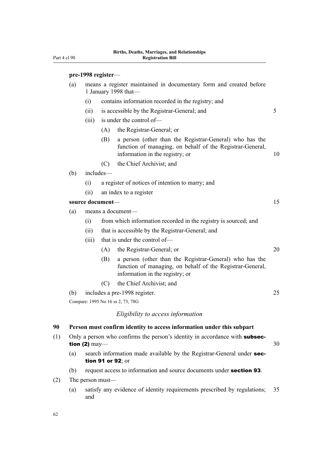# **pre-1998 register**—

| (a) | means a register maintained in documentary form and created before<br>1 January 1998 that- |                                                  |                                                                                                                                                         |    |  |
|-----|--------------------------------------------------------------------------------------------|--------------------------------------------------|---------------------------------------------------------------------------------------------------------------------------------------------------------|----|--|
|     | (i)                                                                                        |                                                  | contains information recorded in the registry; and                                                                                                      |    |  |
|     | (ii)                                                                                       |                                                  | is accessible by the Registrar-General; and                                                                                                             | 5  |  |
|     | (iii)                                                                                      | is under the control of-                         |                                                                                                                                                         |    |  |
|     |                                                                                            | (A)                                              | the Registrar-General; or                                                                                                                               |    |  |
|     |                                                                                            | (B)                                              | a person (other than the Registrar-General) who has the<br>function of managing, on behalf of the Registrar-General,<br>information in the registry; or | 10 |  |
|     |                                                                                            | (C)                                              | the Chief Archivist; and                                                                                                                                |    |  |
| (b) | includes-                                                                                  |                                                  |                                                                                                                                                         |    |  |
|     | (i)                                                                                        | a register of notices of intention to marry; and |                                                                                                                                                         |    |  |
|     | (ii)                                                                                       | an index to a register                           |                                                                                                                                                         |    |  |
|     | source document-                                                                           |                                                  |                                                                                                                                                         | 15 |  |

- (a) means a document—
	- (i) from which information recorded in the registry is sourced; and
	- (ii) that is accessible by the Registrar-General; and
	- (iii) that is under the control of—
		- (A) the Registrar-General; or 20
		- (B) a person (other than the Registrar-General) who has the function of managing, on behalf of the Registrar-General, information in the registry; or
		- (C) the Chief Archivist; and
- (b) includes a pre-1998 register. 25

Compare: 1995 No 16 ss 2, 73, 78G

## *Eligibility to access information*

## **90 Person must confirm identity to access information under this subpart**

- (1) Only a person who confirms the person's identity in accordance with **subsec**tion (2)  $\text{may}$   $\longrightarrow$  30
	- (a) search information made available by the Registrar-General under section 91 or 92; or
	- (b) request access to information and source documents under section 93.
- (2) The person must—
	- (a) satisfy any evidence of identity requirements prescribed by regulations; 35 and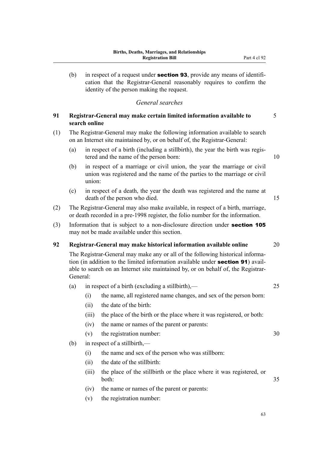(b) in respect of a request under **section 93**, provide any means of identification that the Registrar-General reasonably requires to confirm the identity of the person making the request.

# *General searches*

# **91 Registrar-General may make certain limited information available to** 5 **search online**

- (1) The Registrar-General may make the following information available to search on an Internet site maintained by, or on behalf of, the Registrar-General:
	- (a) in respect of a birth (including a stillbirth), the year the birth was registered and the name of the person born: 10
	- (b) in respect of a marriage or civil union, the year the marriage or civil union was registered and the name of the parties to the marriage or civil union:
	- (c) in respect of a death, the year the death was registered and the name at death of the person who died. 15
- (2) The Registrar-General may also make available, in respect of a birth, marriage, or death recorded in a pre-1998 register, the folio number for the information.
- (3) Information that is subject to a non-disclosure direction under section 105 may not be made available under this section.

# **92 Registrar-General may make historical information available online** 20

The Registrar-General may make any or all of the following historical information (in addition to the limited information available under **section 91**) available to search on an Internet site maintained by, or on behalf of, the Registrar-General:

- (a) in respect of a birth (excluding a stillbirth),— 25
	- (i) the name, all registered name changes, and sex of the person born:
	- (ii) the date of the birth:
	- (iii) the place of the birth or the place where it was registered, or both:
	- (iv) the name or names of the parent or parents:
	- (v) the registration number: 30
- (b) in respect of a stillbirth,—
	- (i) the name and sex of the person who was stillborn:
	- (ii) the date of the stillbirth:
	- (iii) the place of the stillbirth or the place where it was registered, or both: 35
	- (iv) the name or names of the parent or parents:
	- (v) the registration number: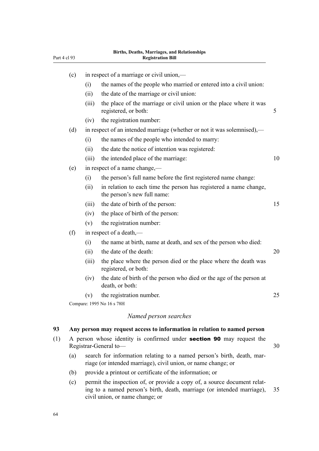| Part 4 cl 93 |                                                                                                       |                                                                                                                                         | DII (IIS, Deaths, Mai Hages, and Kelauonships<br><b>Registration Bill</b>                        |    |  |  |
|--------------|-------------------------------------------------------------------------------------------------------|-----------------------------------------------------------------------------------------------------------------------------------------|--------------------------------------------------------------------------------------------------|----|--|--|
|              | (c)                                                                                                   | in respect of a marriage or civil union,—                                                                                               |                                                                                                  |    |  |  |
|              |                                                                                                       | (i)                                                                                                                                     | the names of the people who married or entered into a civil union:                               |    |  |  |
|              |                                                                                                       | (ii)                                                                                                                                    | the date of the marriage or civil union:                                                         |    |  |  |
|              |                                                                                                       | (iii)                                                                                                                                   | the place of the marriage or civil union or the place where it was<br>registered, or both:       | 5  |  |  |
|              |                                                                                                       | (iv)                                                                                                                                    | the registration number:                                                                         |    |  |  |
|              | (d)                                                                                                   |                                                                                                                                         | in respect of an intended marriage (whether or not it was solemnised),—                          |    |  |  |
|              |                                                                                                       | (i)                                                                                                                                     | the names of the people who intended to marry:                                                   |    |  |  |
|              |                                                                                                       | (ii)                                                                                                                                    | the date the notice of intention was registered:                                                 |    |  |  |
|              |                                                                                                       | (iii)                                                                                                                                   | the intended place of the marriage:                                                              | 10 |  |  |
|              | (e)                                                                                                   |                                                                                                                                         | in respect of a name change,—                                                                    |    |  |  |
|              |                                                                                                       | (i)                                                                                                                                     | the person's full name before the first registered name change:                                  |    |  |  |
|              |                                                                                                       | (ii)                                                                                                                                    | in relation to each time the person has registered a name change,<br>the person's new full name: |    |  |  |
|              |                                                                                                       | (iii)                                                                                                                                   | the date of birth of the person:                                                                 | 15 |  |  |
|              |                                                                                                       | (iv)                                                                                                                                    | the place of birth of the person:                                                                |    |  |  |
|              |                                                                                                       | (v)                                                                                                                                     | the registration number:                                                                         |    |  |  |
|              | (f)                                                                                                   |                                                                                                                                         | in respect of a death,—                                                                          |    |  |  |
|              |                                                                                                       | (i)                                                                                                                                     | the name at birth, name at death, and sex of the person who died:                                |    |  |  |
|              |                                                                                                       | (ii)                                                                                                                                    | the date of the death:                                                                           | 20 |  |  |
|              |                                                                                                       | (iii)                                                                                                                                   | the place where the person died or the place where the death was<br>registered, or both:         |    |  |  |
|              |                                                                                                       | (iv)                                                                                                                                    | the date of birth of the person who died or the age of the person at<br>death, or both:          |    |  |  |
|              |                                                                                                       | (v)                                                                                                                                     | the registration number.<br>Compare: 1995 No 16 s 78H                                            | 25 |  |  |
|              |                                                                                                       |                                                                                                                                         |                                                                                                  |    |  |  |
|              |                                                                                                       |                                                                                                                                         | Named person searches                                                                            |    |  |  |
| 93           |                                                                                                       |                                                                                                                                         | Any person may request access to information in relation to named person                         |    |  |  |
| (1)          | A person whose identity is confirmed under <b>section 90</b> may request the<br>Registrar-General to- |                                                                                                                                         |                                                                                                  |    |  |  |
|              | (a)                                                                                                   | search for information relating to a named person's birth, death, mar-<br>riage (or intended marriage), civil union, or name change; or |                                                                                                  |    |  |  |

- (b) provide a printout or certificate of the information; or
- (c) permit the inspection of, or provide a copy of, a source document relat‐ ing to a named person's birth, death, marriage (or intended marriage), 35 civil union, or name change; or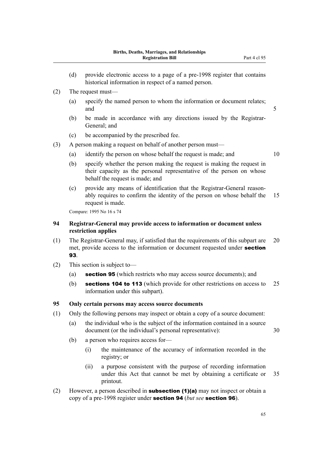- (d) provide electronic access to a page of a pre-1998 register that contains historical information in respect of a named person.
- (2) The request must—
	- (a) specify the named person to whom the information or document relates; and 5
	- (b) be made in accordance with any directions issued by the Registrar-General; and
	- (c) be accompanied by the prescribed fee.
- (3) A person making a request on behalf of another person must—
	- (a) identify the person on whose behalf the request is made; and 10
		-
	- (b) specify whether the person making the request is making the request in their capacity as the personal representative of the person on whose behalf the request is made; and
	- (c) provide any means of identification that the Registrar-General reason‐ ably requires to confirm the identity of the person on whose behalf the 15 request is made.

Compare: 1995 No 16 s 74

# **94 Registrar-General may provide access to information or document unless restriction applies**

- (1) The Registrar-General may, if satisfied that the requirements of this subpart are 20 met, provide access to the information or document requested under section 93.
- (2) This section is subject to—
	- (a) section 95 (which restricts who may access source documents); and
	- (b) sections 104 to 113 (which provide for other restrictions on access to 25 information under this subpart).

## **95 Only certain persons may access source documents**

- (1) Only the following persons may inspect or obtain a copy of a source document:
	- (a) the individual who is the subject of the information contained in a source document (or the individual's personal representative): 30
	- (b) a person who requires access for—
		- (i) the maintenance of the accuracy of information recorded in the registry; or
		- (ii) a purpose consistent with the purpose of recording information under this Act that cannot be met by obtaining a certificate or 35 printout.
- (2) However, a person described in **subsection (1)(a)** may not inspect or obtain a copy of a pre-1998 register under section 94 (*but see* section 96).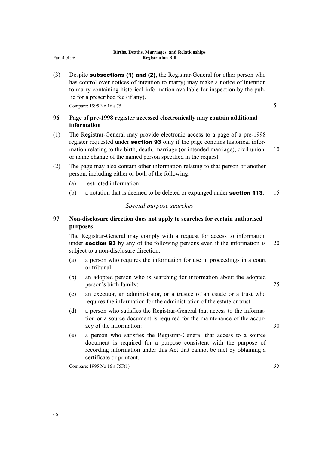(3) Despite **subsections (1) and (2)**, the Registrar-General (or other person who has control over notices of intention to marry) may make a notice of intention to marry containing historical information available for inspection by the pub‐ lic for a prescribed fee (if any).

Compare: 1995 No 16 s  $75$  5

# **96 Page of pre-1998 register accessed electronically may contain additional information**

- (1) The Registrar-General may provide electronic access to a page of a pre-1998 register requested under **section 93** only if the page contains historical information relating to the birth, death, marriage (or intended marriage), civil union, 10 or name change of the named person specified in the request.
- (2) The page may also contain other information relating to that person or another person, including either or both of the following:
	- (a) restricted information:
	- (b) a notation that is deemed to be deleted or expunged under **section 113**. 15

# *Special purpose searches*

# **97 Non-disclosure direction does not apply to searches for certain authorised purposes**

The Registrar-General may comply with a request for access to information under **section 93** by any of the following persons even if the information is 20 subject to a non-disclosure direction:

- (a) a person who requires the information for use in proceedings in a court or tribunal:
- (b) an adopted person who is searching for information about the adopted person's birth family: 25
- (c) an executor, an administrator, or a trustee of an estate or a trust who requires the information for the administration of the estate or trust:
- (d) a person who satisfies the Registrar-General that access to the information or a source document is required for the maintenance of the accuracy of the information: 30
- (e) a person who satisfies the Registrar-General that access to a source document is required for a purpose consistent with the purpose of recording information under this Act that cannot be met by obtaining a certificate or printout.

Compare: 1995 No 16 s 75F(1) 35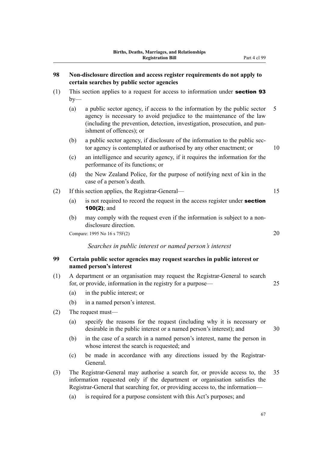| Non-disclosure direction and access register requirements do not apply to<br>98<br>certain searches by public sector agencies |                                                                                       |                                                                                                                                                                                                                                                             |    |  |  |  |
|-------------------------------------------------------------------------------------------------------------------------------|---------------------------------------------------------------------------------------|-------------------------------------------------------------------------------------------------------------------------------------------------------------------------------------------------------------------------------------------------------------|----|--|--|--|
| (1)                                                                                                                           | This section applies to a request for access to information under section 93<br>$by-$ |                                                                                                                                                                                                                                                             |    |  |  |  |
|                                                                                                                               | (a)                                                                                   | a public sector agency, if access to the information by the public sector<br>agency is necessary to avoid prejudice to the maintenance of the law<br>(including the prevention, detection, investigation, prosecution, and pun-<br>ishment of offences); or | 5  |  |  |  |
|                                                                                                                               | (b)                                                                                   | a public sector agency, if disclosure of the information to the public sec-<br>tor agency is contemplated or authorised by any other enactment; or                                                                                                          | 10 |  |  |  |
|                                                                                                                               | (c)                                                                                   | an intelligence and security agency, if it requires the information for the<br>performance of its functions; or                                                                                                                                             |    |  |  |  |
|                                                                                                                               | (d)                                                                                   | the New Zealand Police, for the purpose of notifying next of kin in the<br>case of a person's death.                                                                                                                                                        |    |  |  |  |
| (2)                                                                                                                           | If this section applies, the Registrar-General—                                       |                                                                                                                                                                                                                                                             |    |  |  |  |
|                                                                                                                               | (a)                                                                                   | is not required to record the request in the access register under section<br>100(2); and                                                                                                                                                                   |    |  |  |  |
|                                                                                                                               | (b)                                                                                   | may comply with the request even if the information is subject to a non-<br>disclosure direction.                                                                                                                                                           |    |  |  |  |
|                                                                                                                               |                                                                                       | 20<br>Compare: 1995 No 16 s 75F(2)                                                                                                                                                                                                                          |    |  |  |  |
|                                                                                                                               |                                                                                       | Searches in public interest or named person's interest                                                                                                                                                                                                      |    |  |  |  |
| 99                                                                                                                            |                                                                                       | Certain public sector agencies may request searches in public interest or<br>named person's interest                                                                                                                                                        |    |  |  |  |
| (1)                                                                                                                           |                                                                                       | A department or an organisation may request the Registrar-General to search<br>for, or provide, information in the registry for a purpose-                                                                                                                  | 25 |  |  |  |
|                                                                                                                               | (a)                                                                                   | in the public interest; or                                                                                                                                                                                                                                  |    |  |  |  |
|                                                                                                                               | (b)                                                                                   | in a named person's interest.                                                                                                                                                                                                                               |    |  |  |  |
| (2)                                                                                                                           | The request must—                                                                     |                                                                                                                                                                                                                                                             |    |  |  |  |
|                                                                                                                               | (a)                                                                                   | specify the reasons for the request (including why it is necessary or<br>desirable in the public interest or a named person's interest); and                                                                                                                | 30 |  |  |  |
|                                                                                                                               | (b)                                                                                   | in the case of a search in a named person's interest, name the person in<br>whose interest the search is requested; and                                                                                                                                     |    |  |  |  |
|                                                                                                                               | (c)                                                                                   | be made in accordance with any directions issued by the Registrar-<br>General.                                                                                                                                                                              |    |  |  |  |
| (3)                                                                                                                           |                                                                                       | The Registrar-General may authorise a search for, or provide access to, the<br>information requested only if the department or organisation satisfies the<br>Registrar-General that searching for, or providing access to, the information-                 | 35 |  |  |  |
|                                                                                                                               | (a)                                                                                   | is required for a purpose consistent with this Act's purposes; and                                                                                                                                                                                          |    |  |  |  |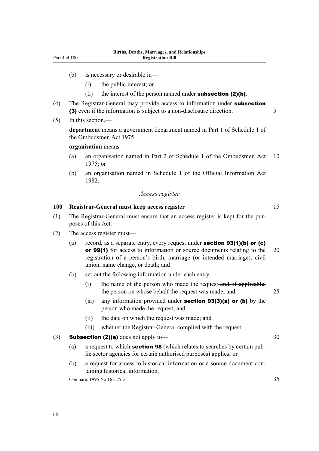- (b) is necessary or desirable in—
	- (i) the public interest; or
	- (ii) the interest of the person named under **subsection (2)(b)**.
- (4) The Registrar-General may provide access to information under **subsection** (3) even if the information is subject to a non-disclosure direction. 5

## (5) In this section,—

**department** means a government department named in Part 1 of Schedule 1 of the Ombudsmen Act 1975

#### **organisation** means—

- (a) an organisation named in Part 2 of Schedule 1 of the Ombudsmen Act 10 1975; or
- (b) an organisation named in Schedule 1 of the Official Information Act 1982.

#### *Access register*

# **100 Registrar-General must keep access register** 15

- (1) The Registrar-General must ensure that an access register is kept for the pur‐ poses of this Act.
- (2) The access register must—
	- (a) record, as a separate entry, every request under **section 93(1)(b) or (c)** or 99(1) for access to information or source documents relating to the 20 registration of a person's birth, marriage (or intended marriage), civil union, name change, or death; and
	- (b) set out the following information under each entry:
		- (i) the name of the person who made the request and, if applicable, the person on whose behalf the request was made; and 25
		- (ia) any information provided under **section 93(3)(a) or (b)** by the person who made the request; and
		- (ii) the date on which the request was made; and
		- (iii) whether the Registrar-General complied with the request.

## (3) **Subsection (2)(a)** does not apply to—  $30$

- (a) a request to which **section 98** (which relates to searches by certain public sector agencies for certain authorised purposes) applies; or
- (b) a request for access to historical information or a source document con‐ taining historical information.

Compare: 1995 No 16 s 75D 35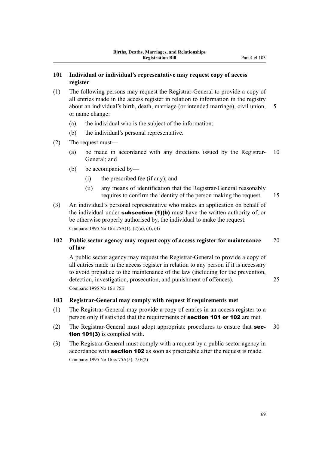- (1) The following persons may request the Registrar-General to provide a copy of all entries made in the access register in relation to information in the registry about an individual's birth, death, marriage (or intended marriage), civil union, 5 or name change:
	- (a) the individual who is the subject of the information:
	- (b) the individual's personal representative.
- (2) The request must—
	- (a) be made in accordance with any directions issued by the Registrar- 10 General; and
	- (b) be accompanied by—
		- (i) the prescribed fee (if any); and
		- (ii) any means of identification that the Registrar-General reasonably requires to confirm the identity of the person making the request. 15
			-
- (3) An individual's personal representative who makes an application on behalf of the individual under **subsection (1)(b)** must have the written authority of, or be otherwise properly authorised by, the individual to make the request. Compare: 1995 No 16 s 75A(1), (2)(a), (3), (4)

# **102 Public sector agency may request copy of access register for maintenance** 20 **of law**

A public sector agency may request the Registrar-General to provide a copy of all entries made in the access register in relation to any person if it is necessary to avoid prejudice to the maintenance of the law (including for the prevention, detection, investigation, prosecution, and punishment of offences). 25 Compare: 1995 No 16 s 75E

**103 Registrar-General may comply with request if requirements met**

- (1) The Registrar-General may provide a copy of entries in an access register to a person only if satisfied that the requirements of **section 101 or 102** are met.
- (2) The Registrar-General must adopt appropriate procedures to ensure that **sec-** 30 tion 101(3) is complied with.
- (3) The Registrar-General must comply with a request by a public sector agency in accordance with section 102 as soon as practicable after the request is made. Compare: 1995 No 16 ss 75A(5), 75E(2)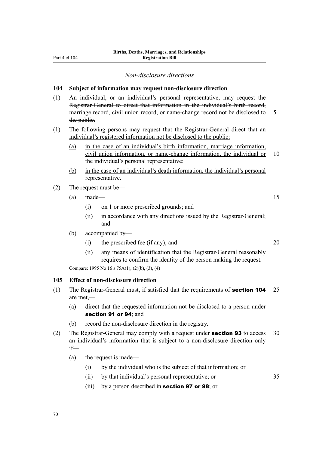#### *Non-disclosure directions*

#### **104 Subject of information may request non-disclosure direction**

(1) An individual, or an individual's personal representative, may request the Registrar-General to direct that information in the individual's birth record, marriage record, civil union record, or name-change record not be disclosed to 5 the public.

#### (1) The following persons may request that the Registrar-General direct that an individual's registered information not be disclosed to the public:

- (a) in the case of an individual's birth information, marriage information, civil union information, or name-change information, the individual or 10 the individual's personal representative:
- (b) in the case of an individual's death information, the individual's personal representative.
- (2) The request must be—
	- $(a)$  made— 15
		- (i) on 1 or more prescribed grounds; and
		- (ii) in accordance with any directions issued by the Registrar-General; and
	- (b) accompanied by—
		- (i) the prescribed fee (if any); and 20

(ii) any means of identification that the Registrar-General reasonably requires to confirm the identity of the person making the request.

Compare: 1995 No 16 s 75A(1), (2)(b), (3), (4)

#### **105 Effect of non-disclosure direction**

- (1) The Registrar-General must, if satisfied that the requirements of **section 104** 25 are met,—
	- (a) direct that the requested information not be disclosed to a person under section 91 or 94: and
	- (b) record the non-disclosure direction in the registry.
- (2) The Registrar-General may comply with a request under **section 93** to access  $30$ an individual's information that is subject to a non-disclosure direction only if—
	- (a) the request is made—
		- (i) by the individual who is the subject of that information; or
		- (ii) by that individual's personal representative; or 35
		- (iii) by a person described in **section 97 or 98**; or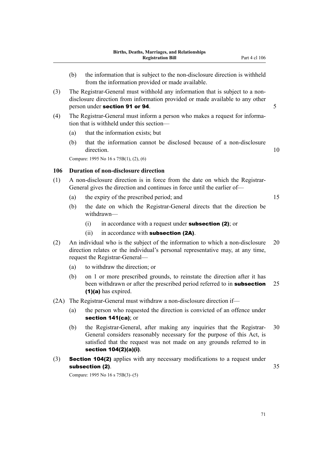- (3) The Registrar-General must withhold any information that is subject to a nondisclosure direction from information provided or made available to any other person under section 91 or 94. 5
- (4) The Registrar-General must inform a person who makes a request for informa‐ tion that is withheld under this section—
	- (a) that the information exists; but
	- (b) that the information cannot be disclosed because of a non-disclosure direction. 10

Compare: 1995 No 16 s 75B(1), (2), (6)

#### **106 Duration of non-disclosure direction**

- (1) A non-disclosure direction is in force from the date on which the Registrar-General gives the direction and continues in force until the earlier of—
	- (a) the expiry of the prescribed period; and 15
	- (b) the date on which the Registrar-General directs that the direction be withdrawn—
		- (i) in accordance with a request under **subsection (2)**; or
		- $(ii)$  in accordance with **subsection (2A)**.
- (2) An individual who is the subject of the information to which a non-disclosure 20 direction relates or the individual's personal representative may, at any time, request the Registrar-General—
	- (a) to withdraw the direction; or
	- (b) on 1 or more prescribed grounds, to reinstate the direction after it has been withdrawn or after the prescribed period referred to in **subsection** 25 (1)(a) has expired.
- (2A) The Registrar-General must withdraw a non-disclosure direction if—
	- (a) the person who requested the direction is convicted of an offence under section 141(ca); or
	- (b) the Registrar-General, after making any inquiries that the Registrar- 30 General considers reasonably necessary for the purpose of this Act, is satisfied that the request was not made on any grounds referred to in section 104(2)(a)(i).
- (3) Section 104(2) applies with any necessary modifications to a request under subsection (2).  $35$

Compare: 1995 No 16 s 75B(3)–(5)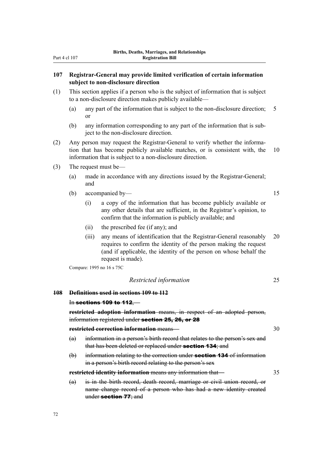#### **107 Registrar-General may provide limited verification of certain information subject to non-disclosure direction**

- (1) This section applies if a person who is the subject of information that is subject to a non-disclosure direction makes publicly available—
	- (a) any part of the information that is subject to the non-disclosure direction; 5 or
	- (b) any information corresponding to any part of the information that is sub‐ ject to the non-disclosure direction.
- (2) Any person may request the Registrar-General to verify whether the informa‐ tion that has become publicly available matches, or is consistent with, the 10 information that is subject to a non-disclosure direction.
- (3) The request must be—
	- (a) made in accordance with any directions issued by the Registrar-General; and
	- (b) accompanied by— 15

(i) a copy of the information that has become publicly available or any other details that are sufficient, in the Registrar's opinion, to confirm that the information is publicly available; and

- (ii) the prescribed fee (if any); and
- (iii) any means of identification that the Registrar-General reasonably 20 requires to confirm the identity of the person making the request (and if applicable, the identity of the person on whose behalf the request is made).

Compare: 1995 no 16 s 75C

*Restricted information* 25

**108 Definitions used in sections 109 to 112**

#### In sections 109 to 112,—

**restricted adoption information** means, in respect of an adopted person, information registered under section 25, 26, or 28

**restricted correction information** means— 30

- (a) information in a person's birth record that relates to the person's sex and that has been deleted or replaced under **section 134**; and
- (b) information relating to the correction under **section 134** of information in a person's birth record relating to the person's sex

**restricted identity information** means any information that— 35

(a) is in the birth record, death record, marriage or civil union record, or name change record of a person who has had a new identity created under section 77; and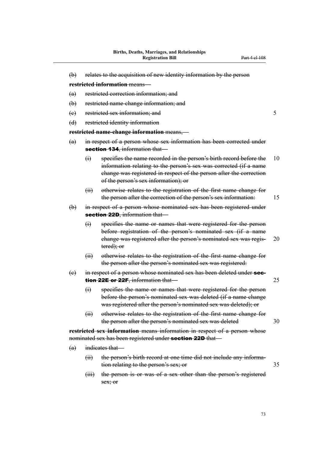(b) relates to the acquisition of new identity information by the person

**restricted information** means— (a) restricted correction information; and (b) restricted name-change information; and (e) restricted sex information; and 5 (d) restricted identity information **restricted name-change information** means,— (a) in respect of a person whose sex information has been corrected under section 134, information that-(i) specifies the name recorded in the person's birth record before the 10 information relating to the person's sex was corrected (if a name change was registered in respect of the person after the correction of the person's sex information); or (ii) otherwise relates to the registration of the first name change for the person after the correction of the person's sex information: 15 (b) in respect of a person whose nominated sex has been registered under section 22D, information that-(i) specifies the name or names that were registered for the person before registration of the person's nominated sex (if a name change was registered after the person's nominated sex was regis- 20 tered); or (ii) otherwise relates to the registration of the first name change for the person after the person's nominated sex was registered: (e) in respect of a person whose nominated sex has been deleted under **sec**tion 22E or 22F, information that— (i) specifies the name or names that were registered for the person before the person's nominated sex was deleted (if a name change was registered after the person's nominated sex was deleted); or (ii) otherwise relates to the registration of the first name change for the person after the person's nominated sex was deleted 30 **restricted sex information** means information in respect of a person whose nominated sex has been registered under **section 22D** that-(a) indicates that— (ii) the person's birth record at one time did not include any information relating to the person's sex; or 35 (iii) the person is or was of a sex other than the person's registered

sex; or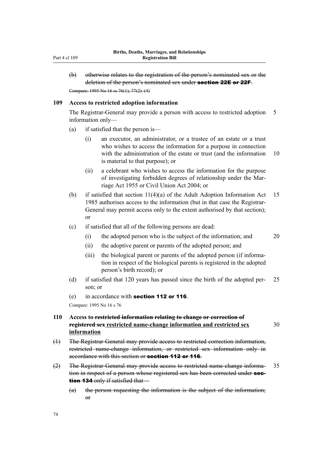(b) otherwise relates to the registration of the person's nominated sex or the deletion of the person's nominated sex under section 22E or 22F. Compare: 1995 No 16 ss 76(1), 77(2)–(4)

#### **109 Access to restricted adoption information**

The Registrar-General may provide a person with access to restricted adoption 5 information only—

- (a) if satisfied that the person is—
	- (i) an executor, an administrator, or a trustee of an estate or a trust who wishes to access the information for a purpose in connection with the administration of the estate or trust (and the information 10 is material to that purpose); or
	- (ii) a celebrant who wishes to access the information for the purpose of investigating forbidden degrees of relationship under the Mar‐ riage Act 1955 or Civil Union Act 2004; or
- (b) if satisfied that section 11(4)(a) of the Adult Adoption Information Act 15 1985 authorises access to the information (but in that case the Registrar-General may permit access only to the extent authorised by that section); or
- (c) if satisfied that all of the following persons are dead:
	- (i) the adopted person who is the subject of the information; and 20
	- (ii) the adoptive parent or parents of the adopted person; and
	- (iii) the biological parent or parents of the adopted person (if information in respect of the biological parents is registered in the adopted person's birth record); or
- (d) if satisfied that 120 years has passed since the birth of the adopted per‐ 25 son; or
- (e) in accordance with section 112 or 116.

Compare: 1995 No 16 s 76

# **110 Access to restricted information relating to change or correction of registered sex restricted name-change information and restricted sex** 30 **information**

- (1) The Registrar-General may provide access to restricted correction information, restricted name-change information, or restricted sex information only in accordance with this section or **section 112 or 116**.
- (2) The Registrar-General may provide access to restricted name-change informa- 35 tion in respect of a person whose registered sex has been corrected under **sec**tion 134 only if satisfied that—
	- (a) the person requesting the information is the subject of the information;  $\theta$ <sup>r</sup>

74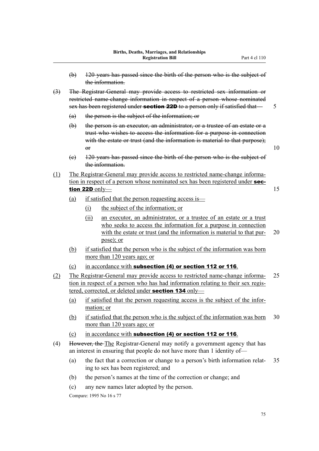- (b) 120 years has passed since the birth of the person who is the subject of the information.
- (3) The Registrar-General may provide access to restricted sex information or restricted name-change information in respect of a person whose nominated sex has been registered under **section 22D** to a person only if satisfied that  $\overline{\phantom{0}}$  5
	- (a) the person is the subject of the information; or
	- (b) the person is an executor, an administrator, or a trustee of an estate or a trust who wishes to access the information for a purpose in connection with the estate or trust (and the information is material to that purpose);  $\sigma$  10
	- (c) 120 years has passed since the birth of the person who is the subject of the information.
- (1) The Registrar-General may provide access to restricted name-change informa‐ tion in respect of a person whose nominated sex has been registered under **sec**tion 22D only  $\qquad \qquad$  15
	- (a) if satisfied that the person requesting access is—
		- (i) the subject of the information; or
		- (ii) an executor, an administrator, or a trustee of an estate or a trust who seeks to access the information for a purpose in connection with the estate or trust (and the information is material to that pur- 20 pose); or
	- (b) if satisfied that the person who is the subject of the information was born more than 120 years ago; or
	- (c) in accordance with subsection (4) or section 112 or 116.
- (2) The Registrar-General may provide access to restricted name-change informa‐ 25 tion in respect of a person who has had information relating to their sex registered, corrected, or deleted under section 134 only-
	- (a) if satisfied that the person requesting access is the subject of the infor‐ mation; or
	- (b) if satisfied that the person who is the subject of the information was born 30 more than 120 years ago; or
	- (c) in accordance with subsection (4) or section 112 or 116.
- (4) However, the The Registrar-General may notify a government agency that has an interest in ensuring that people do not have more than 1 identity of—
	- (a) the fact that a correction or change to a person's birth information relat‐ 35 ing to sex has been registered; and
	- (b) the person's names at the time of the correction or change; and
	- (c) any new names later adopted by the person.

Compare: 1995 No 16 s 77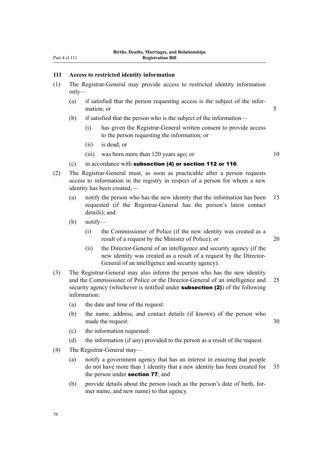#### **111 Access to restricted identity information**

- (1) The Registrar-General may provide access to restricted identity information only—
	- (a) if satisfied that the person requesting access is the subject of the infor‐ mation; or 5
	- (b) if satisfied that the person who is the subject of the information—
		- (i) has given the Registrar-General written consent to provide access to the person requesting the information; or
		- (ii) is dead; or
		- (iii) was born more than 120 years ago; or 10

- $(c)$  in accordance with subsection (4) or section 112 or 116.
- (2) The Registrar-General must, as soon as practicable after a person requests access to information in the registry in respect of a person for whom a new identity has been created,—
	- (a) notify the person who has the new identity that the information has been 15 requested (if the Registrar-General has the person's latest contact details); and
	- (b) notify—
		- (i) the Commissioner of Police (if the new identity was created as a result of a request by the Minister of Police); or 20
		- (ii) the Director-General of an intelligence and security agency (if the new identity was created as a result of a request by the Director-General of an intelligence and security agency).
- (3) The Registrar-General may also inform the person who has the new identity and the Commissioner of Police or the Director-General of an intelligence and 25 security agency (whichever is notified under **subsection (2)**) of the following information:
	- (a) the date and time of the request:
	- (b) the name, address, and contact details (if known) of the person who made the request: 30
	- (c) the information requested:
	- (d) the information (if any) provided to the person as a result of the request.
- (4) The Registrar-General may—
	- (a) notify a government agency that has an interest in ensuring that people do not have more than 1 identity that a new identity has been created for 35 the person under **section 77**; and
	- (b) provide details about the person (such as the person's date of birth, for‐ mer name, and new name) to that agency.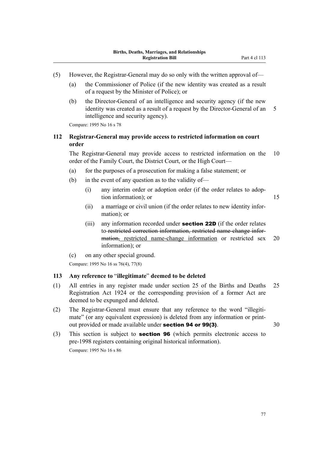- (5) However, the Registrar-General may do so only with the written approval of—
	- (a) the Commissioner of Police (if the new identity was created as a result of a request by the Minister of Police); or
	- (b) the Director-General of an intelligence and security agency (if the new identity was created as a result of a request by the Director-General of an 5 intelligence and security agency).

Compare: 1995 No 16 s 78

# **112 Registrar-General may provide access to restricted information on court order**

The Registrar-General may provide access to restricted information on the 10 order of the Family Court, the District Court, or the High Court—

- (a) for the purposes of a prosecution for making a false statement; or
- (b) in the event of any question as to the validity of—
	- (i) any interim order or adoption order (if the order relates to adoption information); or 15

- (ii) a marriage or civil union (if the order relates to new identity infor‐ mation); or
- (iii) any information recorded under **section 22D** (if the order relates to restricted correction information, restricted name-change infor‐ mation, restricted name-change information or restricted sex 20 information); or
- (c) on any other special ground.

Compare: 1995 No 16 ss 76(4), 77(8)

### **113 Any reference to** "**illegitimate**" **deemed to be deleted**

- (1) All entries in any register made under section 25 of the Births and Deaths 25 Registration Act 1924 or the corresponding provision of a former Act are deemed to be expunged and deleted.
- (2) The Registrar-General must ensure that any reference to the word "illegiti‐ mate" (or any equivalent expression) is deleted from any information or printout provided or made available under **section 94 or 99(3)**. 30
- (3) This section is subject to section 96 (which permits electronic access to pre-1998 registers containing original historical information). Compare: 1995 No 16 s 86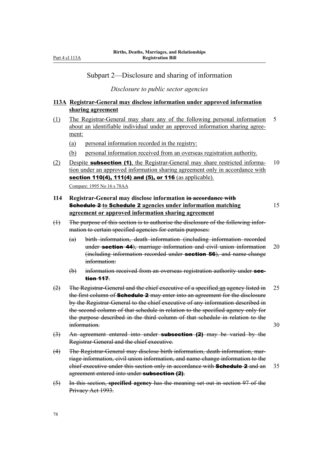# Subpart 2—Disclosure and sharing of information

*Disclosure to public sector agencies*

# **113A Registrar-General may disclose information under approved information sharing agreement**

- (1) The Registrar-General may share any of the following personal information 5 about an identifiable individual under an approved information sharing agree‐ ment:
	- (a) personal information recorded in the registry:
	- (b) personal information received from an overseas registration authority.
- (2) Despite **subsection (1)**, the Registrar-General may share restricted informa- 10 tion under an approved information sharing agreement only in accordance with section 110(4), 111(4) and (5), or 116 (as applicable). Compare: 1995 No 16 s 78AA
- **114 Registrar-General may disclose information in accordance with** Schedule 2 **to** Schedule 2 **agencies under information matching** 15 **agreement or approved information sharing agreement**
- (1) The purpose of this section is to authorise the disclosure of the following infor‐ mation to certain specified agencies for certain purposes:
	- (a) birth information, death information (including information recorded under **section 44**), marriage information and civil union information 20 (including information recorded under **section 56**), and name-change information:
	- (b) information received from an overseas registration authority under section 117.
- (2) The Registrar-General and the chief executive of a specified an agency listed in 25 the first column of **Schedule 2** may enter into an agreement for the disclosure by the Registrar-General to the chief executive of any information described in the second column of that schedule in relation to the specified agency only for the purpose described in the third column of that schedule in relation to the information. 30
- $(3)$  An agreement entered into under **subsection (2)** may be varied by the Registrar-General and the chief executive.
- (4) The Registrar-General may disclose birth information, death information, mar‐ riage information, civil union information, and name-change information to the chief executive under this section only in accordance with **Schedule 2** and an  $35$ agreement entered into under subsection (2).
- (5) In this section, **specified agency** has the meaning set out in section 97 of the Privacy Act 1993.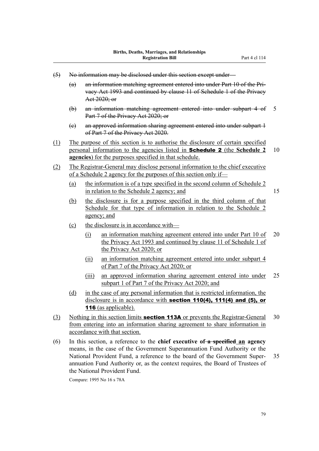- (5) No information may be disclosed under this section except under—
	- (a) an information matching agreement entered into under Part 10 of the Pri‐ vacy Act 1993 and continued by clause 11 of Schedule 1 of the Privacy Act 2020; or
	- (b) an information matching agreement entered into under subpart 4 of 5 Part 7 of the Privacy Act 2020; or
	- (c) an approved information sharing agreement entered into under subpart 1 of Part 7 of the Privacy Act 2020.
- (1) The purpose of this section is to authorise the disclosure of certain specified personal information to the agencies listed in Schedule 2 (the **Schedule 2** 10 **agencies**) for the purposes specified in that schedule.
- (2) The Registrar-General may disclose personal information to the chief executive of a Schedule 2 agency for the purposes of this section only if—
	- (a) the information is of a type specified in the second column of Schedule 2 in relation to the Schedule 2 agency; and 15

- (b) the disclosure is for a purpose specified in the third column of that Schedule for that type of information in relation to the Schedule 2 agency; and
- (c) the disclosure is in accordance with—
	- (i) an information matching agreement entered into under Part 10 of 20 the Privacy Act 1993 and continued by clause 11 of Schedule 1 of the Privacy Act 2020; or
	- (ii) an information matching agreement entered into under subpart 4 of Part 7 of the Privacy Act 2020; or
	- (iii) an approved information sharing agreement entered into under 25 subpart 1 of Part 7 of the Privacy Act 2020; and
- (d) in the case of any personal information that is restricted information, the disclosure is in accordance with section 110(4), 111(4) and (5), or 116 (as applicable).
- (3) Nothing in this section limits **section 113A** or prevents the Registrar-General  $30$ from entering into an information sharing agreement to share information in accordance with that section.
- (6) In this section, a reference to the **chief executive of a specified an agency** means, in the case of the Government Superannuation Fund Authority or the National Provident Fund, a reference to the board of the Government Super‐ 35 annuation Fund Authority or, as the context requires, the Board of Trustees of the National Provident Fund.

Compare: 1995 No 16 s 78A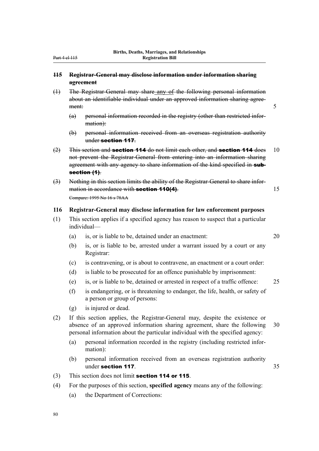### **115 Registrar-General may disclose information under information sharing agreement**

- (1) The Registrar-General may share any of the following personal information about an identifiable individual under an approved information sharing agree‐ ment: 5
	- (a) personal information recorded in the registry (other than restricted infor‐ mation):
	- (b) personal information received from an overseas registration authority under section 117.
- $(2)$  This section and **section 114** do not limit each other, and **section 114** does 10 not prevent the Registrar-General from entering into an information sharing agreement with any agency to share information of the kind specified in subsection (1).
- (3) Nothing in this section limits the ability of the Registrar-General to share infor‐ mation in accordance with **section 110(4)**. 15 Compare: 1995 No 16 s 78AA

#### **116 Registrar-General may disclose information for law enforcement purposes**

- (1) This section applies if a specified agency has reason to suspect that a particular individual—
	- (a) is, or is liable to be, detained under an enactment: 20

- (b) is, or is liable to be, arrested under a warrant issued by a court or any Registrar:
- (c) is contravening, or is about to contravene, an enactment or a court order:
- (d) is liable to be prosecuted for an offence punishable by imprisonment:
- (e) is, or is liable to be, detained or arrested in respect of a traffic offence: 25
- (f) is endangering, or is threatening to endanger, the life, health, or safety of a person or group of persons:
- (g) is injured or dead.
- (2) If this section applies, the Registrar-General may, despite the existence or absence of an approved information sharing agreement, share the following 30 personal information about the particular individual with the specified agency:
	- (a) personal information recorded in the registry (including restricted infor‐ mation):
	- (b) personal information received from an overseas registration authority under section 117. 35
- (3) This section does not limit section 114 or 115.
- (4) For the purposes of this section, **specified agency** means any of the following:
	- (a) the Department of Corrections: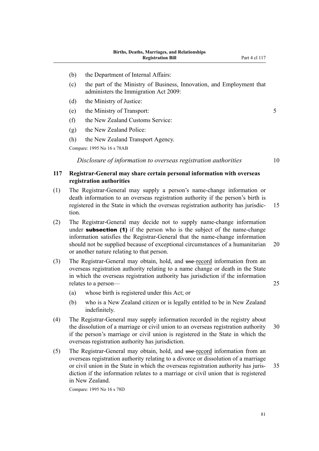- (b) the Department of Internal Affairs:
- (c) the part of the Ministry of Business, Innovation, and Employment that administers the Immigration Act 2009:
- (d) the Ministry of Justice:
- (e) the Ministry of Transport: 5
- (f) the New Zealand Customs Service:
- (g) the New Zealand Police:
- (h) the New Zealand Transport Agency.

Compare: 1995 No 16 s 78AB

*Disclosure of information to overseas registration authorities* 10

## **117 Registrar-General may share certain personal information with overseas registration authorities**

- (1) The Registrar-General may supply a person's name-change information or death information to an overseas registration authority if the person's birth is registered in the State in which the overseas registration authority has jurisdic- 15 tion.
- (2) The Registrar-General may decide not to supply name-change information under **subsection** (1) if the person who is the subject of the name-change information satisfies the Registrar-General that the name-change information should not be supplied because of exceptional circumstances of a humanitarian 20 or another nature relating to that person.
- (3) The Registrar-General may obtain, hold, and use record information from an overseas registration authority relating to a name change or death in the State in which the overseas registration authority has jurisdiction if the information relates to a person— 25
	- (a) whose birth is registered under this Act; or
	- (b) who is a New Zealand citizen or is legally entitled to be in New Zealand indefinitely.
- (4) The Registrar-General may supply information recorded in the registry about the dissolution of a marriage or civil union to an overseas registration authority 30 if the person's marriage or civil union is registered in the State in which the overseas registration authority has jurisdiction.
- (5) The Registrar-General may obtain, hold, and use record information from an overseas registration authority relating to a divorce or dissolution of a marriage or civil union in the State in which the overseas registration authority has juris- 35 diction if the information relates to a marriage or civil union that is registered in New Zealand.

Compare: 1995 No 16 s 78D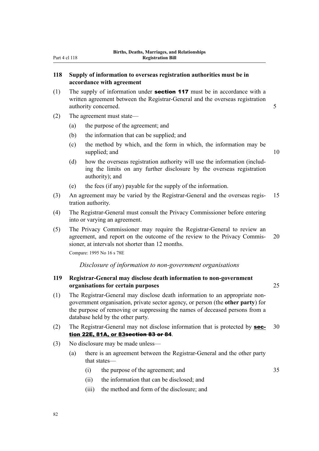# **118 Supply of information to overseas registration authorities must be in accordance with agreement**

- (1) The supply of information under **section 117** must be in accordance with a written agreement between the Registrar-General and the overseas registration authority concerned. 5
- (2) The agreement must state—
	- (a) the purpose of the agreement; and
	- (b) the information that can be supplied; and
	- (c) the method by which, and the form in which, the information may be supplied; and 10
	- (d) how the overseas registration authority will use the information (includ‐ ing the limits on any further disclosure by the overseas registration authority); and
	- (e) the fees (if any) payable for the supply of the information.
- (3) An agreement may be varied by the Registrar-General and the overseas regis‐ 15 tration authority.
- (4) The Registrar-General must consult the Privacy Commissioner before entering into or varying an agreement.
- (5) The Privacy Commissioner may require the Registrar-General to review an agreement, and report on the outcome of the review to the Privacy Commis- 20 sioner, at intervals not shorter than 12 months.

Compare: 1995 No 16 s 78E

#### *Disclosure of information to non-government organisations*

## **119 Registrar-General may disclose death information to non-government organisations for certain purposes** 25

- 
- (1) The Registrar-General may disclose death information to an appropriate nongovernment organisation, private sector agency, or person (the **other party**) for the purpose of removing or suppressing the names of deceased persons from a database held by the other party.
- (2) The Registrar-General may not disclose information that is protected by **sec-** 30 tion 22E, 81A, or 83section 83 or 84.
- (3) No disclosure may be made unless—
	- (a) there is an agreement between the Registrar-General and the other party that states—
		- (i) the purpose of the agreement; and 35
		- (ii) the information that can be disclosed; and
		- (iii) the method and form of the disclosure; and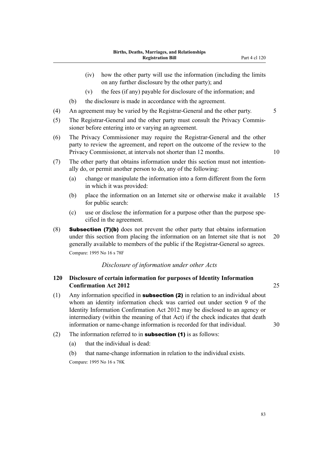- (iv) how the other party will use the information (including the limits on any further disclosure by the other party); and
- (v) the fees (if any) payable for disclosure of the information; and
- (b) the disclosure is made in accordance with the agreement.
- (4) An agreement may be varied by the Registrar-General and the other party. 5
- (5) The Registrar-General and the other party must consult the Privacy Commis‐ sioner before entering into or varying an agreement.
- (6) The Privacy Commissioner may require the Registrar-General and the other party to review the agreement, and report on the outcome of the review to the Privacy Commissioner, at intervals not shorter than 12 months. 10
- (7) The other party that obtains information under this section must not intention‐ ally do, or permit another person to do, any of the following:
	- (a) change or manipulate the information into a form different from the form in which it was provided:
	- (b) place the information on an Internet site or otherwise make it available 15 for public search:
	- (c) use or disclose the information for a purpose other than the purpose spe‐ cified in the agreement.
- (8) Subsection (7)(b) does not prevent the other party that obtains information under this section from placing the information on an Internet site that is not 20 generally available to members of the public if the Registrar-General so agrees. Compare: 1995 No 16 s 78F

#### *Disclosure of information under other Acts*

## **120 Disclosure of certain information for purposes of Identity Information Confirmation Act 2012** 25

- (1) Any information specified in **subsection (2)** in relation to an individual about whom an identity information check was carried out under section 9 of the Identity Information Confirmation Act 2012 may be disclosed to an agency or intermediary (within the meaning of that Act) if the check indicates that death information or name-change information is recorded for that individual. 30
- (2) The information referred to in **subsection (1)** is as follows:
	- (a) that the individual is dead:

(b) that name-change information in relation to the individual exists. Compare: 1995 No 16 s 78K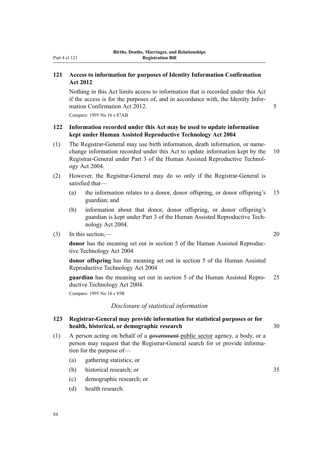# **121 Access to information for purposes of Identity Information Confirmation Act 2012**

Nothing in this Act limits access to information that is recorded under this Act if the access is for the purposes of, and in accordance with, the Identity Infor‐ mation Confirmation Act 2012.

Compare: 1995 No 16 s 87AB

# **122 Information recorded under this Act may be used to update information kept under Human Assisted Reproductive Technology Act 2004**

- (1) The Registrar-General may use birth information, death information, or namechange information recorded under this Act to update information kept by the 10 Registrar-General under Part 3 of the Human Assisted Reproductive Technol‐ ogy Act 2004.
- (2) However, the Registrar-General may do so only if the Registrar-General is satisfied that—
	- (a) the information relates to a donor, donor offspring, or donor offspring's 15 guardian; and
	- (b) information about that donor, donor offspring, or donor offspring's guardian is kept under Part 3 of the Human Assisted Reproductive Tech‐ nology Act 2004.
- (3) In this section,— 20

**donor** has the meaning set out in section 5 of the Human Assisted Reproductive Technology Act 2004

**donor offspring** has the meaning set out in section 5 of the Human Assisted Reproductive Technology Act 2004

**guardian** has the meaning set out in section 5 of the Human Assisted Repro- 25 ductive Technology Act 2004.

Compare: 1995 No 16 s 85B

# *Disclosure of statistical information*

## **123 Registrar-General may provide information for statistical purposes or for health, historical, or demographic research** 30

- (1) A person acting on behalf of a government public sector agency, a body, or a person may request that the Registrar-General search for or provide information for the purpose of—
	- (a) gathering statistics; or
	- (b) historical research; or 35
	- (c) demographic research; or
	- (d) health research.

84

Part 4 cl 121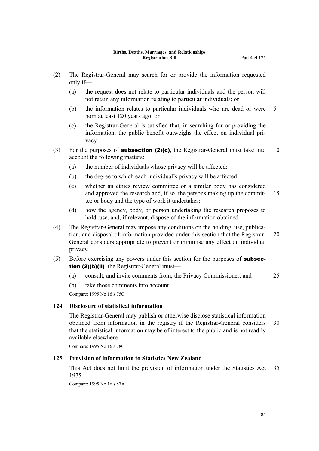- (2) The Registrar-General may search for or provide the information requested only if—
	- (a) the request does not relate to particular individuals and the person will not retain any information relating to particular individuals; or
	- (b) the information relates to particular individuals who are dead or were 5 born at least 120 years ago; or
	- (c) the Registrar-General is satisfied that, in searching for or providing the information, the public benefit outweighs the effect on individual pri‐ vacy.
- (3) For the purposes of **subsection (2)(c)**, the Registrar-General must take into 10 account the following matters:
	- (a) the number of individuals whose privacy will be affected:
	- (b) the degree to which each individual's privacy will be affected:
	- (c) whether an ethics review committee or a similar body has considered and approved the research and, if so, the persons making up the commit- 15 tee or body and the type of work it undertakes:
	- (d) how the agency, body, or person undertaking the research proposes to hold, use, and, if relevant, dispose of the information obtained.
- (4) The Registrar-General may impose any conditions on the holding, use, publica‐ tion, and disposal of information provided under this section that the Registrar- 20 General considers appropriate to prevent or minimise any effect on individual privacy.
- (5) Before exercising any powers under this section for the purposes of **subsec**tion (2)(b)(ii), the Registrar-General must—
	- (a) consult, and invite comments from, the Privacy Commissioner; and 25
	- (b) take those comments into account.

Compare: 1995 No 16 s 75G

# **124 Disclosure of statistical information**

The Registrar-General may publish or otherwise disclose statistical information obtained from information in the registry if the Registrar-General considers 30 that the statistical information may be of interest to the public and is not readily available elsewhere.

Compare: 1995 No 16 s 78C

## **125 Provision of information to Statistics New Zealand**

This Act does not limit the provision of information under the Statistics Act 35 1975.

Compare: 1995 No 16 s 87A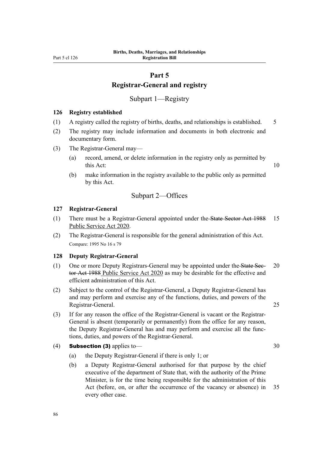# **Part 5 Registrar-General and registry**

Subpart 1—Registry

#### **126 Registry established**

- (1) A registry called the registry of births, deaths, and relationships is established. 5
- (2) The registry may include information and documents in both electronic and documentary form.
- (3) The Registrar-General may—
	- (a) record, amend, or delete information in the registry only as permitted by this Act: 10
	- (b) make information in the registry available to the public only as permitted by this Act.

#### Subpart 2—Offices

#### **127 Registrar-General**

- (1) There must be a Registrar-General appointed under the State Sector Act 1988 15 Public Service Act 2020.
- (2) The Registrar-General is responsible for the general administration of this Act. Compare: 1995 No 16 s 79

#### **128 Deputy Registrar-General**

- (1) One or more Deputy Registrars-General may be appointed under the State Sec- 20 tor Act 1988 Public Service Act 2020 as may be desirable for the effective and efficient administration of this Act.
- (2) Subject to the control of the Registrar-General, a Deputy Registrar-General has and may perform and exercise any of the functions, duties, and powers of the Registrar-General. 25
- (3) If for any reason the office of the Registrar-General is vacant or the Registrar-General is absent (temporarily or permanently) from the office for any reason, the Deputy Registrar-General has and may perform and exercise all the func‐ tions, duties, and powers of the Registrar-General.

# (4) **Subsection (3)** applies to  $\qquad \qquad$  30

86

- (a) the Deputy Registrar-General if there is only 1; or
- (b) a Deputy Registrar-General authorised for that purpose by the chief executive of the department of State that, with the authority of the Prime Minister, is for the time being responsible for the administration of this Act (before, on, or after the occurrence of the vacancy or absence) in 35 every other case.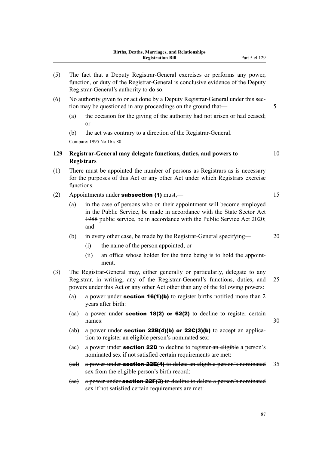- (5) The fact that a Deputy Registrar-General exercises or performs any power, function, or duty of the Registrar-General is conclusive evidence of the Deputy Registrar-General's authority to do so.
- (6) No authority given to or act done by a Deputy Registrar-General under this sec‐ tion may be questioned in any proceedings on the ground that— 5
	- (a) the occasion for the giving of the authority had not arisen or had ceased; or
	- (b) the act was contrary to a direction of the Registrar-General.

Compare: 1995 No 16 s 80

## **129 Registrar-General may delegate functions, duties, and powers to** 10 **Registrars**

- (1) There must be appointed the number of persons as Registrars as is necessary for the purposes of this Act or any other Act under which Registrars exercise functions.
- (2) Appointments under **subsection (1)** must,— $\qquad$  15
	- (a) in the case of persons who on their appointment will become employed in the Public Service, be made in accordance with the State Sector Act 1988 public service, be in accordance with the Public Service Act 2020; and
	- (b) in every other case, be made by the Registrar-General specifying— 20
		- (i) the name of the person appointed; or
		- (ii) an office whose holder for the time being is to hold the appointment.
- (3) The Registrar-General may, either generally or particularly, delegate to any Registrar, in writing, any of the Registrar-General's functions, duties, and 25 powers under this Act or any other Act other than any of the following powers:
	- (a) a power under **section 16(1)(b)** to register births notified more than 2 years after birth:
	- (aa) a power under section 18(2) or 62(2) to decline to register certain names: 30
	- (ab) a power under **section 22B(4)(b) or 22C(3)(b)** to accept an application to register an eligible person's nominated sex:
	- (ac) a power under **section 22D** to decline to register-an eligible a person's nominated sex if not satisfied certain requirements are met:
	- (ad) a power under **section 22E(4)** to delete an eligible person's nominated 35 sex from the eligible person's birth record:
	- (ae) a power under **section 22F(3)** to decline to delete a person's nominated sex if not satisfied certain requirements are met:

87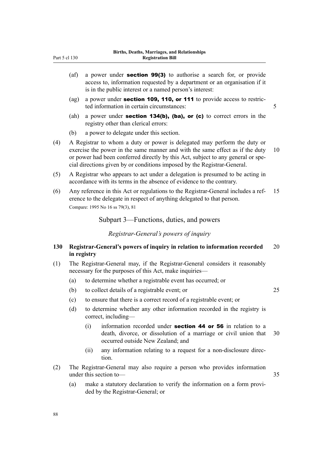- (af) a power under **section 99(3)** to authorise a search for, or provide access to, information requested by a department or an organisation if it is in the public interest or a named person's interest:
- (ag) a power under **section 109, 110, or 111** to provide access to restricted information in certain circumstances: 5
- (ah) a power under **section 134(b), (ba), or (c)** to correct errors in the registry other than clerical errors:
- (b) a power to delegate under this section.
- (4) A Registrar to whom a duty or power is delegated may perform the duty or exercise the power in the same manner and with the same effect as if the duty 10 or power had been conferred directly by this Act, subject to any general or special directions given by or conditions imposed by the Registrar-General.
- (5) A Registrar who appears to act under a delegation is presumed to be acting in accordance with its terms in the absence of evidence to the contrary.
- (6) Any reference in this Act or regulations to the Registrar-General includes a ref‐ 15 erence to the delegate in respect of anything delegated to that person. Compare: 1995 No 16 ss 79(3), 81

Subpart 3—Functions, duties, and powers

*Registrar-General's powers of inquiry*

## **130 Registrar-General's powers of inquiry in relation to information recorded** 20 **in registry**

- (1) The Registrar-General may, if the Registrar-General considers it reasonably necessary for the purposes of this Act, make inquiries—
	- (a) to determine whether a registrable event has occurred; or
	- (b) to collect details of a registrable event; or 25

- (c) to ensure that there is a correct record of a registrable event; or
- (d) to determine whether any other information recorded in the registry is correct, including—
	- $(i)$  information recorded under **section 44 or 56** in relation to a death, divorce, or dissolution of a marriage or civil union that 30 occurred outside New Zealand; and
	- (ii) any information relating to a request for a non-disclosure direc‐ tion.
- (2) The Registrar-General may also require a person who provides information under this section to — 35
	- (a) make a statutory declaration to verify the information on a form provided by the Registrar-General; or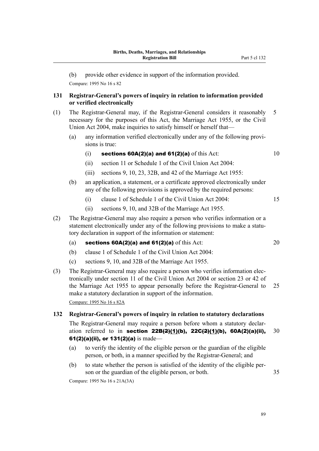(b) provide other evidence in support of the information provided.

Compare: 1995 No 16 s 82

# **131 Registrar-General's powers of inquiry in relation to information provided or verified electronically**

- (1) The Registrar-General may, if the Registrar-General considers it reasonably 5 necessary for the purposes of this Act, the Marriage Act 1955, or the Civil Union Act 2004, make inquiries to satisfy himself or herself that—
	- (a) any information verified electronically under any of the following provisions is true:
		- (i) sections  $60A(2)(a)$  and  $61(2)(a)$  of this Act:  $10$
		- (ii) section 11 or Schedule 1 of the Civil Union Act 2004:
		- (iii) sections 9, 10, 23, 32B, and 42 of the Marriage Act 1955:
	- (b) an application, a statement, or a certificate approved electronically under any of the following provisions is approved by the required persons:
		- (i) clause 1 of Schedule 1 of the Civil Union Act 2004: 15
		- (ii) sections 9, 10, and 32B of the Marriage Act 1955.
- (2) The Registrar-General may also require a person who verifies information or a statement electronically under any of the following provisions to make a statutory declaration in support of the information or statement:
	- (a) sections  $60A(2)(a)$  and  $61(2)(a)$  of this Act: 20
	- (b) clause 1 of Schedule 1 of the Civil Union Act 2004:
	- (c) sections 9, 10, and 32B of the Marriage Act 1955.
- (3) The Registrar-General may also require a person who verifies information elec‐ tronically under section 11 of the Civil Union Act 2004 or section 23 or 42 of the Marriage Act 1955 to appear personally before the Registrar-General to 25 make a statutory declaration in support of the information. Compare: 1995 No 16 s 82A

#### **132 Registrar-General's powers of inquiry in relation to statutory declarations**

The Registrar-General may require a person before whom a statutory declar‐ ation referred to in section 22B( $2$ )(1)(b), 22C( $2$ )(1)(b), 60A(2)(a)(ii), 30 61(2)(a)(ii), or  $131(2)$ (a) is made—

- (a) to verify the identity of the eligible person or the guardian of the eligible person, or both, in a manner specified by the Registrar-General; and
- (b) to state whether the person is satisfied of the identity of the eligible per‐ son or the guardian of the eligible person, or both.  $35$

Compare: 1995 No 16 s 21A(3A)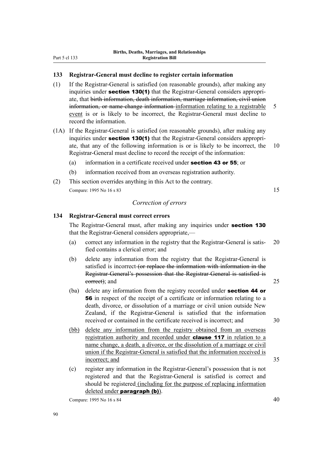## **133 Registrar-General must decline to register certain information**

- (1) If the Registrar-General is satisfied (on reasonable grounds), after making any inquiries under **section 130(1)** that the Registrar-General considers appropriate, that birth information, death information, marriage information, civil union information, or name-change information information relating to a registrable 5 event is or is likely to be incorrect, the Registrar-General must decline to record the information.
- (1A) If the Registrar-General is satisfied (on reasonable grounds), after making any inquiries under **section 130(1)** that the Registrar-General considers appropriate, that any of the following information is or is likely to be incorrect, the 10 Registrar-General must decline to record the receipt of the information:
	- (a) information in a certificate received under section 43 or 55; or
	- (b) information received from an overseas registration authority.
- (2) This section overrides anything in this Act to the contrary. Compare: 1995 No 16 s 83 15

#### *Correction of errors*

#### **134 Registrar-General must correct errors**

The Registrar-General must, after making any inquiries under section 130 that the Registrar-General considers appropriate,—

- (a) correct any information in the registry that the Registrar-General is satis‐ 20 fied contains a clerical error; and
- (b) delete any information from the registry that the Registrar-General is satisfied is incorrect (or replace the information with information in the Registrar-General's possession that the Registrar-General is satisfied is eorrect); and 25
- (ba) delete any information from the registry recorded under section 44 or 56 in respect of the receipt of a certificate or information relating to a death, divorce, or dissolution of a marriage or civil union outside New Zealand, if the Registrar-General is satisfied that the information received or contained in the certificate received is incorrect; and 30
- (bb) delete any information from the registry obtained from an overseas registration authority and recorded under **clause 117** in relation to a name change, a death, a divorce, or the dissolution of a marriage or civil union if the Registrar-General is satisfied that the information received is incorrect; and 35
- (c) register any information in the Registrar-General's possession that is not registered and that the Registrar-General is satisfied is correct and should be registered (including for the purpose of replacing information deleted under **paragraph** (b)).

Compare: 1995 No 16 s 84  $\sim$  40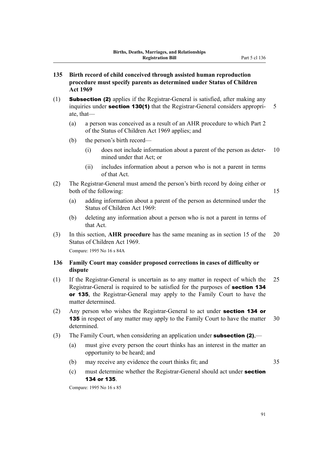- **135 Birth record of child conceived through assisted human reproduction procedure must specify parents as determined under Status of Children Act 1969**
- (1) **Subsection (2)** applies if the Registrar-General is satisfied, after making any inquiries under **section 130(1)** that the Registrar-General considers appropri- 5 ate, that—
	- (a) a person was conceived as a result of an AHR procedure to which Part 2 of the Status of Children Act 1969 applies; and
	- (b) the person's birth record—
		- $(i)$  does not include information about a parent of the person as deter- 10 mined under that Act; or
		- (ii) includes information about a person who is not a parent in terms of that Act.
- (2) The Registrar-General must amend the person's birth record by doing either or both of the following: 15
	- (a) adding information about a parent of the person as determined under the Status of Children Act 1969:
	- (b) deleting any information about a person who is not a parent in terms of that Act.
- (3) In this section, **AHR procedure** has the same meaning as in section 15 of the 20 Status of Children Act 1969.

Compare: 1995 No 16 s 84A

# **136 Family Court may consider proposed corrections in cases of difficulty or dispute**

- (1) If the Registrar-General is uncertain as to any matter in respect of which the 25 Registrar-General is required to be satisfied for the purposes of section 134 or 135, the Registrar-General may apply to the Family Court to have the matter determined.
- (2) Any person who wishes the Registrar-General to act under **section 134 or 135** in respect of any matter may apply to the Family Court to have the matter 30 determined.
- (3) The Family Court, when considering an application under **subsection (2)**,—
	- (a) must give every person the court thinks has an interest in the matter an opportunity to be heard; and
	- (b) may receive any evidence the court thinks fit; and 35
	- (c) must determine whether the Registrar-General should act under section 134 or 135.

Compare: 1995 No 16 s 85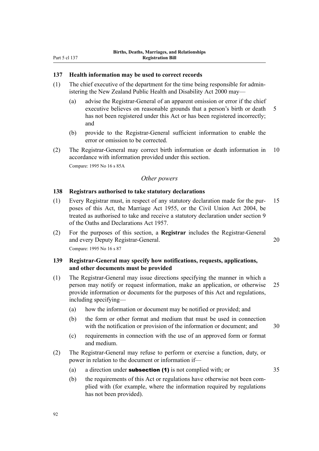#### **137 Health information may be used to correct records**

- (1) The chief executive of the department for the time being responsible for admin‐ istering the New Zealand Public Health and Disability Act 2000 may—
	- (a) advise the Registrar-General of an apparent omission or error if the chief executive believes on reasonable grounds that a person's birth or death 5 has not been registered under this Act or has been registered incorrectly; and
	- (b) provide to the Registrar-General sufficient information to enable the error or omission to be corrected.
- (2) The Registrar-General may correct birth information or death information in 10 accordance with information provided under this section. Compare: 1995 No 16 s 85A

#### *Other powers*

### **138 Registrars authorised to take statutory declarations**

- (1) Every Registrar must, in respect of any statutory declaration made for the pur‐ 15 poses of this Act, the Marriage Act 1955, or the Civil Union Act 2004, be treated as authorised to take and receive a statutory declaration under section 9 of the Oaths and Declarations Act 1957.
- (2) For the purposes of this section, a **Registrar** includes the Registrar-General and every Deputy Registrar-General. 20 Compare: 1995 No 16 s 87

# **139 Registrar-General may specify how notifications, requests, applications, and other documents must be provided**

- (1) The Registrar-General may issue directions specifying the manner in which a person may notify or request information, make an application, or otherwise 25 provide information or documents for the purposes of this Act and regulations, including specifying—
	- (a) how the information or document may be notified or provided; and
	- (b) the form or other format and medium that must be used in connection with the notification or provision of the information or document; and  $30$
	- (c) requirements in connection with the use of an approved form or format and medium.
- (2) The Registrar-General may refuse to perform or exercise a function, duty, or power in relation to the document or information if—
	- (a) a direction under **subsection (1)** is not complied with; or  $35$
- - (b) the requirements of this Act or regulations have otherwise not been complied with (for example, where the information required by regulations has not been provided).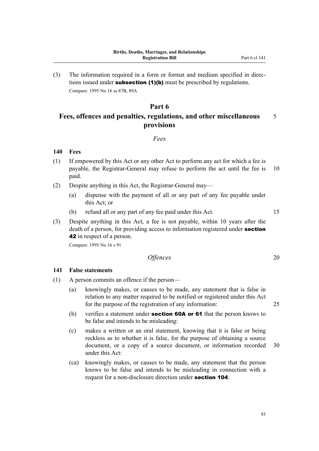(3) The information required in a form or format and medium specified in direc‐ tions issued under **subsection (1)(b)** must be prescribed by regulations. Compare: 1995 No 16 ss 87B, 89A

# **Part 6**

# **Fees, offences and penalties, regulations, and other miscellaneous** 5 **provisions**

## *Fees*

#### **140 Fees**

- (1) If empowered by this Act or any other Act to perform any act for which a fee is payable, the Registrar-General may refuse to perform the act until the fee is 10 paid.
- (2) Despite anything in this Act, the Registrar-General may—
	- (a) dispense with the payment of all or any part of any fee payable under this Act; or
	- (b) refund all or any part of any fee paid under this Act. 15
- (3) Despite anything in this Act, a fee is not payable, within 10 years after the death of a person, for providing access to information registered under **section** 42 in respect of a person.

Compare: 1995 No 16 s 91

# *Offences* 20

#### **141 False statements**

- (1) A person commits an offence if the person—
	- (a) knowingly makes, or causes to be made, any statement that is false in relation to any matter required to be notified or registered under this Act for the purpose of the registration of any information: 25
	- (b) verifies a statement under **section 60A or 61** that the person knows to be false and intends to be misleading:
	- (c) makes a written or an oral statement, knowing that it is false or being reckless as to whether it is false, for the purpose of obtaining a source document, or a copy of a source document, or information recorded 30 under this Act:
	- (ca) knowingly makes, or causes to be made, any statement that the person knows to be false and intends to be misleading in connection with a request for a non-disclosure direction under **section 104**: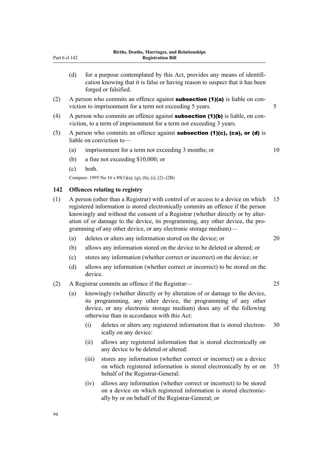| (d) | for a purpose contemplated by this Act, provides any means of identifi-<br>cation knowing that it is false or having reason to suspect that it has been<br>forged or falsified. |
|-----|---------------------------------------------------------------------------------------------------------------------------------------------------------------------------------|
|     | A person who commits an offence against <b>subcootion (4)(a)</b> is liable on con-                                                                                              |

- (2) A person who commits an offence against **subsection (1)(a)** is liable on conviction to imprisonment for a term not exceeding 5 years.  $5 \times 5$
- (4) A person who commits an offence against **subsection (1)(b)** is liable, on conviction, to a term of imprisonment for a term not exceeding 3 years.
- (5) A person who commits an offence against **subsection (1)(c), (ca), or (d)** is liable on conviction to—
	- (a) imprisonment for a term not exceeding 3 months; or 10

- (b) a fine not exceeding \$10,000; or
- (c) both.

Part 6 cl 142

Compare: 1995 No 16 s 89(1)(a), (g), (h), (i), (2)–(2B)

#### **142 Offences relating to registry**

- (1) A person (other than a Registrar) with control of or access to a device on which 15 registered information is stored electronically commits an offence if the person knowingly and without the consent of a Registrar (whether directly or by alteration of or damage to the device, its programming, any other device, the pro‐ gramming of any other device, or any electronic storage medium)—
	- (a) deletes or alters any information stored on the device; or 20
	- (b) allows any information stored on the device to be deleted or altered; or
	- (c) stores any information (whether correct or incorrect) on the device; or
	- (d) allows any information (whether correct or incorrect) to be stored on the device.
- (2) A Registrar commits an offence if the Registrar— 25
	- (a) knowingly (whether directly or by alteration of or damage to the device, its programming, any other device, the programming of any other device, or any electronic storage medium) does any of the following otherwise than in accordance with this Act:
		- (i) deletes or alters any registered information that is stored electron‐ 30 ically on any device:
		- (ii) allows any registered information that is stored electronically on any device to be deleted or altered:
		- (iii) stores any information (whether correct or incorrect) on a device on which registered information is stored electronically by or on 35 behalf of the Registrar-General:
		- (iv) allows any information (whether correct or incorrect) to be stored on a device on which registered information is stored electronic‐ ally by or on behalf of the Registrar-General; or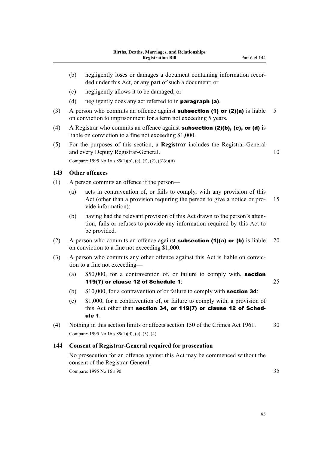- (b) negligently loses or damages a document containing information recorded under this Act, or any part of such a document; or
- (c) negligently allows it to be damaged; or
- (d) negligently does any act referred to in **paragraph (a)**.
- (3) A person who commits an offence against **subsection (1) or (2)(a)** is liable 5 on conviction to imprisonment for a term not exceeding 5 years.
- (4) A Registrar who commits an offence against **subsection (2)(b), (c), or (d)** is liable on conviction to a fine not exceeding \$1,000.
- (5) For the purposes of this section, a **Registrar** includes the Registrar-General and every Deputy Registrar-General. 10 Compare: 1995 No 16 s  $89(1)(b)$ , (c), (f), (2), (3)(c)(ii)

#### **143 Other offences**

- (1) A person commits an offence if the person—
	- (a) acts in contravention of, or fails to comply, with any provision of this Act (other than a provision requiring the person to give a notice or pro- 15 vide information):
	- (b) having had the relevant provision of this Act drawn to the person's atten‐ tion, fails or refuses to provide any information required by this Act to be provided.
- (2) A person who commits an offence against **subsection (1)(a) or (b)** is liable 20 on conviction to a fine not exceeding \$1,000.
- (3) A person who commits any other offence against this Act is liable on convic‐ tion to a fine not exceeding—
	- (a) \$50,000, for a contravention of, or failure to comply with, section 119(7) or clause 12 of Schedule 1: 25
	- (b)  $$10,000$ , for a contravention of or failure to comply with **section 34**:
	- (c) \$1,000, for a contravention of, or failure to comply with, a provision of this Act other than section 34, or 119(7) or clause 12 of Schedule 1.
- (4) Nothing in this section limits or affects section 150 of the Crimes Act 1961. 30 Compare: 1995 No 16 s 89(1)(d), (e), (3), (4)

#### **144 Consent of Registrar-General required for prosecution**

No prosecution for an offence against this Act may be commenced without the consent of the Registrar-General.

Compare: 1995 No 16 s 90 35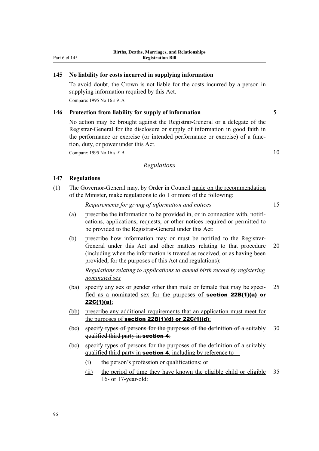#### **145 No liability for costs incurred in supplying information**

To avoid doubt, the Crown is not liable for the costs incurred by a person in supplying information required by this Act.

Compare: 1995 No 16 s 91A

## **146 Protection from liability for supply of information** 5

No action may be brought against the Registrar-General or a delegate of the Registrar-General for the disclosure or supply of information in good faith in the performance or exercise (or intended performance or exercise) of a func‐ tion, duty, or power under this Act.

Compare: 1995 No  $16 s 91B$  10

#### *Regulations*

#### **147 Regulations**

(1) The Governor-General may, by Order in Council made on the recommendation of the Minister, make regulations to do 1 or more of the following:

*Requirements for giving of information and notices* 15

- (a) prescribe the information to be provided in, or in connection with, notifications, applications, requests, or other notices required or permitted to be provided to the Registrar-General under this Act:
- (b) prescribe how information may or must be notified to the Registrar-General under this Act and other matters relating to that procedure 20 (including when the information is treated as received, or as having been provided, for the purposes of this Act and regulations):

*Regulations relating to applications to amend birth record by registering nominated sex*

- (ba) specify any sex or gender other than male or female that may be speci-<br>25 fied as a nominated sex for the purposes of section 22B(1)(a) or 22C(1)(a):
- (bb) prescribe any additional requirements that an application must meet for the purposes of section  $22B(1)(d)$  or  $22C(1)(d)$ :
- (bc) specify types of persons for the purposes of the definition of a suitably 30 qualified third party in section 4:
- (bc) specify types of persons for the purposes of the definition of a suitably qualified third party in **section 4**, including by reference to—
	- (i) the person's profession or qualifications; or
	- (ii) the period of time they have known the eligible child or eligible 35 16- or 17-year-old: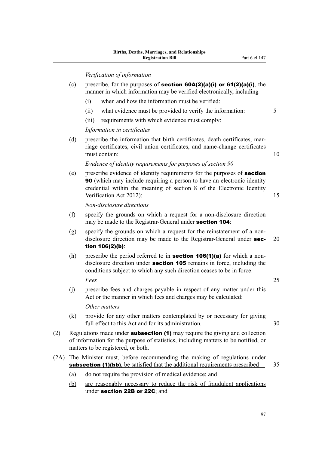# *Verification of information*

|      |                                                                                                                                                                                                                | veryication of information                                                                                                                                                                                                                                    |    |  |  |  |  |
|------|----------------------------------------------------------------------------------------------------------------------------------------------------------------------------------------------------------------|---------------------------------------------------------------------------------------------------------------------------------------------------------------------------------------------------------------------------------------------------------------|----|--|--|--|--|
|      | (c)                                                                                                                                                                                                            | prescribe, for the purposes of <b>section 60A(2)(a)(i)</b> or $61(2)(a)(i)$ , the<br>manner in which information may be verified electronically, including—                                                                                                   |    |  |  |  |  |
|      |                                                                                                                                                                                                                | when and how the information must be verified:<br>(i)                                                                                                                                                                                                         |    |  |  |  |  |
|      |                                                                                                                                                                                                                | what evidence must be provided to verify the information:<br>(ii)                                                                                                                                                                                             | 5  |  |  |  |  |
|      |                                                                                                                                                                                                                | (iii)<br>requirements with which evidence must comply:                                                                                                                                                                                                        |    |  |  |  |  |
|      |                                                                                                                                                                                                                | Information in certificates                                                                                                                                                                                                                                   |    |  |  |  |  |
|      | (d)                                                                                                                                                                                                            | prescribe the information that birth certificates, death certificates, mar-<br>riage certificates, civil union certificates, and name-change certificates<br>must contain:                                                                                    | 10 |  |  |  |  |
|      |                                                                                                                                                                                                                | Evidence of identity requirements for purposes of section 90                                                                                                                                                                                                  |    |  |  |  |  |
|      | (e)                                                                                                                                                                                                            | prescribe evidence of identity requirements for the purposes of section<br><b>90</b> (which may include requiring a person to have an electronic identity<br>credential within the meaning of section 8 of the Electronic Identity<br>Verification Act 2012): | 15 |  |  |  |  |
|      |                                                                                                                                                                                                                | Non-disclosure directions                                                                                                                                                                                                                                     |    |  |  |  |  |
|      | (f)                                                                                                                                                                                                            | specify the grounds on which a request for a non-disclosure direction<br>may be made to the Registrar-General under section 104:                                                                                                                              |    |  |  |  |  |
|      | (g)                                                                                                                                                                                                            | specify the grounds on which a request for the reinstatement of a non-<br>disclosure direction may be made to the Registrar-General under sec-<br>tion 106(2)(b):                                                                                             | 20 |  |  |  |  |
|      | (h)                                                                                                                                                                                                            | prescribe the period referred to in <b>section 106(1)(a)</b> for which a non-<br>disclosure direction under section 105 remains in force, including the<br>conditions subject to which any such direction ceases to be in force:                              |    |  |  |  |  |
|      |                                                                                                                                                                                                                | Fees                                                                                                                                                                                                                                                          | 25 |  |  |  |  |
|      | (j)                                                                                                                                                                                                            | prescribe fees and charges payable in respect of any matter under this<br>Act or the manner in which fees and charges may be calculated:                                                                                                                      |    |  |  |  |  |
|      |                                                                                                                                                                                                                | Other matters                                                                                                                                                                                                                                                 |    |  |  |  |  |
|      |                                                                                                                                                                                                                | (k) provide for any other matters contemplated by or necessary for giving<br>full effect to this Act and for its administration.                                                                                                                              | 30 |  |  |  |  |
| (2)  | Regulations made under <b>subsection (1)</b> may require the giving and collection<br>of information for the purpose of statistics, including matters to be notified, or<br>matters to be registered, or both. |                                                                                                                                                                                                                                                               |    |  |  |  |  |
| (2A) | The Minister must, before recommending the making of regulations under                                                                                                                                         |                                                                                                                                                                                                                                                               |    |  |  |  |  |
|      | <b>subsection (1)(bb)</b> , be satisfied that the additional requirements prescribed—<br>35                                                                                                                    |                                                                                                                                                                                                                                                               |    |  |  |  |  |
|      | (a)                                                                                                                                                                                                            | do not require the provision of medical evidence; and                                                                                                                                                                                                         |    |  |  |  |  |
|      | (b)                                                                                                                                                                                                            | are reasonably necessary to reduce the risk of fraudulent applications<br>under section 22B or 22C; and                                                                                                                                                       |    |  |  |  |  |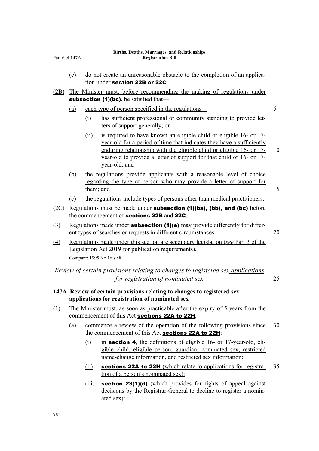|                  | (c)                                            | do not create an unreasonable obstacle to the completion of an applica-<br>tion under section 22B or 22C.                                                                                                                                                                                                            |    |  |  |  |  |  |
|------------------|------------------------------------------------|----------------------------------------------------------------------------------------------------------------------------------------------------------------------------------------------------------------------------------------------------------------------------------------------------------------------|----|--|--|--|--|--|
| (2B)             |                                                | The Minister must, before recommending the making of regulations under                                                                                                                                                                                                                                               |    |  |  |  |  |  |
|                  | <b>subsection (1)(bc)</b> , be satisfied that— |                                                                                                                                                                                                                                                                                                                      |    |  |  |  |  |  |
|                  | (a)                                            | each type of person specified in the regulations—                                                                                                                                                                                                                                                                    | 5  |  |  |  |  |  |
|                  |                                                | has sufficient professional or community standing to provide let-<br>(i)<br>ters of support generally; or                                                                                                                                                                                                            |    |  |  |  |  |  |
|                  |                                                | is required to have known an eligible child or eligible 16- or 17-<br>(ii)<br>year-old for a period of time that indicates they have a sufficiently<br>enduring relationship with the eligible child or eligible 16- or 17-<br>year-old to provide a letter of support for that child or 16- or 17-<br>year-old; and | 10 |  |  |  |  |  |
|                  | (b)                                            | the regulations provide applicants with a reasonable level of choice<br>regarding the type of person who may provide a letter of support for<br>them; and                                                                                                                                                            | 15 |  |  |  |  |  |
|                  | (c)                                            | the regulations include types of persons other than medical practitioners.                                                                                                                                                                                                                                           |    |  |  |  |  |  |
| (2C)             |                                                | Regulations must be made under subsection (1)(ba), (bb), and (bc) before                                                                                                                                                                                                                                             |    |  |  |  |  |  |
|                  |                                                | the commencement of sections 22B and 22C.                                                                                                                                                                                                                                                                            |    |  |  |  |  |  |
| (3)              |                                                | Regulations made under <b>subsection (1)(e)</b> may provide differently for differ-<br>20<br>ent types of searches or requests in different circumstances.                                                                                                                                                           |    |  |  |  |  |  |
| $\left(4\right)$ |                                                | Regulations made under this section are secondary legislation (see Part 3 of the<br>Legislation Act 2019 for publication requirements).<br>Compare: 1995 No 16 s 88                                                                                                                                                  |    |  |  |  |  |  |
|                  |                                                | Review of certain provisions relating to-changes to registered sex applications<br>for registration of nominated sex                                                                                                                                                                                                 | 25 |  |  |  |  |  |
|                  |                                                | 147A Review of certain provisions relating to changes to registered sex<br>applications for registration of nominated sex                                                                                                                                                                                            |    |  |  |  |  |  |
| (1)              |                                                | The Minister must, as soon as practicable after the expiry of 5 years from the<br>commencement of this Act sections 22A to 22H,—                                                                                                                                                                                     |    |  |  |  |  |  |
|                  | (a)                                            | commence a review of the operation of the following provisions since<br>the commencement of this Act sections 22A to 22H:                                                                                                                                                                                            | 30 |  |  |  |  |  |
|                  |                                                | in section 4, the definitions of eligible 16- or 17-year-old, eli-<br>$\Omega$<br>gible child, eligible person, guardian, nominated sex, restricted<br>name-change information, and restricted sex information:                                                                                                      |    |  |  |  |  |  |

- (ii) sections 22A to 22H (which relate to applications for registra-  $35$ tion of a person's nominated sex):
- (iii) **section 23(1)(d)** (which provides for rights of appeal against decisions by the Registrar-General to decline to register a nominated sex):

Part 6 cl 147A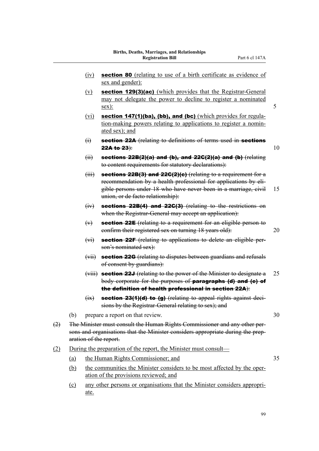- (iv) section 80 (relating to use of a birth certificate as evidence of sex and gender):
- (v) section 129(3)(ac) (which provides that the Registrar-General may not delegate the power to decline to register a nominated  $s$ ex): 5
- (vi) section 147(1)(ba), (bb), and (bc) (which provides for regulation-making powers relating to applications to register a nomin‐ ated sex); and
- (i) section 22A (relating to definitions of terms used in sections **22A to 23**):  $10$

 $(iii)$  sections 22B(2)(a) and (b), and 22C(2)(a) and (b) (relating to content requirements for statutory declarations):

- $(iii)$  sections 22B(3) and 22G(2)(c) (relating to a requirement for a recommendation by a health professional for applications by eligible persons under 18 who have never been in a marriage, civil 15 union, or de facto relationship):
- $(iv)$  sections 22B(4) and 22C(3) (relating to the restrictions on when the Registrar-General may accept an application):
- $(v)$  section 22E (relating to a requirement for an eligible person to confirm their registered sex on turning 18 years old): 20
- (vi) section 22F (relating to applications to delete an eligible person's nominated sex):
- (vii) section 22G (relating to disputes between guardians and refusals of consent by guardians):
- (viii) **section 22J** (relating to the power of the Minister to designate a 25 body corporate for the purposes of paragraphs (d) and (e) of the definition of health professional in section 22A):
- $(ix)$  section 23(1)(d) to (g) (relating to appeal rights against decisions by the Registrar-General relating to sex); and
- (b) prepare a report on that review. 30
- (2) The Minister must consult the Human Rights Commissioner and any other per‐ sons and organisations that the Minister considers appropriate during the preparation of the report.
- (2) During the preparation of the report, the Minister must consult—
	- (a) the Human Rights Commissioner; and 35
	- (b) the communities the Minister considers to be most affected by the oper‐ ation of the provisions reviewed; and
	- (c) any other persons or organisations that the Minister considers appropri‐ ate.

99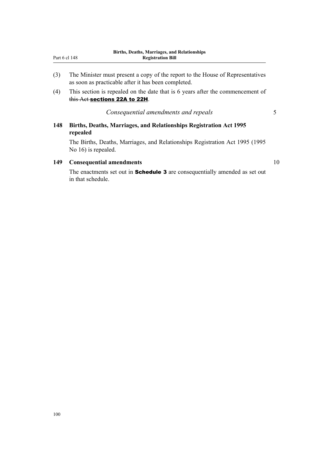| Part 6 cl 148 |  | <b>Registration Bill</b>                                                       |  |  |
|---------------|--|--------------------------------------------------------------------------------|--|--|
|               |  |                                                                                |  |  |
| (3)           |  | The Minister must present a copy of the report to the House of Representatives |  |  |

- as soon as practicable after it has been completed. (4) This section is repealed on the date that is 6 years after the commencement of
- this Act sections 22A to 22H.

*Consequential amendments and repeals* 5

# **148 Births, Deaths, Marriages, and Relationships Registration Act 1995 repealed**

The Births, Deaths, Marriages, and Relationships Registration Act 1995 (1995 No 16) is repealed.

# **149 Consequential amendments** 10

The enactments set out in **Schedule 3** are consequentially amended as set out in that schedule.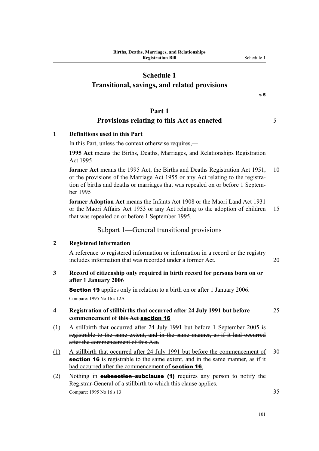# **Schedule 1**

# **Transitional, savings, and related provisions**

#### s 5

# **Part 1**

# **Provisions relating to this Act as enacted** 5

# **1 Definitions used in this Part**

In this Part, unless the context otherwise requires,—

**1995 Act** means the Births, Deaths, Marriages, and Relationships Registration Act 1995

**former Act** means the 1995 Act, the Births and Deaths Registration Act 1951, 10 or the provisions of the Marriage Act 1955 or any Act relating to the registration of births and deaths or marriages that was repealed on or before 1 Septem‐ ber 1995

**former Adoption Act** means the Infants Act 1908 or the Maori Land Act 1931 or the Maori Affairs Act 1953 or any Act relating to the adoption of children 15 that was repealed on or before 1 September 1995.

# Subpart 1—General transitional provisions

#### **2 Registered information**

A reference to registered information or information in a record or the registry includes information that was recorded under a former Act. 20

# **3 Record of citizenship only required in birth record for persons born on or after 1 January 2006**

Section 19 applies only in relation to a birth on or after 1 January 2006. Compare: 1995 No 16 s 12A

## **4 Registration of stillbirths that occurred after 24 July 1991 but before** 25 **commencement of this Act** section 16

- (1) A stillbirth that occurred after 24 July 1991 but before 1 September 2005 is registrable to the same extent, and in the same manner, as if it had occurred after the commencement of this Act.
- (1) A stillbirth that occurred after 24 July 1991 but before the commencement of 30 section 16 is registrable to the same extent, and in the same manner, as if it had occurred after the commencement of **section 16**.
- (2) Nothing in **subsection subclause (1)** requires any person to notify the Registrar-General of a stillbirth to which this clause applies. Compare: 1995 No 16 s 13 35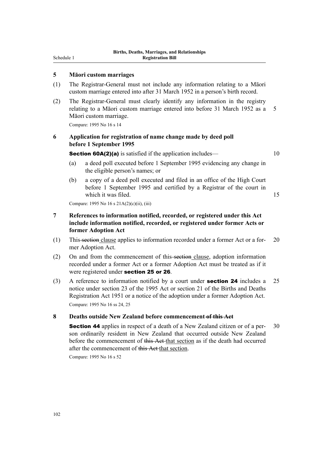Schedule 1

## **5 Māori custom marriages**

- (1) The Registrar-General must not include any information relating to a Māori custom marriage entered into after 31 March 1952 in a person's birth record.
- (2) The Registrar-General must clearly identify any information in the registry relating to a Māori custom marriage entered into before 31 March 1952 as a 5 Māori custom marriage.

Compare: 1995 No 16 s 14

# **6 Application for registration of name change made by deed poll before 1 September 1995**

**Section 60A(2)(a)** is satisfied if the application includes— 10

- (a) a deed poll executed before 1 September 1995 evidencing any change in the eligible person's names; or
- (b) a copy of a deed poll executed and filed in an office of the High Court before 1 September 1995 and certified by a Registrar of the court in which it was filed. 15

Compare: 1995 No 16 s 21A(2)(c)(ii), (iii)

# **7 References to information notified, recorded, or registered under this Act include information notified, recorded, or registered under former Acts or former Adoption Act**

- (1) This section clause applies to information recorded under a former Act or a former Adoption Act.
- (2) On and from the commencement of this-section clause, adoption information recorded under a former Act or a former Adoption Act must be treated as if it were registered under section 25 or 26.
- (3) A reference to information notified by a court under **section 24** includes a 25 notice under section 23 of the 1995 Act or section 21 of the Births and Deaths Registration Act 1951 or a notice of the adoption under a former Adoption Act. Compare: 1995 No 16 ss 24, 25

#### **8 Deaths outside New Zealand before commencement of this Act**

**Section 44** applies in respect of a death of a New Zealand citizen or of a per-<br>30 son ordinarily resident in New Zealand that occurred outside New Zealand before the commencement of this Act that section as if the death had occurred after the commencement of this Act that section.

Compare: 1995 No 16 s 52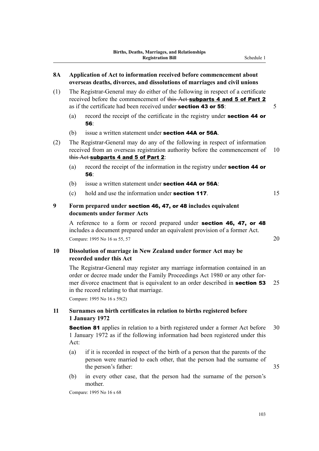- (1) The Registrar-General may do either of the following in respect of a certificate received before the commencement of this Act subparts 4 and 5 of Part 2 as if the certificate had been received under **section 43 or 55**:  $\frac{5}{5}$ 
	- (a) record the receipt of the certificate in the registry under **section 44 or** 56:
	- (b) issue a written statement under **section 44A or 56A**.
- (2) The Registrar-General may do any of the following in respect of information received from an overseas registration authority before the commencement of 10 this Act subparts 4 and 5 of Part 2:
	- (a) record the receipt of the information in the registry under section 44 or 56:
	- (b) issue a written statement under **section 44A or 56A**:
	- (c) hold and use the information under **section 117**.  $15$
- **9 Form prepared under** section 46, 47, or 48 **includes equivalent documents under former Acts**

A reference to a form or record prepared under section 46, 47, or 48 includes a document prepared under an equivalent provision of a former Act. Compare: 1995 No 16 ss 55, 57 20

# **10 Dissolution of marriage in New Zealand under former Act may be recorded under this Act**

The Registrar-General may register any marriage information contained in an order or decree made under the Family Proceedings Act 1980 or any other for‐ mer divorce enactment that is equivalent to an order described in **section 53** 25 in the record relating to that marriage.

Compare: 1995 No 16 s 59(2)

## **11 Surnames on birth certificates in relation to births registered before 1 January 1972**

**Section 81** applies in relation to a birth registered under a former Act before 30 1 January 1972 as if the following information had been registered under this Act:

- (a) if it is recorded in respect of the birth of a person that the parents of the person were married to each other, that the person had the surname of the person's father: 35
- (b) in every other case, that the person had the surname of the person's mother.

Compare: 1995 No 16 s 68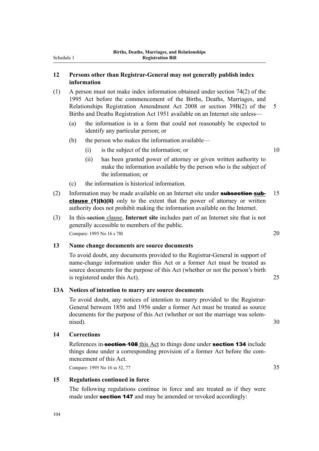## **12 Persons other than Registrar-General may not generally publish index information**

- (1) A person must not make index information obtained under section 74(2) of the 1995 Act before the commencement of the Births, Deaths, Marriages, and Relationships Registration Amendment Act 2008 or section 39B(2) of the 5 Births and Deaths Registration Act 1951 available on an Internet site unless—
	- (a) the information is in a form that could not reasonably be expected to identify any particular person; or
	- (b) the person who makes the information available—
		- $(i)$  is the subject of the information; or  $10$
		- (ii) has been granted power of attorney or given written authority to make the information available by the person who is the subject of the information; or
	- (c) the information is historical information.
- (2) Information may be made available on an Internet site under **subsection sub-** 15 clause (1)(b)(ii) only to the extent that the power of attorney or written authority does not prohibit making the information available on the Internet.
- (3) In this section clause, **Internet site** includes part of an Internet site that is not generally accessible to members of the public. Compare: 1995 No 16 s 78I 20

# **13 Name change documents are source documents**

To avoid doubt, any documents provided to the Registrar-General in support of name-change information under this Act or a former Act must be treated as source documents for the purpose of this Act (whether or not the person's birth is registered under this Act). 25

#### **13A Notices of intention to marry are source documents**

To avoid doubt, any notices of intention to marry provided to the Registrar-General between 1856 and 1956 under a former Act must be treated as source documents for the purpose of this Act (whether or not the marriage was solemnised). 30

#### **14 Corrections**

References in-**section 108** this Act to things done under **section 134** include things done under a corresponding provision of a former Act before the commencement of this Act.

Compare: 1995 No 16 ss 52, 77 35

## **15 Regulations continued in force**

The following regulations continue in force and are treated as if they were made under **section 147** and may be amended or revoked accordingly:

104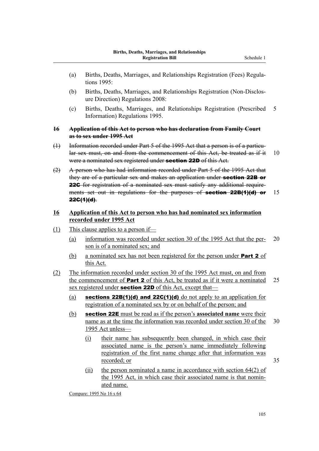- (a) Births, Deaths, Marriages, and Relationships Registration (Fees) Regula‐ tions 1995:
- (b) Births, Deaths, Marriages, and Relationships Registration (Non-Disclos‐ ure Direction) Regulations 2008:
- (c) Births, Deaths, Marriages, and Relationships Registration (Prescribed 5 Information) Regulations 1995.

# **16 Application of this Act to person who has declaration from Family Court as to sex under 1995 Act**

- (1) Information recorded under Part 5 of the 1995 Act that a person is of a particular sex must, on and from the commencement of this Act, be treated as if it 10 were a nominated sex registered under **section 22D** of this Act.
- (2) A person who has had information recorded under Part 5 of the 1995 Act that they are of a particular sex and makes an application under **section 22B or** 22C for registration of a nominated sex must satisfy any additional requirements set out in regulations for the purposes of section 22B(1)(d) or 15  $22G(1)(d)$ .
- **16 Application of this Act to person who has had nominated sex information recorded under 1995 Act**
- (1) This clause applies to a person if—
	- (a) information was recorded under section 30 of the 1995 Act that the per‐ 20 son is of a nominated sex; and
	- (b) a nominated sex has not been registered for the person under **Part 2** of this Act.
- (2) The information recorded under section 30 of the 1995 Act must, on and from the commencement of **Part 2** of this Act, be treated as if it were a nominated  $25$ sex registered under **section 22D** of this Act, except that—
	- (a) sections  $22B(1)(d)$  and  $22C(1)(d)$  do not apply to an application for registration of a nominated sex by or on behalf of the person; and
	- (b) section 22E must be read as if the person's **associated name** were their name as at the time the information was recorded under section 30 of the 30 1995 Act unless—
		- (i) their name has subsequently been changed, in which case their associated name is the person's name immediately following registration of the first name change after that information was recorded; or 35
		- (ii) the person nominated a name in accordance with section 64(2) of the 1995 Act, in which case their associated name is that nominated name.

Compare: 1995 No 16 s 64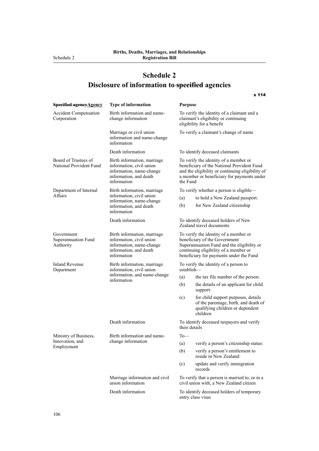**Disclosure of information to specified agencies**

| Specified agency Agency                         | Type of information                                                                                                          | <b>Purpose</b>                                                                                                                                                                                           |  |
|-------------------------------------------------|------------------------------------------------------------------------------------------------------------------------------|----------------------------------------------------------------------------------------------------------------------------------------------------------------------------------------------------------|--|
| <b>Accident Compensation</b><br>Corporation     | Birth information and name-<br>change information                                                                            | To verify the identity of a claimant and a<br>claimant's eligibility or continuing<br>eligibility for a benefit                                                                                          |  |
|                                                 | Marriage or civil union<br>information and name-change<br>information                                                        | To verify a claimant's change of name                                                                                                                                                                    |  |
|                                                 | Death information                                                                                                            | To identify deceased claimants                                                                                                                                                                           |  |
| Board of Trustees of<br>National Provident Fund | Birth information, marriage<br>information, civil union<br>information, name-change<br>information, and death<br>information | To verify the identity of a member or<br>beneficiary of the National Provident Fund<br>and the eligibility or continuing eligibility of<br>a member or beneficiary for payments under<br>the Fund        |  |
| Department of Internal                          | Birth information, marriage<br>information, civil union<br>information, name-change<br>information, and death<br>information | To verify whether a person is eligible—                                                                                                                                                                  |  |
| Affairs                                         |                                                                                                                              | (a)<br>to hold a New Zealand passport:                                                                                                                                                                   |  |
|                                                 |                                                                                                                              | (b)<br>for New Zealand citizenship                                                                                                                                                                       |  |
|                                                 | Death information                                                                                                            | To identify deceased holders of New<br>Zealand travel documents                                                                                                                                          |  |
| Government<br>Superannuation Fund<br>Authority  | Birth information, marriage<br>information, civil union<br>information, name-change<br>information, and death<br>information | To verify the identity of a member or<br>beneficiary of the Government<br>Superannuation Fund and the eligibility or<br>continuing eligibility of a member or<br>beneficiary for payments under the Fund |  |
| <b>Inland Revenue</b><br>Department             | Birth information, marriage<br>information, civil union<br>information, and name-change<br>information                       | To verify the identity of a person to<br>establish-                                                                                                                                                      |  |
|                                                 |                                                                                                                              | the tax file number of the person:<br>(a)                                                                                                                                                                |  |
|                                                 |                                                                                                                              | (b)<br>the details of an applicant for child<br>support:                                                                                                                                                 |  |
|                                                 |                                                                                                                              | (c)<br>for child support purposes, details<br>of the parentage, birth, and death of<br>qualifying children or dependent<br>children                                                                      |  |
|                                                 | Death information                                                                                                            | To identify deceased taxpayers and verify<br>their details                                                                                                                                               |  |
| Ministry of Business,                           | Birth information and name-                                                                                                  | $To$ —                                                                                                                                                                                                   |  |
| Innovation, and<br>Employment                   | change information                                                                                                           | verify a person's citizenship status:<br>(a)                                                                                                                                                             |  |
|                                                 |                                                                                                                              | (b)<br>verify a person's entitlement to<br>reside in New Zealand:                                                                                                                                        |  |
|                                                 |                                                                                                                              | (c)<br>update and verify immigration<br>records                                                                                                                                                          |  |
|                                                 | Marriage information and civil<br>union information                                                                          | To verify that a person is married to, or in a<br>civil union with, a New Zealand citizen                                                                                                                |  |
|                                                 | Death information                                                                                                            | To identify deceased holders of temporary<br>entry class visas                                                                                                                                           |  |

s 114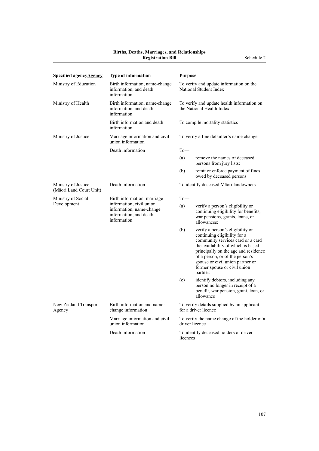# **Births, Deaths, Marriages, and Relationships**

| <b>Specified agency Agency</b>                 | Type of information                                                                                                          | <b>Purpose</b>                                                          |                                                                                                                                                                                                                                                                                                        |  |
|------------------------------------------------|------------------------------------------------------------------------------------------------------------------------------|-------------------------------------------------------------------------|--------------------------------------------------------------------------------------------------------------------------------------------------------------------------------------------------------------------------------------------------------------------------------------------------------|--|
| Ministry of Education                          | Birth information, name-change<br>information, and death<br>information                                                      | To verify and update information on the<br>National Student Index       |                                                                                                                                                                                                                                                                                                        |  |
| Ministry of Health                             | Birth information, name-change<br>information, and death<br>information                                                      | To verify and update health information on<br>the National Health Index |                                                                                                                                                                                                                                                                                                        |  |
|                                                | Birth information and death<br>information                                                                                   | To compile mortality statistics                                         |                                                                                                                                                                                                                                                                                                        |  |
| Ministry of Justice                            | Marriage information and civil<br>union information                                                                          | To verify a fine defaulter's name change                                |                                                                                                                                                                                                                                                                                                        |  |
|                                                | Death information                                                                                                            | $To$ —                                                                  |                                                                                                                                                                                                                                                                                                        |  |
|                                                |                                                                                                                              | (a)                                                                     | remove the names of deceased<br>persons from jury lists:                                                                                                                                                                                                                                               |  |
|                                                |                                                                                                                              | (b)                                                                     | remit or enforce payment of fines<br>owed by deceased persons                                                                                                                                                                                                                                          |  |
| Ministry of Justice<br>(Māori Land Court Unit) | Death information                                                                                                            | To identify deceased Māori landowners                                   |                                                                                                                                                                                                                                                                                                        |  |
| Ministry of Social                             | Birth information, marriage<br>information, civil union<br>information, name-change<br>information, and death<br>information | $To$ —                                                                  |                                                                                                                                                                                                                                                                                                        |  |
| Development                                    |                                                                                                                              | (a)                                                                     | verify a person's eligibility or<br>continuing eligibility for benefits,<br>war pensions, grants, loans, or<br>allowances:                                                                                                                                                                             |  |
|                                                |                                                                                                                              | (b)                                                                     | verify a person's eligibility or<br>continuing eligibility for a<br>community services card or a card<br>the availability of which is based<br>principally on the age and residence<br>of a person, or of the person's<br>spouse or civil union partner or<br>former spouse or civil union<br>partner: |  |
|                                                |                                                                                                                              | (c)                                                                     | identify debtors, including any<br>person no longer in receipt of a<br>benefit, war pension, grant, loan, or<br>allowance                                                                                                                                                                              |  |
| New Zealand Transport<br>Agency                | Birth information and name-<br>change information                                                                            | To verify details supplied by an applicant<br>for a driver licence      |                                                                                                                                                                                                                                                                                                        |  |
|                                                | Marriage information and civil<br>union information                                                                          | To verify the name change of the holder of a<br>driver licence          |                                                                                                                                                                                                                                                                                                        |  |
|                                                | Death information                                                                                                            | To identify deceased holders of driver<br>licences                      |                                                                                                                                                                                                                                                                                                        |  |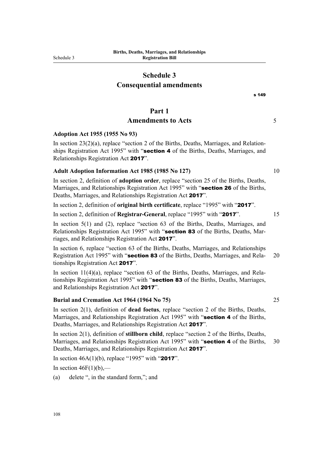# **Schedule 3 Consequential amendments**

s 149

# **Part 1**

# Amendments to Acts 5

### **Adoption Act 1955 (1955 No 93)**

In section  $23(2)(a)$ , replace "section 2 of the Births, Deaths, Marriages, and Relationships Registration Act 1995" with "section 4 of the Births, Deaths, Marriages, and Relationships Registration Act 2017".

## **Adult Adoption Information Act 1985 (1985 No 127)** 10

In section 2, definition of **adoption order**, replace "section 25 of the Births, Deaths, Marriages, and Relationships Registration Act 1995" with "section 26 of the Births, Deaths, Marriages, and Relationships Registration Act 2017".

In section 2, definition of **original birth certificate**, replace "1995" with "2017".

In section 2, definition of **Registrar-General**, replace "1995" with "2017". 15

In section 5(1) and (2), replace "section 63 of the Births, Deaths, Marriages, and Relationships Registration Act 1995" with "section 83 of the Births, Deaths, Marriages, and Relationships Registration Act 2017".

In section 6, replace "section 63 of the Births, Deaths, Marriages, and Relationships Registration Act 1995" with "section 83 of the Births, Deaths, Marriages, and Rela- 20 tionships Registration Act 2017".

In section 11(4)(a), replace "section 63 of the Births, Deaths, Marriages, and Relationships Registration Act 1995" with "section 83 of the Births, Deaths, Marriages, and Relationships Registration Act 2017".

#### **Burial and Cremation Act 1964 (1964 No 75)** 25

In section 2(1), definition of **dead foetus**, replace "section 2 of the Births, Deaths, Marriages, and Relationships Registration Act 1995" with "section 4 of the Births, Deaths, Marriages, and Relationships Registration Act 2017".

In section 2(1), definition of **stillborn child**, replace "section 2 of the Births, Deaths, Marriages, and Relationships Registration Act 1995" with "**section 4** of the Births, 30 Deaths, Marriages, and Relationships Registration Act 2017".

In section  $46A(1)(b)$ , replace "1995" with "2017".

In section  $46F(1)(b)$ ,—

(a) delete ", in the standard form,"; and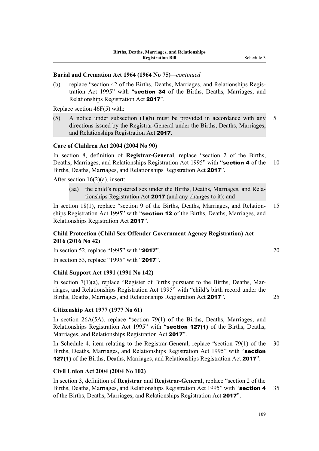## **Burial and Cremation Act 1964 (1964 No 75)***—continued*

(b) replace "section 42 of the Births, Deaths, Marriages, and Relationships Regis‐ tration Act 1995" with "section 34 of the Births, Deaths, Marriages, and Relationships Registration Act 2017".

Replace section 46F(5) with:

(5) A notice under subsection  $(1)(b)$  must be provided in accordance with any 5 directions issued by the Registrar-General under the Births, Deaths, Marriages, and Relationships Registration Act 2017.

# **Care of Children Act 2004 (2004 No 90)**

In section 8, definition of **Registrar-General**, replace "section 2 of the Births, Deaths, Marriages, and Relationships Registration Act 1995" with "section 4 of the 10 Births, Deaths, Marriages, and Relationships Registration Act 2017".

After section 16(2)(a), insert:

(aa) the child's registered sex under the Births, Deaths, Marriages, and Rela‐ tionships Registration Act 2017 (and any changes to it); and

In section 18(1), replace "section 9 of the Births, Deaths, Marriages, and Relation-15 ships Registration Act 1995" with "**section 12** of the Births, Deaths, Marriages, and Relationships Registration Act 2017".

# **Child Protection (Child Sex Offender Government Agency Registration) Act 2016 (2016 No 42)**

In section 52, replace "1995" with "2017".  $20$ 

In section 53, replace "1995" with "2017".

## **Child Support Act 1991 (1991 No 142)**

In section 7(1)(a), replace "Register of Births pursuant to the Births, Deaths, Marriages, and Relationships Registration Act 1995" with "child's birth record under the Births, Deaths, Marriages, and Relationships Registration Act 2017". 25

#### **Citizenship Act 1977 (1977 No 61)**

In section 26A(5A), replace "section 79(1) of the Births, Deaths, Marriages, and Relationships Registration Act 1995" with "section 127(1) of the Births, Deaths, Marriages, and Relationships Registration Act 2017".

In Schedule 4, item relating to the Registrar-General, replace "section 79(1) of the 30 Births, Deaths, Marriages, and Relationships Registration Act 1995" with "section 127(1) of the Births, Deaths, Marriages, and Relationships Registration Act 2017".

#### **Civil Union Act 2004 (2004 No 102)**

In section 3, definition of **Registrar** and **Registrar-General**, replace "section 2 of the Births, Deaths, Marriages, and Relationships Registration Act 1995" with "section 4 35 of the Births, Deaths, Marriages, and Relationships Registration Act 2017".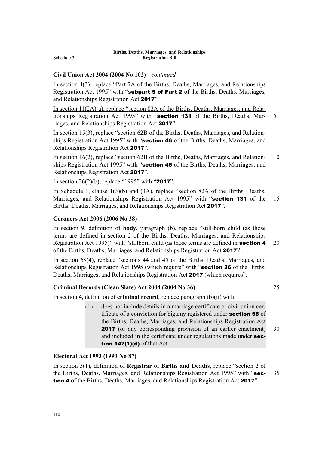## **Civil Union Act 2004 (2004 No 102)***—continued*

In section 4(3), replace "Part 7A of the Births, Deaths, Marriages, and Relationships Registration Act 1995" with "subpart 5 of Part 2 of the Births, Deaths, Marriages, and Relationships Registration Act 2017".

In section 11(2A)(a), replace "section 82A of the Births, Deaths, Marriages, and Relationships Registration Act 1995" with "section 131 of the Births, Deaths, Mar- 5 riages, and Relationships Registration Act 2017".

In section 15(3), replace "section 62B of the Births, Deaths, Marriages, and Relationships Registration Act 1995" with "section 46 of the Births, Deaths, Marriages, and Relationships Registration Act 2017".

In section 16(2), replace "section 62B of the Births, Deaths, Marriages, and Relation- 10 ships Registration Act 1995" with "section 46 of the Births, Deaths, Marriages, and Relationships Registration Act 2017".

In section  $26(2)(b)$ , replace "1995" with "2017".

In Schedule 1, clause 1(3)(b) and (3A), replace "section 82A of the Births, Deaths, Marriages, and Relationships Registration Act 1995" with "section 131 of the 15 Births, Deaths, Marriages, and Relationships Registration Act 2017".

# **Coroners Act 2006 (2006 No 38)**

In section 9, definition of **body**, paragraph (b), replace "still-born child (as those terms are defined in section 2 of the Births, Deaths, Marriages, and Relationships Registration Act 1995)" with "stillborn child (as those terms are defined in **section 4** 20 of the Births, Deaths, Marriages, and Relationships Registration Act 2017)".

In section 68(4), replace "sections 44 and 45 of the Births, Deaths, Marriages, and Relationships Registration Act 1995 (which require" with "section 36 of the Births, Deaths, Marriages, and Relationships Registration Act 2017 (which requires".

## **Criminal Records (Clean Slate) Act 2004 (2004 No 36)** 25

In section 4, definition of **criminal record**, replace paragraph (b)(ii) with:

(ii) does not include details in a marriage certificate or civil union cer‐ tificate of a conviction for bigamy registered under **section 58** of the Births, Deaths, Marriages, and Relationships Registration Act 2017 (or any corresponding provision of an earlier enactment) 30 and included in the certificate under regulations made under section 147(1)(d) of that Act

# **Electoral Act 1993 (1993 No 87)**

In section 3(1), definition of **Registrar of Births and Deaths**, replace "section 2 of the Births, Deaths, Marriages, and Relationships Registration Act 1995" with "sec- 35 tion 4 of the Births, Deaths, Marriages, and Relationships Registration Act 2017".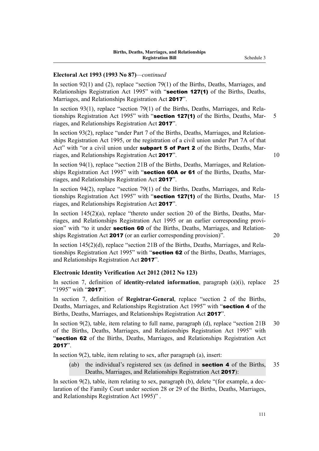# **Electoral Act 1993 (1993 No 87)***—continued*

In section 92(1) and (2), replace "section 79(1) of the Births, Deaths, Marriages, and Relationships Registration Act 1995" with "section 127(1) of the Births, Deaths, Marriages, and Relationships Registration Act 2017".

In section 93(1), replace "section 79(1) of the Births, Deaths, Marriages, and Relationships Registration Act 1995" with "section 127(1) of the Births, Deaths, Mar- 5 riages, and Relationships Registration Act 2017".

In section 93(2), replace "under Part 7 of the Births, Deaths, Marriages, and Relationships Registration Act 1995, or the registration of a civil union under Part 7A of that Act" with "or a civil union under subpart 5 of Part 2 of the Births, Deaths, Marriages, and Relationships Registration Act 2017". 10

In section 94(1), replace "section 21B of the Births, Deaths, Marriages, and Relationships Registration Act 1995" with "section 60A or 61 of the Births, Deaths, Marriages, and Relationships Registration Act 2017".

In section 94(2), replace "section 79(1) of the Births, Deaths, Marriages, and Relationships Registration Act 1995" with "section 127(1) of the Births, Deaths, Mar- 15 riages, and Relationships Registration Act 2017".

In section  $145(2)(a)$ , replace "thereto under section 20 of the Births, Deaths, Marriages, and Relationships Registration Act 1995 or an earlier corresponding provi‐ sion" with "to it under **section 60** of the Births, Deaths, Marriages, and Relationships Registration Act 2017 (or an earlier corresponding provision)". 20

In section 145(2)(d), replace "section 21B of the Births, Deaths, Marriages, and Rela‐ tionships Registration Act 1995" with "section 62 of the Births, Deaths, Marriages, and Relationships Registration Act 2017".

## **Electronic Identity Verification Act 2012 (2012 No 123)**

In section 7, definition of **identity-related information**, paragraph (a)(i), replace 25 "1995" with "2017".

In section 7, definition of **Registrar-General**, replace "section 2 of the Births, Deaths, Marriages, and Relationships Registration Act 1995" with "section 4 of the Births, Deaths, Marriages, and Relationships Registration Act 2017".

In section 9(2), table, item relating to full name, paragraph (d), replace "section 21B 30 of the Births, Deaths, Marriages, and Relationships Registration Act 1995" with "section 62 of the Births, Deaths, Marriages, and Relationships Registration Act 2017".

In section  $9(2)$ , table, item relating to sex, after paragraph (a), insert:

(ab) the individual's registered sex (as defined in **section 4** of the Births,  $35$ Deaths, Marriages, and Relationships Registration Act 2017):

In section  $9(2)$ , table, item relating to sex, paragraph (b), delete "(for example, a declaration of the Family Court under section 28 or 29 of the Births, Deaths, Marriages, and Relationships Registration Act 1995)" .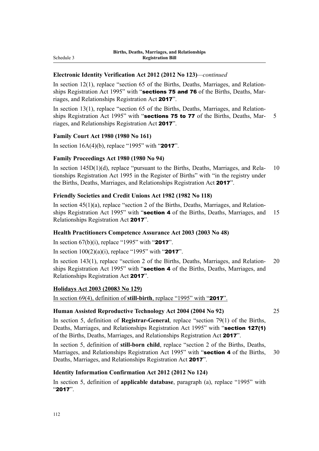# **Electronic Identity Verification Act 2012 (2012 No 123)***—continued*

In section  $12(1)$ , replace "section 65 of the Births, Deaths, Marriages, and Relationships Registration Act 1995" with "**sections 75 and 76** of the Births, Deaths, Marriages, and Relationships Registration Act 2017".

In section  $13(1)$ , replace "section 65 of the Births, Deaths, Marriages, and Relationships Registration Act 1995" with "sections 75 to 77 of the Births, Deaths, Mar- 5 riages, and Relationships Registration Act 2017".

## **Family Court Act 1980 (1980 No 161)**

In section  $16A(4)(b)$ , replace "1995" with "2017".

## **Family Proceedings Act 1980 (1980 No 94)**

In section  $145D(1)(d)$ , replace "pursuant to the Births, Deaths, Marriages, and Rela- 10 tionships Registration Act 1995 in the Register of Births" with "in the registry under the Births, Deaths, Marriages, and Relationships Registration Act 2017".

## **Friendly Societies and Credit Unions Act 1982 (1982 No 118)**

In section  $45(1)(a)$ , replace "section 2 of the Births, Deaths, Marriages, and Relationships Registration Act 1995" with "section 4 of the Births, Deaths, Marriages, and 15 Relationships Registration Act 2017".

## **Health Practitioners Competence Assurance Act 2003 (2003 No 48)**

In section  $67(b)(i)$ , replace "1995" with "2017".

In section  $100(2)(a)(i)$ , replace "1995" with "2017".

In section 143(1), replace "section 2 of the Births, Deaths, Marriages, and Relation‐ 20 ships Registration Act 1995" with "section 4 of the Births, Deaths, Marriages, and Relationships Registration Act 2017".

## **Holidays Act 2003 (20083 No 129)**

In section 69(4), definition of **still-birth**, replace "1995" with "2017".

## **Human Assisted Reproductive Technology Act 2004 (2004 No 92)** 25

In section 5, definition of **Registrar-General**, replace "section 79(1) of the Births, Deaths, Marriages, and Relationships Registration Act 1995" with "section 127(1) of the Births, Deaths, Marriages, and Relationships Registration Act 2017".

In section 5, definition of **still-born child**, replace "section 2 of the Births, Deaths, Marriages, and Relationships Registration Act 1995" with "section 4 of the Births, 30 Deaths, Marriages, and Relationships Registration Act 2017".

# **Identity Information Confirmation Act 2012 (2012 No 124)**

In section 5, definition of **applicable database**, paragraph (a), replace "1995" with "2017".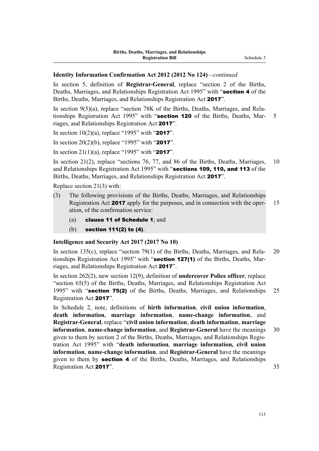## **Identity Information Confirmation Act 2012 (2012 No 124)***—continued*

In section 5, definition of **Registrar-General**, replace "section 2 of the Births, Deaths, Marriages, and Relationships Registration Act 1995" with "**section 4** of the Births, Deaths, Marriages, and Relationships Registration Act 2017".

In section  $9(5)(a)$ , replace "section 78K of the Births, Deaths, Marriages, and Relationships Registration Act 1995" with "section 120 of the Births, Deaths, Mar- 5 riages, and Relationships Registration Act 2017".

In section  $10(2)(a)$ , replace "1995" with "2017".

In section 20(2)(b), replace "1995" with "2017".

In section 21(1)(a), replace "1995" with "2017".

In section 21(2), replace "sections 76, 77, and 86 of the Births, Deaths, Marriages, 10 and Relationships Registration Act 1995" with "sections 109, 110, and 113 of the Births, Deaths, Marriages, and Relationships Registration Act 2017".

Replace section 21(3) with:

- (3) The following provisions of the Births, Deaths, Marriages, and Relationships Registration Act **2017** apply for the purposes, and in connection with the oper-<br>15 ation, of the confirmation service:
	- (a) clause 11 of Schedule 1; and
	- (b) section 111(2) to (4).

#### **Intelligence and Security Act 2017 (2017 No 10)**

In section 135(c), replace "section 79(1) of the Births, Deaths, Marriages, and Rela- 20 tionships Registration Act 1995" with "section 127(1) of the Births, Deaths, Marriages, and Relationships Registration Act 2017".

In section 262(2), new section 12(9), definition of **undercover Police officer**, replace "section 65(5) of the Births, Deaths, Marriages, and Relationships Registration Act 1995" with "section 75(2) of the Births, Deaths, Marriages, and Relationships 25 Registration Act 2017".

In Schedule 2, note, definitions of **birth information**, **civil union information**, **death information**, **marriage information**, **name-change information**, and **Registrar-General**, replace "**civil union information**, **death information**, **marriage information, name-change information, and Registrar-General have the meanings 30** given to them by section 2 of the Births, Deaths, Marriages, and Relationships Regis‐ tration Act 1995" with "**death information**, **marriage information, civil union information**, **name-change information**, and **Registrar-General** have the meanings given to them by section 4 of the Births, Deaths, Marriages, and Relationships Registration Act 2017". 35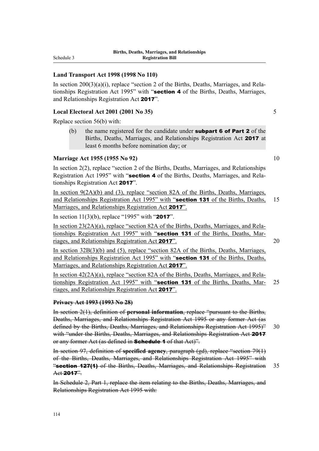## **Land Transport Act 1998 (1998 No 110)**

In section  $200(3)(a)(i)$ , replace "section 2 of the Births, Deaths, Marriages, and Relationships Registration Act 1995" with "**section 4** of the Births, Deaths, Marriages, and Relationships Registration Act 2017".

## **Local Electoral Act 2001 (2001 No 35)** 5

Replace section 56(b) with:

(b) the name registered for the candidate under **subpart 6 of Part 2** of the Births, Deaths, Marriages, and Relationships Registration Act 2017 at least 6 months before nomination day; or

# **Marriage Act 1955 (1955 No 92)** 10

In section 2(2), replace "section 2 of the Births, Deaths, Marriages, and Relationships Registration Act 1995" with "section 4 of the Births, Deaths, Marriages, and Relationships Registration Act 2017".

In section 9(2A)(b) and (3), replace "section 82A of the Births, Deaths, Marriages, and Relationships Registration Act 1995" with "section 131 of the Births, Deaths, 15 Marriages, and Relationships Registration Act 2017".

In section  $11(3)(b)$ , replace "1995" with "2017".

In section 23(2A)(a), replace "section 82A of the Births, Deaths, Marriages, and Relationships Registration Act 1995" with "section 131 of the Births, Deaths, Marriages, and Relationships Registration Act 2017". 20

In section 32B(3)(b) and (5), replace "section 82A of the Births, Deaths, Marriages, and Relationships Registration Act 1995" with "section 131 of the Births, Deaths, Marriages, and Relationships Registration Act 2017".

In section 42(2A)(a), replace "section 82A of the Births, Deaths, Marriages, and Relationships Registration Act 1995" with "section 131 of the Births, Deaths, Mar- 25 riages, and Relationships Registration Act 2017".

## **Privacy Act 1993 (1993 No 28)**

In section 2(1), definition of **personal information**, replace "pursuant to the Births, Deaths, Marriages, and Relationships Registration Act 1995 or any former Act (as defined by the Births, Deaths, Marriages, and Relationships Registration Act 1995)" 30 with "under the Births, Deaths, Marriages, and Relationships Registration Act 2017 or any former Act (as defined in **Schedule 1** of that Act)".

In section 97, definition of **specified agency**, paragraph (gd), replace "section 79(1) of the Births, Deaths, Marriages, and Relationships Registration Act 1995" with **"section 127(1)** of the Births, Deaths, Marriages, and Relationships Registration 35 Act 2017".

In Schedule 2, Part 1, replace the item relating to the Births, Deaths, Marriages, and Relationships Registration Act 1995 with: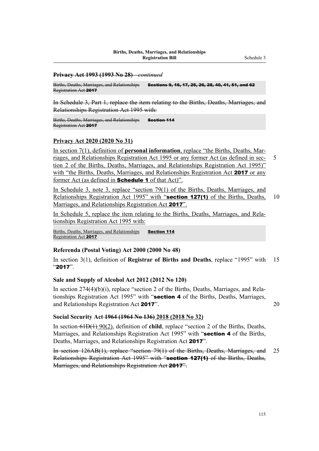#### **Privacy Act 1993 (1993 No 28)***—continued*

Births, Deaths, Marriages, and Relationships Registration Act 2017 Sections 9, 16, 17, 25, 26, 28, 40, 41, 51, and 62

In Schedule 3, Part 1, replace the item relating to the Births, Deaths, Marriages, and Relationships Registration Act 1995 with:

Births, Deaths, Marriages, and Relationships Registration Act 2017 Section 114

### **Privacy Act 2020 (2020 No 31)**

In section 7(1), definition of **personal information**, replace "the Births, Deaths, Marriages, and Relationships Registration Act 1995 or any former Act (as defined in sec- 5 tion 2 of the Births, Deaths, Marriages, and Relationships Registration Act 1995)" with "the Births, Deaths, Marriages, and Relationships Registration Act 2017 or any former Act (as defined in **Schedule 1** of that Act)".

In Schedule 3, note 3, replace "section 79(1) of the Births, Deaths, Marriages, and Relationships Registration Act 1995" with "section 127(1) of the Births, Deaths, 10 Marriages, and Relationships Registration Act 2017".

In Schedule 5, replace the item relating to the Births, Deaths, Marriages, and Rela‐ tionships Registration Act 1995 with:

Births, Deaths, Marriages, and Relationships Registration Act 2017 Section 114

## **Referenda (Postal Voting) Act 2000 (2000 No 48)**

In section 3(1), definition of **Registrar of Births and Deaths**, replace "1995" with 15 "2017".

#### **Sale and Supply of Alcohol Act 2012 (2012 No 120)**

In section  $274(4)(b)(i)$ , replace "section 2 of the Births, Deaths, Marriages, and Relationships Registration Act 1995" with "section 4 of the Births, Deaths, Marriages, and Relationships Registration Act 2017". 20

### **Social Security Act 1964 (1964 No 136) 2018 (2018 No 32)**

In section 61D(1) 90(2), definition of **child**, replace "section 2 of the Births, Deaths, Marriages, and Relationships Registration Act 1995" with "section 4 of the Births, Deaths, Marriages, and Relationships Registration Act 2017".

In section 126AB(1), replace "section 79(1) of the Births, Deaths, Marriages, and 25 Relationships Registration Act 1995" with "section 127(1) of the Births, Deaths, Marriages, and Relationships Registration Act 2017".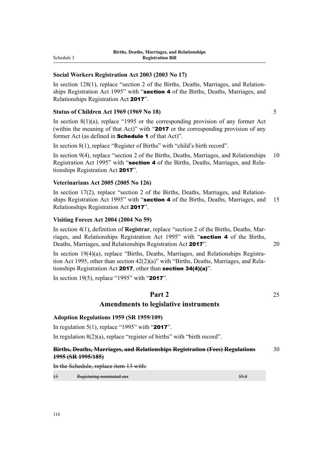# **Social Workers Registration Act 2003 (2003 No 17)**

In section 128(1), replace "section 2 of the Births, Deaths, Marriages, and Relationships Registration Act 1995" with "section 4 of the Births, Deaths, Marriages, and Relationships Registration Act 2017".

## **Status of Children Act 1969 (1969 No 18)** 5

In section 8(1)(a), replace "1995 or the corresponding provision of any former Act (within the meaning of that Act)" with "2017 or the corresponding provision of any former Act (as defined in **Schedule 1** of that Act)".

In section 8(1), replace "Register of Births" with "child's birth record".

In section 9(4), replace "section 2 of the Births, Deaths, Marriages, and Relationships 10 Registration Act 1995" with "section 4 of the Births, Deaths, Marriages, and Relationships Registration Act 2017".

# **Veterinarians Act 2005 (2005 No 126)**

In section  $17(2)$ , replace "section 2 of the Births, Deaths, Marriages, and Relationships Registration Act 1995" with "section 4 of the Births, Deaths, Marriages, and 15 Relationships Registration Act 2017".

# **Visiting Forces Act 2004 (2004 No 59)**

In section 4(1), definition of **Registrar**, replace "section 2 of the Births, Deaths, Marriages, and Relationships Registration Act 1995" with "section 4 of the Births, Deaths, Marriages, and Relationships Registration Act 2017". 20

In section 19(4)(a), replace "Births, Deaths, Marriages, and Relationships Registration Act 1995, other than section  $42(2)(a)$ " with "Births, Deaths, Marriages, and Relationships Registration Act 2017, other than section 34(4)(a)".

In section 19(5), replace "1995" with "2017".

# **Part 2** 25

# **Amendments to legislative instruments**

## **Adoption Regulations 1959 (SR 1959/109)**

In regulation 5(1), replace "1995" with "2017".

In regulation  $8(2)(a)$ , replace "register of births" with "birth record".

## **Births, Deaths, Marriages, and Relationships Registration (Fees) Regulations** 30 **1995 (SR 1995/185)**

In the Schedule, replace item 13 with:

| $+3$ | Decistoring nominated sex<br>Registering nominated sex |  |
|------|--------------------------------------------------------|--|
|      |                                                        |  |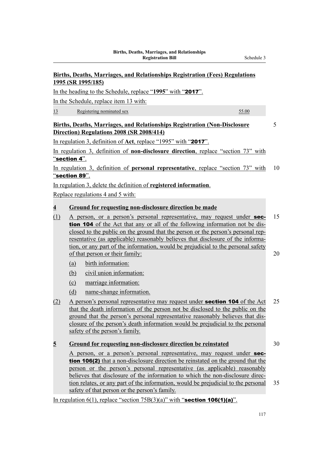# **Births, Deaths, Marriages, and Relationships Registration (Fees) Regulations 1995 (SR 1995/185)**

In the heading to the Schedule, replace "**1995**" with "2017".

In the Schedule, replace item 13 with:

13 Registering nominated sex 55.00

# **Births, Deaths, Marriages, and Relationships Registration (Non-Disclosure** 5 **Direction) Regulations 2008 (SR 2008/414)**

In regulation 3, definition of **Act**, replace "1995" with "2017".

In regulation 3, definition of **non-disclosure direction**, replace "section 73" with "section 4".

In regulation 3, definition of **personal representative**, replace "section 73" with 10 "section 89".

In regulation 3, delete the definition of **registered information**.

Replace regulations 4 and 5 with:

# **4 Ground for requesting non-disclosure direction be made**

- (1) A person, or a person's personal representative, may request under sec- 15 tion 104 of the Act that any or all of the following information not be dis‐ closed to the public on the ground that the person or the person's personal rep‐ resentative (as applicable) reasonably believes that disclosure of the information, or any part of the information, would be prejudicial to the personal safety of that person or their family: 20
	- (a) birth information:
	- (b) civil union information:
	- (c) marriage information:
	- (d) name-change information.
- (2) A person's personal representative may request under **section 104** of the Act  $25$ that the death information of the person not be disclosed to the public on the ground that the person's personal representative reasonably believes that dis‐ closure of the person's death information would be prejudicial to the personal safety of the person's family.

# **5 Ground for requesting non-disclosure direction be reinstated** 30

A person, or a person's personal representative, may request under section 106(2) that a non-disclosure direction be reinstated on the ground that the person or the person's personal representative (as applicable) reasonably believes that disclosure of the information to which the non-disclosure direc‐ tion relates, or any part of the information, would be prejudicial to the personal 35 safety of that person or the person's family.

In regulation  $6(1)$ , replace "section  $75B(3)(a)$ " with "section 106(1)(a)".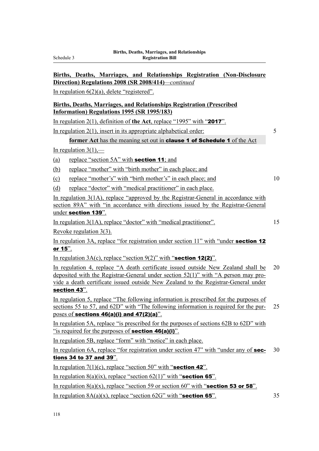# **Births, Deaths, Marriages, and Relationships Registration (Non-Disclosure Direction) Regulations 2008 (SR 2008/414)***—continued*

In regulation 6(2)(a), delete "registered".

# **Births, Deaths, Marriages, and Relationships Registration (Prescribed Information) Regulations 1995 (SR 1995/183)**

In regulation 2(1), definition of **the Act**, replace "1995" with "2017".

In regulation 2(1), insert in its appropriate alphabetical order: 5

# former Act has the meaning set out in **clause 1 of Schedule 1** of the Act

In regulation  $3(1)$ ,—

(a) replace "section  $5A$ " with **section 11**; and

(b) replace "mother" with "birth mother" in each place; and

- (c) replace "mother's" with "birth mother's" in each place; and 10
- (d) replace "doctor" with "medical practitioner" in each place.

In regulation 3(1A), replace "approved by the Registrar-General in accordance with section 89A" with "in accordance with directions issued by the Registrar-General under section 139".

In regulation 3(1A), replace "doctor" with "medical practitioner". 15

Revoke regulation 3(3).

In regulation 3A, replace "for registration under section 11" with "under section 12 or 15".

In regulation  $3A(c)$ , replace "section  $9(2)$ " with "**section 12(2)**".

In regulation 4, replace "A death certificate issued outside New Zealand shall be 20 deposited with the Registrar-General under section  $52(1)$ " with "A person may provide a death certificate issued outside New Zealand to the Registrar-General under section 43".

In regulation 5, replace "The following information is prescribed for the purposes of sections 55 to 57, and 62D" with "The following information is required for the pur-<br>25 poses of sections 46(a)(i) and 47(2)(a)".

In regulation 5A, replace "is prescribed for the purposes of sections 62B to 62D" with "is required for the purposes of **section 46(a)(i)**".

In regulation 5B, replace "form" with "notice" in each place.

In regulation 6A, replace "for registration under section 47" with "under any of **sec-** 30 tions 34 to 37 and 39".

In regulation  $7(1)(c)$ , replace "section 50" with "**section 42**".

In regulation  $8(a)(ix)$ , replace "section  $62(1)$ " with "**section 65**".

In regulation  $8(a)(x)$ , replace "section 59 or section 60" with "**section 53 or 58**".

In regulation  $8A(a)(x)$ , replace "section  $62G'$ " with "**section 65**". 35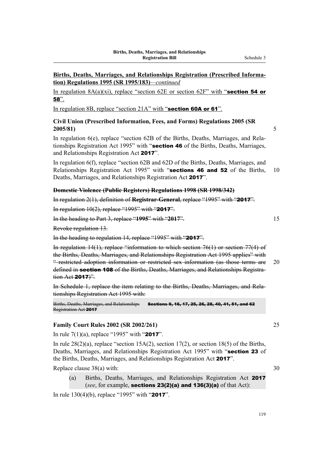# **Births, Deaths, Marriages, and Relationships Registration (Prescribed Informa‐ tion) Regulations 1995 (SR 1995/183)***—continued*

In regulation  $8A(a)(xi)$ , replace "section 62E or section 62F" with "section 54 or 58".

In regulation 8B, replace "section 21A" with "section 60A or 61".

# **Civil Union (Prescribed Information, Fees, and Forms) Regulations 2005 (SR 2005/81)** 5

In regulation 6(e), replace "section 62B of the Births, Deaths, Marriages, and Relationships Registration Act 1995" with "section 46 of the Births, Deaths, Marriages, and Relationships Registration Act 2017".

In regulation 6(f), replace "section 62B and 62D of the Births, Deaths, Marriages, and Relationships Registration Act 1995" with "sections 46 and 52 of the Births, 10 Deaths, Marriages, and Relationships Registration Act 2017".

# **Domestic Violence (Public Registers) Regulations 1998 (SR 1998/342)**

In regulation 2(1), definition of **Registrar-General**, replace "1995" with "2017".

In regulation  $10(2)$ , replace "1995" with "2017".

In the heading to Part 3, replace "**1995**" with "**2017**". 15

Revoke regulation 13.

In the heading to regulation 14, replace "1995" with "2017".

In regulation 14(1), replace "information to which section 76(1) or section 77(4) of the Births, Deaths, Marriages, and Relationships Registration Act 1995 applies" with " restricted adoption information or restricted sex information (as those terms are 20 defined in **section 108** of the Births, Deaths, Marriages, and Relationships Registration Act **2017**)".

In Schedule 1, replace the item relating to the Births, Deaths, Marriages, and Rela‐ tionships Registration Act 1995 with:

Births, Deaths, Marriages, and Relationships Registration Act 2017 Sections 9, 16, 17, 25, 26, 28, 40, 41, 51, and 62

## **Family Court Rules 2002 (SR 2002/261)** 25

In rule 7(1)(a), replace "1995" with "2017".

In rule  $28(2)(a)$ , replace "section  $15A(2)$ , section  $17(2)$ , or section  $18(5)$  of the Births, Deaths, Marriages, and Relationships Registration Act 1995" with "section 23 of the Births, Deaths, Marriages, and Relationships Registration Act 2017".

Replace clause  $38(a)$  with:  $30$ 

(a) Births, Deaths, Marriages, and Relationships Registration Act 2017 (*see*, for example, sections 23(2)(a) and 136(3)(a) of that Act):

In rule 130(4)(b), replace "1995" with "2017".

119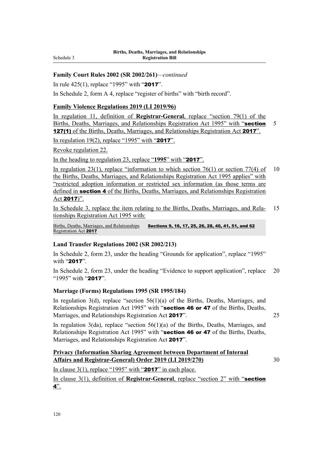# **Family Court Rules 2002 (SR 2002/261)***—continued*

In rule 425(1), replace "1995" with "2017".

In Schedule 2, form A 4, replace "register of births" with "birth record".

# **Family Violence Regulations 2019 (LI 2019/96)**

In regulation 11, definition of **Registrar-General**, replace "section 79(1) of the Births, Deaths, Marriages, and Relationships Registration Act 1995" with "section 5 127(1) of the Births, Deaths, Marriages, and Relationships Registration Act 2017".

In regulation 19(2), replace "1995" with "2017".

Revoke regulation 22.

In the heading to regulation 23, replace "**1995**" with "2017".

In regulation 23(1), replace "information to which section 76(1) or section 77(4) of 10 the Births, Deaths, Marriages, and Relationships Registration Act 1995 applies" with "restricted adoption information or restricted sex information (as those terms are defined in section 4 of the Births, Deaths, Marriages, and Relationships Registration Act 2017)".

In Schedule 3, replace the item relating to the Births, Deaths, Marriages, and Rela-15 tionships Registration Act 1995 with:

Births, Deaths, Marriages, and Relationships Registration Act 2017 Sections 9, 16, 17, 25, 26, 28, 40, 41, 51, and 62

# **Land Transfer Regulations 2002 (SR 2002/213)**

In Schedule 2, form 23, under the heading "Grounds for application", replace "1995" with "2017".

In Schedule 2, form 23, under the heading "Evidence to support application", replace 20 "1995" with "2017".

## **Marriage (Forms) Regulations 1995 (SR 1995/184)**

In regulation  $3(d)$ , replace "section  $56(1)(a)$  of the Births, Deaths, Marriages, and Relationships Registration Act 1995" with "section 46 or 47 of the Births, Deaths, Marriages, and Relationships Registration Act 2017". 25

In regulation 3(da), replace "section 56(1)(a) of the Births, Deaths, Marriages, and Relationships Registration Act 1995" with "section 46 or 47 of the Births, Deaths, Marriages, and Relationships Registration Act 2017".

# **Privacy (Information Sharing Agreement between Department of Internal Affairs and Registrar-General) Order 2019 (LI 2019/270)** 30

In clause  $3(1)$ , replace "1995" with "2017" in each place.

In clause 3(1), definition of **Registrar-General**, replace "section 2" with "section  $4"$ .